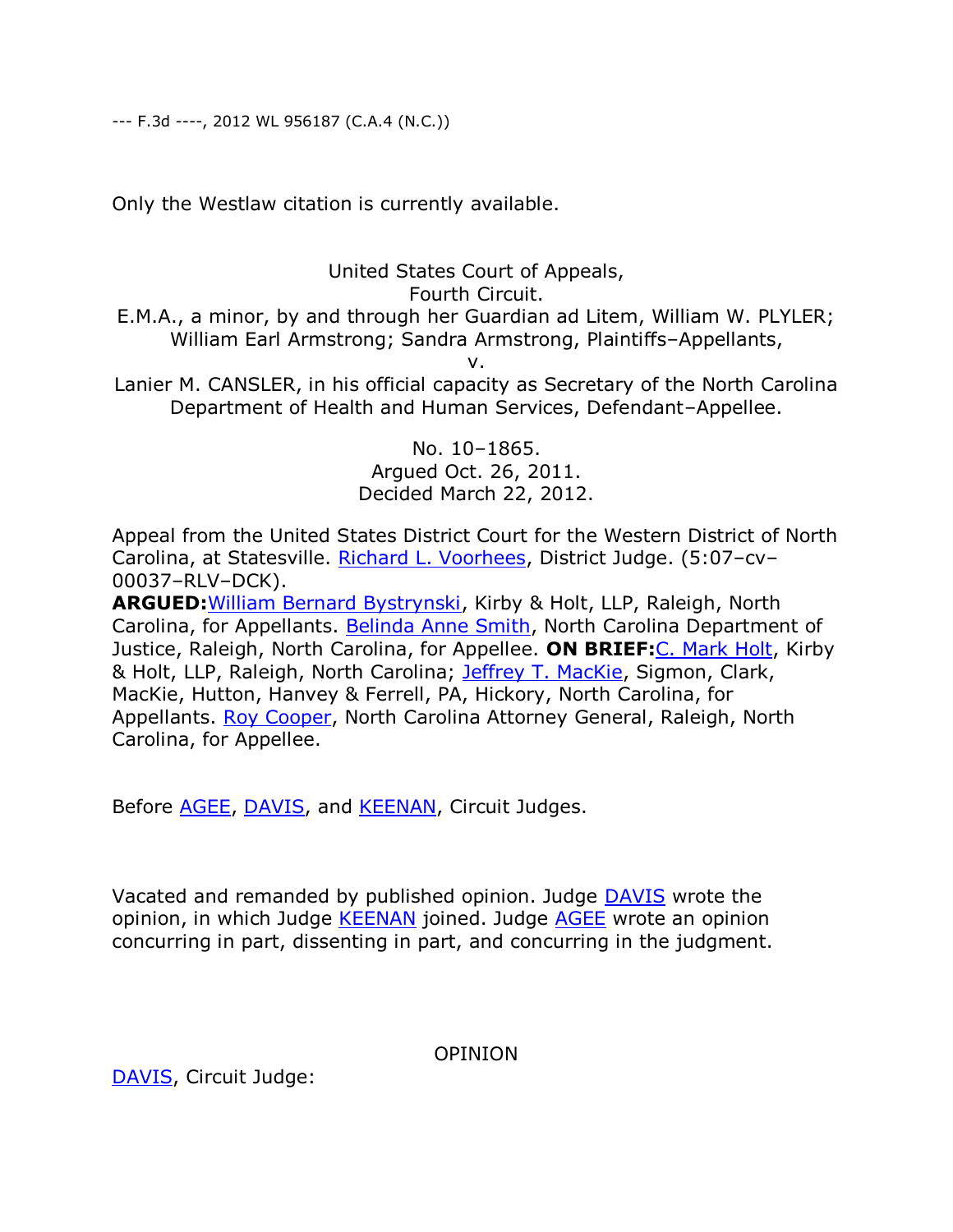--- F.3d ----, 2012 WL 956187 (C.A.4 (N.C.))

Only the Westlaw citation is currently available.

United States Court of Appeals,

Fourth Circuit.

E.M.A., a minor, by and through her Guardian ad Litem, William W. PLYLER; William Earl Armstrong; Sandra Armstrong, Plaintiffs–Appellants,

v.

Lanier M. CANSLER, in his official capacity as Secretary of the North Carolina Department of Health and Human Services, Defendant–Appellee.

> No. 10–1865. Argued Oct. 26, 2011. Decided March 22, 2012.

Appeal from the United States District Court for the Western District of North Carolina, at Statesville. [Richard L. Voorhees,](http://web2.westlaw.com/find/default.wl?mt=Westlaw&db=PROFILER-WLD&docname=0233289501&rp=%2ffind%2fdefault.wl&findtype=h&ordoc=2027358976&tc=-1&vr=2.0&fn=_top&sv=Split&tf=-1&pbc=DC601CB0&rs=WLW12.01) District Judge. (5:07–cv– 00037–RLV–DCK).

**ARGUED:**[William Bernard Bystrynski,](http://web2.westlaw.com/find/default.wl?mt=Westlaw&db=PROFILER-WLD&docname=0227549201&rp=%2ffind%2fdefault.wl&findtype=h&ordoc=2027358976&tc=-1&vr=2.0&fn=_top&sv=Split&tf=-1&pbc=DC601CB0&rs=WLW12.01) Kirby & Holt, LLP, Raleigh, North Carolina, for Appellants. [Belinda Anne Smith,](http://web2.westlaw.com/find/default.wl?mt=Westlaw&db=PROFILER-WLD&docname=0113578101&rp=%2ffind%2fdefault.wl&findtype=h&ordoc=2027358976&tc=-1&vr=2.0&fn=_top&sv=Split&tf=-1&pbc=DC601CB0&rs=WLW12.01) North Carolina Department of Justice, Raleigh, North Carolina, for Appellee. **ON BRIEF:**[C. Mark Holt,](http://web2.westlaw.com/find/default.wl?mt=Westlaw&db=PROFILER-WLD&docname=0148160001&rp=%2ffind%2fdefault.wl&findtype=h&ordoc=2027358976&tc=-1&vr=2.0&fn=_top&sv=Split&tf=-1&pbc=DC601CB0&rs=WLW12.01) Kirby & Holt, LLP, Raleigh, North Carolina; [Jeffrey T.](http://web2.westlaw.com/find/default.wl?mt=Westlaw&db=PROFILER-WLD&docname=0183486201&rp=%2ffind%2fdefault.wl&findtype=h&ordoc=2027358976&tc=-1&vr=2.0&fn=_top&sv=Split&tf=-1&pbc=DC601CB0&rs=WLW12.01) MacKie, Sigmon, Clark, MacKie, Hutton, Hanvey & Ferrell, PA, Hickory, North Carolina, for Appellants. [Roy Cooper,](http://web2.westlaw.com/find/default.wl?mt=Westlaw&db=PROFILER-WLD&docname=0148310801&rp=%2ffind%2fdefault.wl&findtype=h&ordoc=2027358976&tc=-1&vr=2.0&fn=_top&sv=Split&tf=-1&pbc=DC601CB0&rs=WLW12.01) North Carolina Attorney General, Raleigh, North Carolina, for Appellee.

Before [AGEE,](http://web2.westlaw.com/find/default.wl?mt=Westlaw&db=PROFILER-WLD&docname=0126009401&rp=%2ffind%2fdefault.wl&findtype=h&ordoc=2027358976&tc=-1&vr=2.0&fn=_top&sv=Split&tf=-1&pbc=DC601CB0&rs=WLW12.01) [DAVIS,](http://web2.westlaw.com/find/default.wl?mt=Westlaw&db=PROFILER-WLD&docname=0202939301&rp=%2ffind%2fdefault.wl&findtype=h&ordoc=2027358976&tc=-1&vr=2.0&fn=_top&sv=Split&tf=-1&pbc=DC601CB0&rs=WLW12.01) and [KEENAN,](http://web2.westlaw.com/find/default.wl?mt=Westlaw&db=PROFILER-WLD&docname=0239414601&rp=%2ffind%2fdefault.wl&findtype=h&ordoc=2027358976&tc=-1&vr=2.0&fn=_top&sv=Split&tf=-1&pbc=DC601CB0&rs=WLW12.01) Circuit Judges.

Vacated and remanded by published opinion. Judge [DAVIS](http://web2.westlaw.com/find/default.wl?mt=Westlaw&db=PROFILER-WLD&docname=0202939301&rp=%2ffind%2fdefault.wl&findtype=h&ordoc=2027358976&tc=-1&vr=2.0&fn=_top&sv=Split&tf=-1&pbc=DC601CB0&rs=WLW12.01) wrote the opinion, in which Judge [KEENAN](http://web2.westlaw.com/find/default.wl?mt=Westlaw&db=PROFILER-WLD&docname=0239414601&rp=%2ffind%2fdefault.wl&findtype=h&ordoc=2027358976&tc=-1&vr=2.0&fn=_top&sv=Split&tf=-1&pbc=DC601CB0&rs=WLW12.01) joined. Judge [AGEE](http://web2.westlaw.com/find/default.wl?mt=Westlaw&db=PROFILER-WLD&docname=0126009401&rp=%2ffind%2fdefault.wl&findtype=h&ordoc=2027358976&tc=-1&vr=2.0&fn=_top&sv=Split&tf=-1&pbc=DC601CB0&rs=WLW12.01) wrote an opinion concurring in part, dissenting in part, and concurring in the judgment.

OPINION

[DAVIS,](http://web2.westlaw.com/find/default.wl?mt=Westlaw&db=PROFILER-WLD&docname=0202939301&rp=%2ffind%2fdefault.wl&findtype=h&ordoc=2027358976&tc=-1&vr=2.0&fn=_top&sv=Split&tf=-1&pbc=DC601CB0&rs=WLW12.01) Circuit Judge: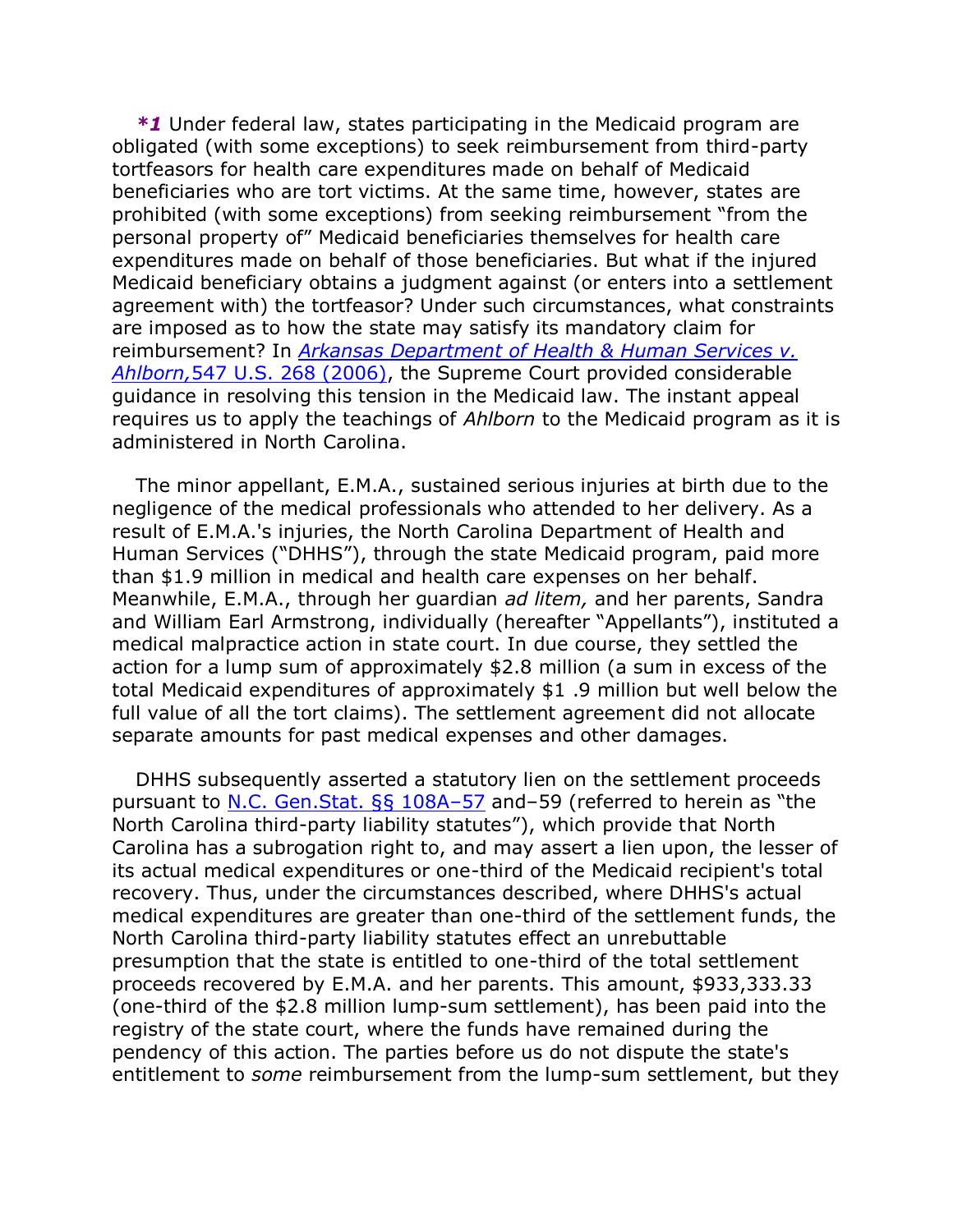*\*1* Under federal law, states participating in the Medicaid program are obligated (with some exceptions) to seek reimbursement from third-party tortfeasors for health care expenditures made on behalf of Medicaid beneficiaries who are tort victims. At the same time, however, states are prohibited (with some exceptions) from seeking reimbursement "from the personal property of" Medicaid beneficiaries themselves for health care expenditures made on behalf of those beneficiaries. But what if the injured Medicaid beneficiary obtains a judgment against (or enters into a settlement agreement with) the tortfeasor? Under such circumstances, what constraints are imposed as to how the state may satisfy its mandatory claim for reimbursement? In *[Arkansas Department of Health & Human Services v.](http://web2.westlaw.com/find/default.wl?mt=Westlaw&db=780&tc=-1&rp=%2ffind%2fdefault.wl&findtype=Y&ordoc=2027358976&serialnum=2009061885&vr=2.0&fn=_top&sv=Split&tf=-1&pbc=DC601CB0&rs=WLW12.01)  Ahlborn,*[547 U.S. 268 \(2006\),](http://web2.westlaw.com/find/default.wl?mt=Westlaw&db=780&tc=-1&rp=%2ffind%2fdefault.wl&findtype=Y&ordoc=2027358976&serialnum=2009061885&vr=2.0&fn=_top&sv=Split&tf=-1&pbc=DC601CB0&rs=WLW12.01) the Supreme Court provided considerable guidance in resolving this tension in the Medicaid law. The instant appeal requires us to apply the teachings of *Ahlborn* to the Medicaid program as it is administered in North Carolina.

The minor appellant, E.M.A., sustained serious injuries at birth due to the negligence of the medical professionals who attended to her delivery. As a result of E.M.A.'s injuries, the North Carolina Department of Health and Human Services ("DHHS"), through the state Medicaid program, paid more than \$1.9 million in medical and health care expenses on her behalf. Meanwhile, E.M.A., through her guardian *ad litem,* and her parents, Sandra and William Earl Armstrong, individually (hereafter "Appellants"), instituted a medical malpractice action in state court. In due course, they settled the action for a lump sum of approximately \$2.8 million (a sum in excess of the total Medicaid expenditures of approximately \$1 .9 million but well below the full value of all the tort claims). The settlement agreement did not allocate separate amounts for past medical expenses and other damages.

DHHS subsequently asserted a statutory lien on the settlement proceeds pursuant to N.C. Gen. Stat.  $\S$  108A–57 and–59 (referred to herein as "the North Carolina third-party liability statutes"), which provide that North Carolina has a subrogation right to, and may assert a lien upon, the lesser of its actual medical expenditures or one-third of the Medicaid recipient's total recovery. Thus, under the circumstances described, where DHHS's actual medical expenditures are greater than one-third of the settlement funds, the North Carolina third-party liability statutes effect an unrebuttable presumption that the state is entitled to one-third of the total settlement proceeds recovered by E.M.A. and her parents. This amount, \$933,333.33 (one-third of the \$2.8 million lump-sum settlement), has been paid into the registry of the state court, where the funds have remained during the pendency of this action. The parties before us do not dispute the state's entitlement to *some* reimbursement from the lump-sum settlement, but they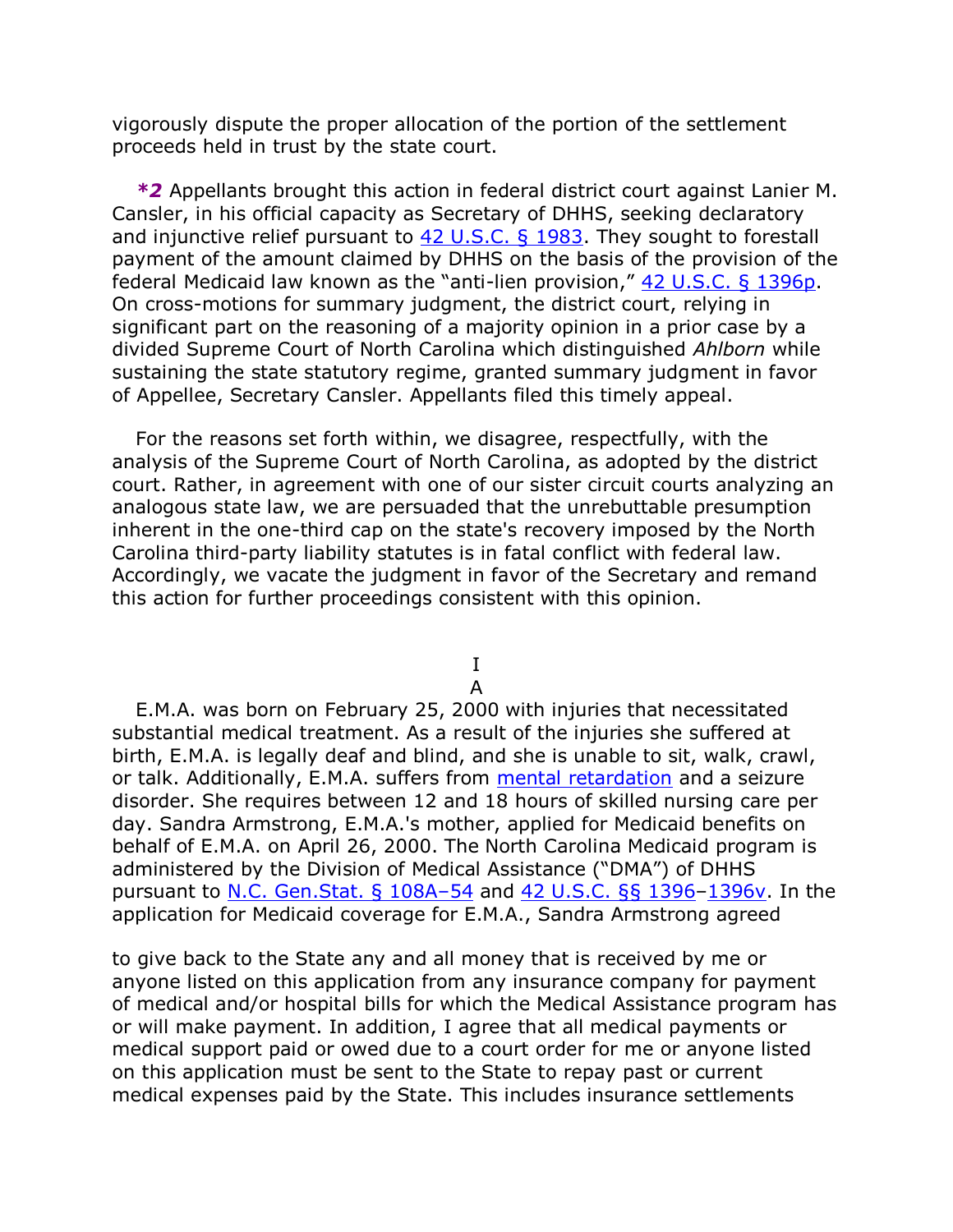vigorously dispute the proper allocation of the portion of the settlement proceeds held in trust by the state court.

*\*2* Appellants brought this action in federal district court against Lanier M. Cansler, in his official capacity as Secretary of DHHS, seeking declaratory and injunctive relief pursuant to  $42$  U.S.C. § 1983. They sought to forestall payment of the amount claimed by DHHS on the basis of the provision of the federal Medicaid law known as the "anti-lien provision,"  $42 \text{ U.S.C.}$  § 1396p. On cross-motions for summary judgment, the district court, relying in significant part on the reasoning of a majority opinion in a prior case by a divided Supreme Court of North Carolina which distinguished *Ahlborn* while sustaining the state statutory regime, granted summary judgment in favor of Appellee, Secretary Cansler. Appellants filed this timely appeal.

For the reasons set forth within, we disagree, respectfully, with the analysis of the Supreme Court of North Carolina, as adopted by the district court. Rather, in agreement with one of our sister circuit courts analyzing an analogous state law, we are persuaded that the unrebuttable presumption inherent in the one-third cap on the state's recovery imposed by the North Carolina third-party liability statutes is in fatal conflict with federal law. Accordingly, we vacate the judgment in favor of the Secretary and remand this action for further proceedings consistent with this opinion.

> I A

E.M.A. was born on February 25, 2000 with injuries that necessitated substantial medical treatment. As a result of the injuries she suffered at birth, E.M.A. is legally deaf and blind, and she is unable to sit, walk, crawl, or talk. Additionally, E.M.A. suffers from [mental retardation](http://web2.westlaw.com/find/default.wl?rs=WLW12.01&pbc=DC601CB0&vr=2.0&findtype=UM&rp=%2ffind%2fdefault.wl&sv=Split&fn=_top&ordoc=2027358976&mt=Westlaw&docname=Ibc9be63e475411db9765f9243f53508a) and a seizure disorder. She requires between 12 and 18 hours of skilled nursing care per day. Sandra Armstrong, E.M.A.'s mother, applied for Medicaid benefits on behalf of E.M.A. on April 26, 2000. The North Carolina Medicaid program is administered by the Division of Medical Assistance ("DMA") of DHHS pursuant to [N.C. Gen.Stat. § 108A](http://web2.westlaw.com/find/default.wl?mt=Westlaw&db=1000037&docname=NCSTS108A-54&rp=%2ffind%2fdefault.wl&findtype=L&ordoc=2027358976&tc=-1&vr=2.0&fn=_top&sv=Split&tf=-1&pbc=DC601CB0&rs=WLW12.01)–54 and [42 U.S.C. §§ 1396](http://web2.westlaw.com/find/default.wl?mt=Westlaw&db=1000546&docname=42USCAS1396&rp=%2ffind%2fdefault.wl&findtype=L&ordoc=2027358976&tc=-1&vr=2.0&fn=_top&sv=Split&tf=-1&pbc=DC601CB0&rs=WLW12.01)–[1396v.](http://web2.westlaw.com/find/default.wl?mt=Westlaw&db=1000546&docname=42USCAS1396V&rp=%2ffind%2fdefault.wl&findtype=L&ordoc=2027358976&tc=-1&vr=2.0&fn=_top&sv=Split&tf=-1&pbc=DC601CB0&rs=WLW12.01) In the application for Medicaid coverage for E.M.A., Sandra Armstrong agreed

to give back to the State any and all money that is received by me or anyone listed on this application from any insurance company for payment of medical and/or hospital bills for which the Medical Assistance program has or will make payment. In addition, I agree that all medical payments or medical support paid or owed due to a court order for me or anyone listed on this application must be sent to the State to repay past or current medical expenses paid by the State. This includes insurance settlements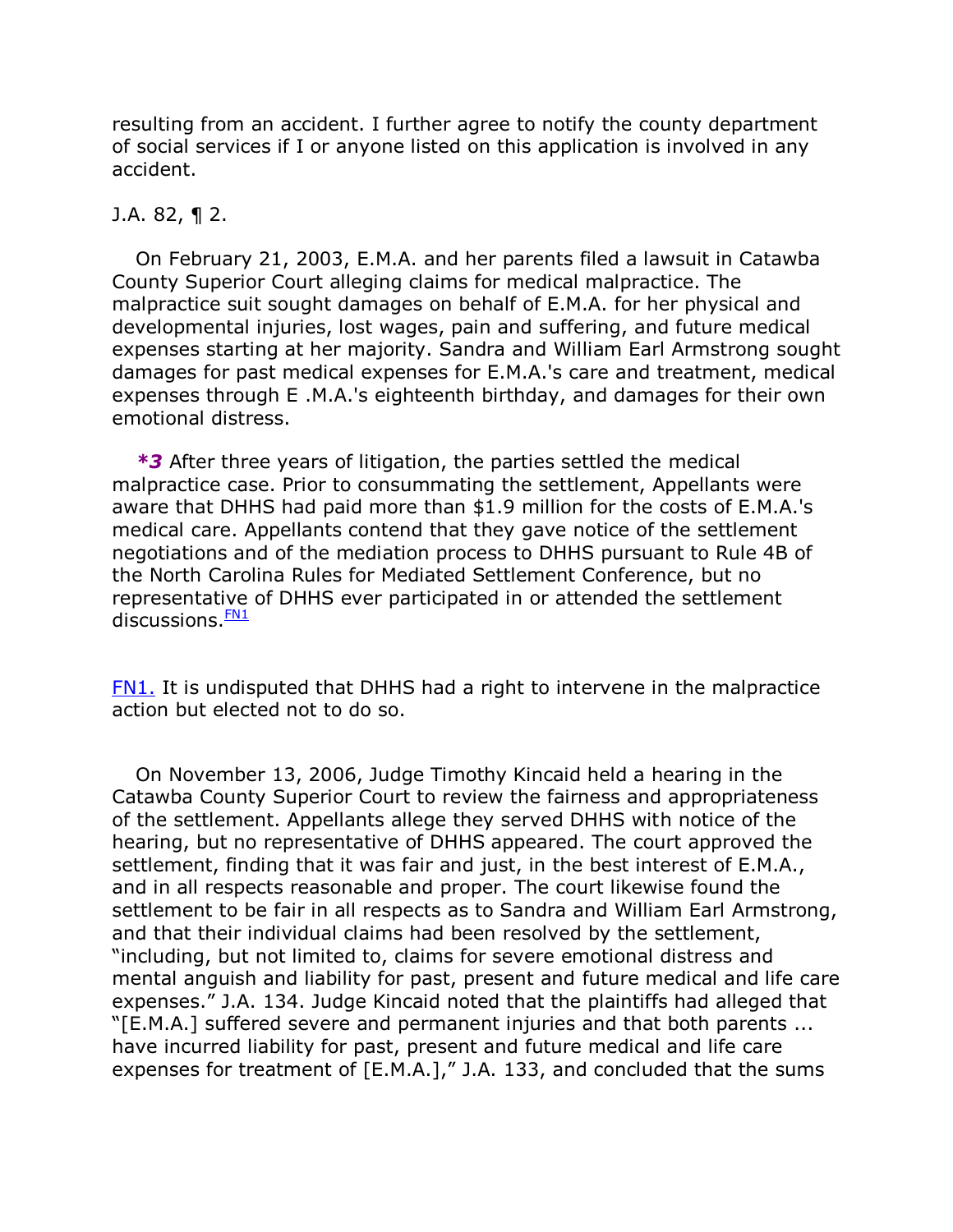resulting from an accident. I further agree to notify the county department of social services if I or anyone listed on this application is involved in any accident.

## J.A. 82, ¶ 2.

On February 21, 2003, E.M.A. and her parents filed a lawsuit in Catawba County Superior Court alleging claims for medical malpractice. The malpractice suit sought damages on behalf of E.M.A. for her physical and developmental injuries, lost wages, pain and suffering, and future medical expenses starting at her majority. Sandra and William Earl Armstrong sought damages for past medical expenses for E.M.A.'s care and treatment, medical expenses through E .M.A.'s eighteenth birthday, and damages for their own emotional distress.

*\*3* After three years of litigation, the parties settled the medical malpractice case. Prior to consummating the settlement, Appellants were aware that DHHS had paid more than \$1.9 million for the costs of E.M.A.'s medical care. Appellants contend that they gave notice of the settlement negotiations and of the mediation process to DHHS pursuant to Rule 4B of the North Carolina Rules for Mediated Settlement Conference, but no representative of DHHS ever participated in or attended the settlement discussions. $\frac{FN1}{FN}$  $\frac{FN1}{FN}$  $\frac{FN1}{FN}$ 

[FN1.](http://web2.westlaw.com/result/documenttext.aspx?rs=WLW12.01&scxt=WL&rlti=1&rp=%2fFind%2fdefault.wl&rlt=CLID_FQRLT113840157233&service=Find&sv=Split&ss=CNT&cite=2012+WL+956187&n=1&fn=_top&mt=Westlaw&vr=2.0&cnt=DOC&cxt=DC#F00112027358976) It is undisputed that DHHS had a right to intervene in the malpractice action but elected not to do so.

On November 13, 2006, Judge Timothy Kincaid held a hearing in the Catawba County Superior Court to review the fairness and appropriateness of the settlement. Appellants allege they served DHHS with notice of the hearing, but no representative of DHHS appeared. The court approved the settlement, finding that it was fair and just, in the best interest of E.M.A., and in all respects reasonable and proper. The court likewise found the settlement to be fair in all respects as to Sandra and William Earl Armstrong, and that their individual claims had been resolved by the settlement, "including, but not limited to, claims for severe emotional distress and mental anguish and liability for past, present and future medical and life care expenses." J.A. 134. Judge Kincaid noted that the plaintiffs had alleged that ―[E.M.A.] suffered severe and permanent injuries and that both parents ... have incurred liability for past, present and future medical and life care expenses for treatment of  $[EM.A.]$ ," J.A. 133, and concluded that the sums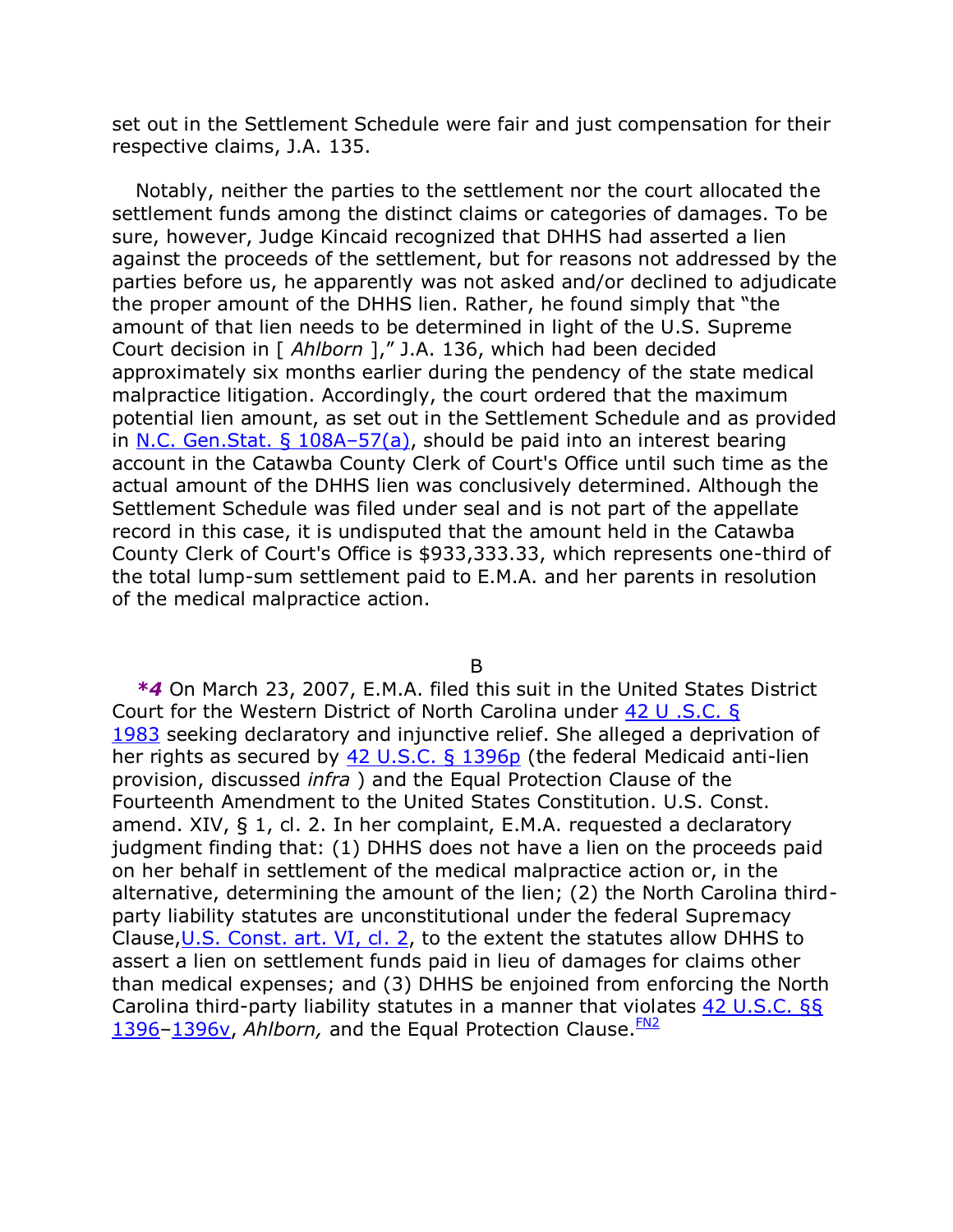set out in the Settlement Schedule were fair and just compensation for their respective claims, J.A. 135.

Notably, neither the parties to the settlement nor the court allocated the settlement funds among the distinct claims or categories of damages. To be sure, however, Judge Kincaid recognized that DHHS had asserted a lien against the proceeds of the settlement, but for reasons not addressed by the parties before us, he apparently was not asked and/or declined to adjudicate the proper amount of the DHHS lien. Rather, he found simply that "the amount of that lien needs to be determined in light of the U.S. Supreme Court decision in [ *Ahlborn* ]," J.A. 136, which had been decided approximately six months earlier during the pendency of the state medical malpractice litigation. Accordingly, the court ordered that the maximum potential lien amount, as set out in the Settlement Schedule and as provided in [N.C. Gen.Stat. § 108A](http://web2.westlaw.com/find/default.wl?mt=Westlaw&db=1000037&docname=NCSTS108A-57&rp=%2ffind%2fdefault.wl&findtype=L&ordoc=2027358976&tc=-1&vr=2.0&fn=_top&sv=Split&tf=-1&referencepositiontype=T&pbc=DC601CB0&referenceposition=SP%3b8b3b0000958a4&rs=WLW12.01)–57(a), should be paid into an interest bearing account in the Catawba County Clerk of Court's Office until such time as the actual amount of the DHHS lien was conclusively determined. Although the Settlement Schedule was filed under seal and is not part of the appellate record in this case, it is undisputed that the amount held in the Catawba County Clerk of Court's Office is \$933,333.33, which represents one-third of the total lump-sum settlement paid to E.M.A. and her parents in resolution of the medical malpractice action.

B

*\*4* On March 23, 2007, E.M.A. filed this suit in the United States District Court for the Western District of North Carolina under [42 U .S.C. §](http://web2.westlaw.com/find/default.wl?mt=Westlaw&db=1000546&docname=42USCAS1983&rp=%2ffind%2fdefault.wl&findtype=L&ordoc=2027358976&tc=-1&vr=2.0&fn=_top&sv=Split&tf=-1&pbc=DC601CB0&rs=WLW12.01)  [1983](http://web2.westlaw.com/find/default.wl?mt=Westlaw&db=1000546&docname=42USCAS1983&rp=%2ffind%2fdefault.wl&findtype=L&ordoc=2027358976&tc=-1&vr=2.0&fn=_top&sv=Split&tf=-1&pbc=DC601CB0&rs=WLW12.01) seeking declaratory and injunctive relief. She alleged a deprivation of her rights as secured by [42 U.S.C. § 1396p](http://web2.westlaw.com/find/default.wl?mt=Westlaw&db=1000546&docname=42USCAS1396P&rp=%2ffind%2fdefault.wl&findtype=L&ordoc=2027358976&tc=-1&vr=2.0&fn=_top&sv=Split&tf=-1&pbc=DC601CB0&rs=WLW12.01) (the federal Medicaid anti-lien provision, discussed *infra* ) and the Equal Protection Clause of the Fourteenth Amendment to the United States Constitution. U.S. Const. amend. XIV, § 1, cl. 2. In her complaint, E.M.A. requested a declaratory judgment finding that: (1) DHHS does not have a lien on the proceeds paid on her behalf in settlement of the medical malpractice action or, in the alternative, determining the amount of the lien; (2) the North Carolina thirdparty liability statutes are unconstitutional under the federal Supremacy Clause[,U.S. Const. art. VI, cl. 2,](http://web2.westlaw.com/find/default.wl?mt=Westlaw&db=1000546&docname=USCOARTVICL2&rp=%2ffind%2fdefault.wl&findtype=L&ordoc=2027358976&tc=-1&vr=2.0&fn=_top&sv=Split&tf=-1&pbc=DC601CB0&rs=WLW12.01) to the extent the statutes allow DHHS to assert a lien on settlement funds paid in lieu of damages for claims other than medical expenses; and (3) DHHS be enjoined from enforcing the North Carolina third-party liability statutes in a manner that violates [42 U.S.C. §§](http://web2.westlaw.com/find/default.wl?mt=Westlaw&db=1000546&docname=42USCAS1396&rp=%2ffind%2fdefault.wl&findtype=L&ordoc=2027358976&tc=-1&vr=2.0&fn=_top&sv=Split&tf=-1&pbc=DC601CB0&rs=WLW12.01)  [1396](http://web2.westlaw.com/find/default.wl?mt=Westlaw&db=1000546&docname=42USCAS1396&rp=%2ffind%2fdefault.wl&findtype=L&ordoc=2027358976&tc=-1&vr=2.0&fn=_top&sv=Split&tf=-1&pbc=DC601CB0&rs=WLW12.01)–[1396v,](http://web2.westlaw.com/find/default.wl?mt=Westlaw&db=1000546&docname=42USCAS1396V&rp=%2ffind%2fdefault.wl&findtype=L&ordoc=2027358976&tc=-1&vr=2.0&fn=_top&sv=Split&tf=-1&pbc=DC601CB0&rs=WLW12.01) *Ahlborn*, and the Equal Protection Clause. [FN2](http://web2.westlaw.com/result/documenttext.aspx?rs=WLW12.01&scxt=WL&rlti=1&rp=%2fFind%2fdefault.wl&rlt=CLID_FQRLT113840157233&service=Find&sv=Split&ss=CNT&cite=2012+WL+956187&n=1&fn=_top&mt=Westlaw&vr=2.0&cnt=DOC&cxt=DC#B00222027358976)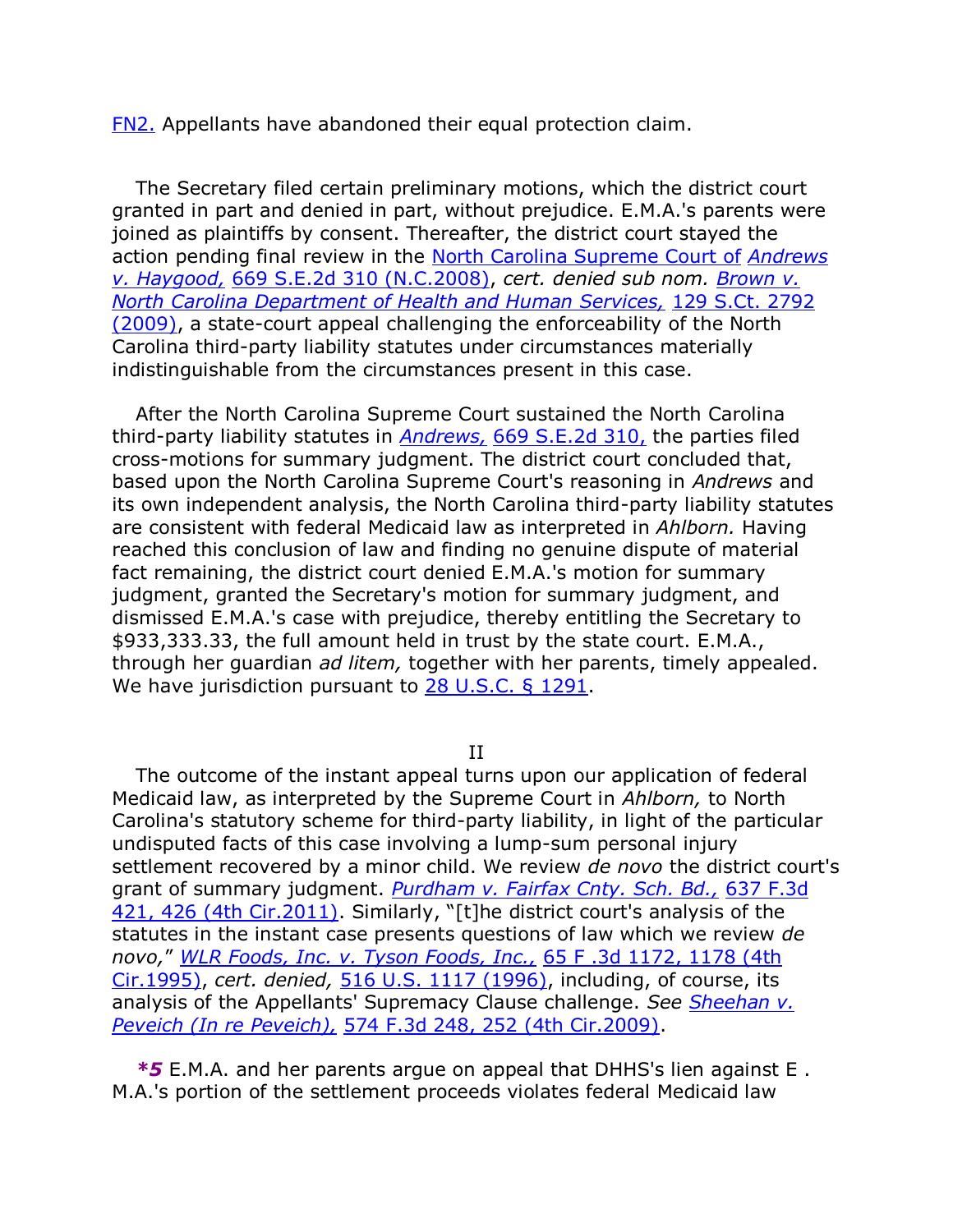## [FN2.](http://web2.westlaw.com/result/documenttext.aspx?rs=WLW12.01&scxt=WL&rlti=1&rp=%2fFind%2fdefault.wl&rlt=CLID_FQRLT113840157233&service=Find&sv=Split&ss=CNT&cite=2012+WL+956187&n=1&fn=_top&mt=Westlaw&vr=2.0&cnt=DOC&cxt=DC#F00222027358976) Appellants have abandoned their equal protection claim.

The Secretary filed certain preliminary motions, which the district court granted in part and denied in part, without prejudice. E.M.A.'s parents were joined as plaintiffs by consent. Thereafter, the district court stayed the action pending final review in the [North Carolina Supreme Court of](http://web2.westlaw.com/find/default.wl?mt=Westlaw&db=711&tc=-1&rp=%2ffind%2fdefault.wl&findtype=Y&ordoc=2027358976&serialnum=2017647831&vr=2.0&fn=_top&sv=Split&tf=-1&pbc=DC601CB0&rs=WLW12.01) *Andrews v. Haygood,* [669 S.E.2d 310 \(N.C.2008\),](http://web2.westlaw.com/find/default.wl?mt=Westlaw&db=711&tc=-1&rp=%2ffind%2fdefault.wl&findtype=Y&ordoc=2027358976&serialnum=2017647831&vr=2.0&fn=_top&sv=Split&tf=-1&pbc=DC601CB0&rs=WLW12.01) *cert. denied sub nom. [Brown v.](http://web2.westlaw.com/find/default.wl?mt=Westlaw&db=708&tc=-1&rp=%2ffind%2fdefault.wl&findtype=Y&ordoc=2027358976&serialnum=2018380535&vr=2.0&fn=_top&sv=Split&tf=-1&pbc=DC601CB0&rs=WLW12.01)  [North Carolina Department of Health and Human Services,](http://web2.westlaw.com/find/default.wl?mt=Westlaw&db=708&tc=-1&rp=%2ffind%2fdefault.wl&findtype=Y&ordoc=2027358976&serialnum=2018380535&vr=2.0&fn=_top&sv=Split&tf=-1&pbc=DC601CB0&rs=WLW12.01)* 129 S.Ct. 2792 [\(2009\),](http://web2.westlaw.com/find/default.wl?mt=Westlaw&db=708&tc=-1&rp=%2ffind%2fdefault.wl&findtype=Y&ordoc=2027358976&serialnum=2018380535&vr=2.0&fn=_top&sv=Split&tf=-1&pbc=DC601CB0&rs=WLW12.01) a state-court appeal challenging the enforceability of the North Carolina third-party liability statutes under circumstances materially indistinguishable from the circumstances present in this case.

After the North Carolina Supreme Court sustained the North Carolina third-party liability statutes in *Andrews,* [669 S.E.2d 310,](http://web2.westlaw.com/find/default.wl?mt=Westlaw&db=711&tc=-1&rp=%2ffind%2fdefault.wl&findtype=Y&ordoc=2027358976&serialnum=2017647831&vr=2.0&fn=_top&sv=Split&tf=-1&pbc=DC601CB0&rs=WLW12.01) the parties filed cross-motions for summary judgment. The district court concluded that, based upon the North Carolina Supreme Court's reasoning in *Andrews* and its own independent analysis, the North Carolina third-party liability statutes are consistent with federal Medicaid law as interpreted in *Ahlborn.* Having reached this conclusion of law and finding no genuine dispute of material fact remaining, the district court denied E.M.A.'s motion for summary judgment, granted the Secretary's motion for summary judgment, and dismissed E.M.A.'s case with prejudice, thereby entitling the Secretary to \$933,333.33, the full amount held in trust by the state court. E.M.A., through her guardian *ad litem,* together with her parents, timely appealed. We have jurisdiction pursuant to [28 U.S.C. § 1291.](http://web2.westlaw.com/find/default.wl?mt=Westlaw&db=1000546&docname=28USCAS1291&rp=%2ffind%2fdefault.wl&findtype=L&ordoc=2027358976&tc=-1&vr=2.0&fn=_top&sv=Split&tf=-1&pbc=DC601CB0&rs=WLW12.01)

II

The outcome of the instant appeal turns upon our application of federal Medicaid law, as interpreted by the Supreme Court in *Ahlborn,* to North Carolina's statutory scheme for third-party liability, in light of the particular undisputed facts of this case involving a lump-sum personal injury settlement recovered by a minor child. We review *de novo* the district court's grant of summary judgment. *[Purdham v. Fairfax Cnty. Sch. Bd.,](http://web2.westlaw.com/find/default.wl?mt=Westlaw&db=506&tc=-1&rp=%2ffind%2fdefault.wl&findtype=Y&ordoc=2027358976&serialnum=2024754790&vr=2.0&fn=_top&sv=Split&tf=-1&referencepositiontype=S&pbc=DC601CB0&referenceposition=426&rs=WLW12.01)* 637 F.3d [421, 426 \(4th Cir.2011\)](http://web2.westlaw.com/find/default.wl?mt=Westlaw&db=506&tc=-1&rp=%2ffind%2fdefault.wl&findtype=Y&ordoc=2027358976&serialnum=2024754790&vr=2.0&fn=_top&sv=Split&tf=-1&referencepositiontype=S&pbc=DC601CB0&referenceposition=426&rs=WLW12.01). Similarly, "[t]he district court's analysis of the statutes in the instant case presents questions of law which we review *de novo,*‖ *[WLR Foods, Inc. v. Tyson Foods, Inc.,](http://web2.westlaw.com/find/default.wl?mt=Westlaw&db=506&tc=-1&rp=%2ffind%2fdefault.wl&findtype=Y&ordoc=2027358976&serialnum=1995192048&vr=2.0&fn=_top&sv=Split&tf=-1&referencepositiontype=S&pbc=DC601CB0&referenceposition=1178&rs=WLW12.01)* 65 F .3d 1172, 1178 (4th [Cir.1995\),](http://web2.westlaw.com/find/default.wl?mt=Westlaw&db=506&tc=-1&rp=%2ffind%2fdefault.wl&findtype=Y&ordoc=2027358976&serialnum=1995192048&vr=2.0&fn=_top&sv=Split&tf=-1&referencepositiontype=S&pbc=DC601CB0&referenceposition=1178&rs=WLW12.01) *cert. denied,* [516 U.S. 1117 \(1996\),](http://web2.westlaw.com/find/default.wl?mt=Westlaw&db=780&tc=-1&rp=%2ffind%2fdefault.wl&findtype=Y&ordoc=2027358976&serialnum=1995251775&vr=2.0&fn=_top&sv=Split&tf=-1&pbc=DC601CB0&rs=WLW12.01) including, of course, its analysis of the Appellants' Supremacy Clause challenge. *See [Sheehan v.](http://web2.westlaw.com/find/default.wl?mt=Westlaw&db=506&tc=-1&rp=%2ffind%2fdefault.wl&findtype=Y&ordoc=2027358976&serialnum=2019449890&vr=2.0&fn=_top&sv=Split&tf=-1&referencepositiontype=S&pbc=DC601CB0&referenceposition=252&rs=WLW12.01)  Peveich (In re Peveich),* [574 F.3d 248, 252 \(4th Cir.2009\).](http://web2.westlaw.com/find/default.wl?mt=Westlaw&db=506&tc=-1&rp=%2ffind%2fdefault.wl&findtype=Y&ordoc=2027358976&serialnum=2019449890&vr=2.0&fn=_top&sv=Split&tf=-1&referencepositiontype=S&pbc=DC601CB0&referenceposition=252&rs=WLW12.01)

*\*5* E.M.A. and her parents argue on appeal that DHHS's lien against E . M.A.'s portion of the settlement proceeds violates federal Medicaid law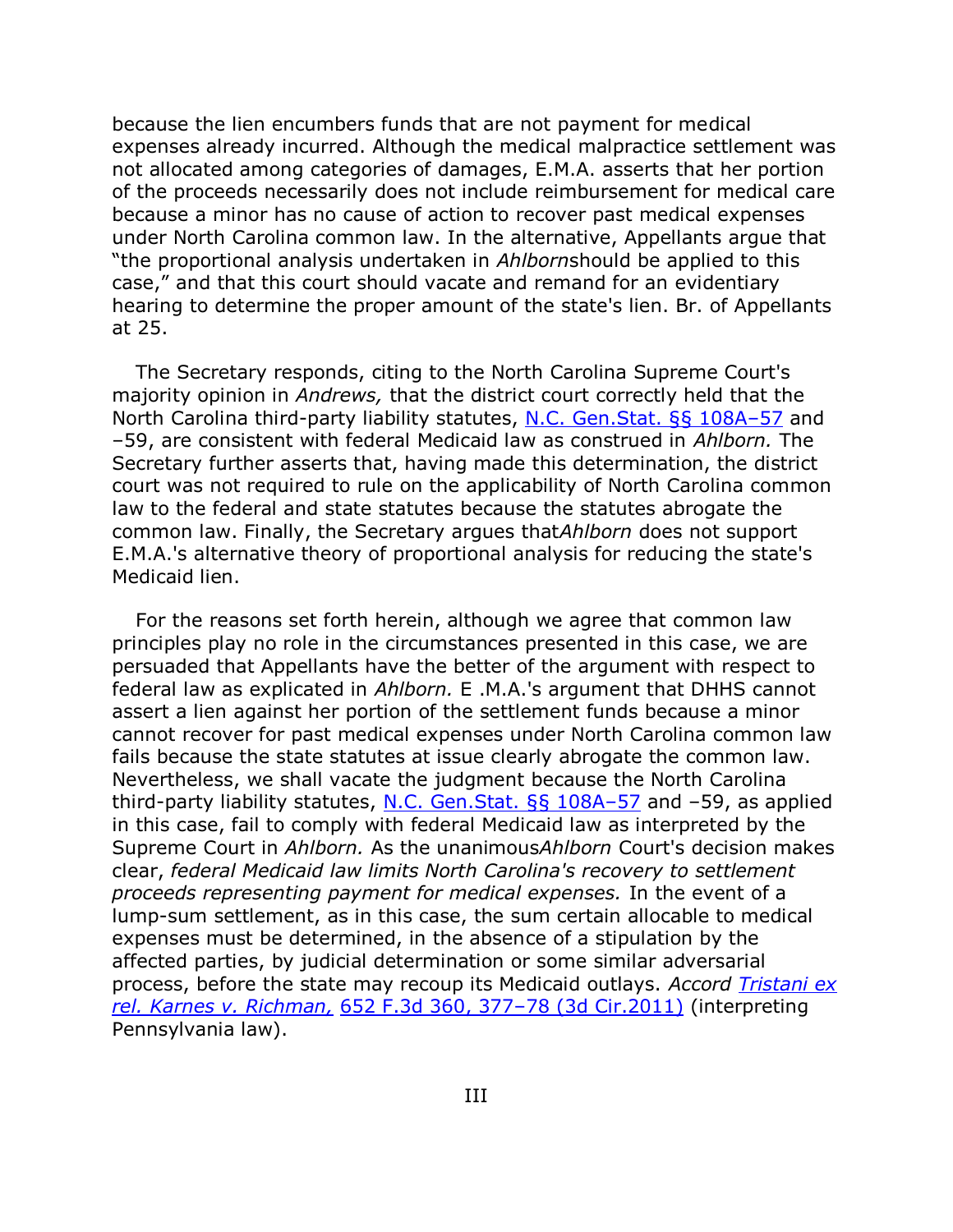because the lien encumbers funds that are not payment for medical expenses already incurred. Although the medical malpractice settlement was not allocated among categories of damages, E.M.A. asserts that her portion of the proceeds necessarily does not include reimbursement for medical care because a minor has no cause of action to recover past medical expenses under North Carolina common law. In the alternative, Appellants argue that ―the proportional analysis undertaken in *Ahlborn*should be applied to this case," and that this court should vacate and remand for an evidentiary hearing to determine the proper amount of the state's lien. Br. of Appellants at 25.

The Secretary responds, citing to the North Carolina Supreme Court's majority opinion in *Andrews,* that the district court correctly held that the North Carolina third-party liability statutes, N.C. Gen. Stat. §§ 108A-57 and –59, are consistent with federal Medicaid law as construed in *Ahlborn.* The Secretary further asserts that, having made this determination, the district court was not required to rule on the applicability of North Carolina common law to the federal and state statutes because the statutes abrogate the common law. Finally, the Secretary argues that*Ahlborn* does not support E.M.A.'s alternative theory of proportional analysis for reducing the state's Medicaid lien.

For the reasons set forth herein, although we agree that common law principles play no role in the circumstances presented in this case, we are persuaded that Appellants have the better of the argument with respect to federal law as explicated in *Ahlborn.* E .M.A.'s argument that DHHS cannot assert a lien against her portion of the settlement funds because a minor cannot recover for past medical expenses under North Carolina common law fails because the state statutes at issue clearly abrogate the common law. Nevertheless, we shall vacate the judgment because the North Carolina third-party liability statutes, N.C. Gen. Stat.  $\S$ § 108A–57 and –59, as applied in this case, fail to comply with federal Medicaid law as interpreted by the Supreme Court in *Ahlborn.* As the unanimous*Ahlborn* Court's decision makes clear, *federal Medicaid law limits North Carolina's recovery to settlement proceeds representing payment for medical expenses.* In the event of a lump-sum settlement, as in this case, the sum certain allocable to medical expenses must be determined, in the absence of a stipulation by the affected parties, by judicial determination or some similar adversarial process, before the state may recoup its Medicaid outlays. *Accord [Tristani ex](http://web2.westlaw.com/find/default.wl?mt=Westlaw&db=506&tc=-1&rp=%2ffind%2fdefault.wl&findtype=Y&ordoc=2027358976&serialnum=2025577836&vr=2.0&fn=_top&sv=Split&tf=-1&referencepositiontype=S&pbc=DC601CB0&referenceposition=377&rs=WLW12.01)  [rel. Karnes v. Richman,](http://web2.westlaw.com/find/default.wl?mt=Westlaw&db=506&tc=-1&rp=%2ffind%2fdefault.wl&findtype=Y&ordoc=2027358976&serialnum=2025577836&vr=2.0&fn=_top&sv=Split&tf=-1&referencepositiontype=S&pbc=DC601CB0&referenceposition=377&rs=WLW12.01)* 652 F.3d 360, 377–78 (3d Cir.2011) (interpreting Pennsylvania law).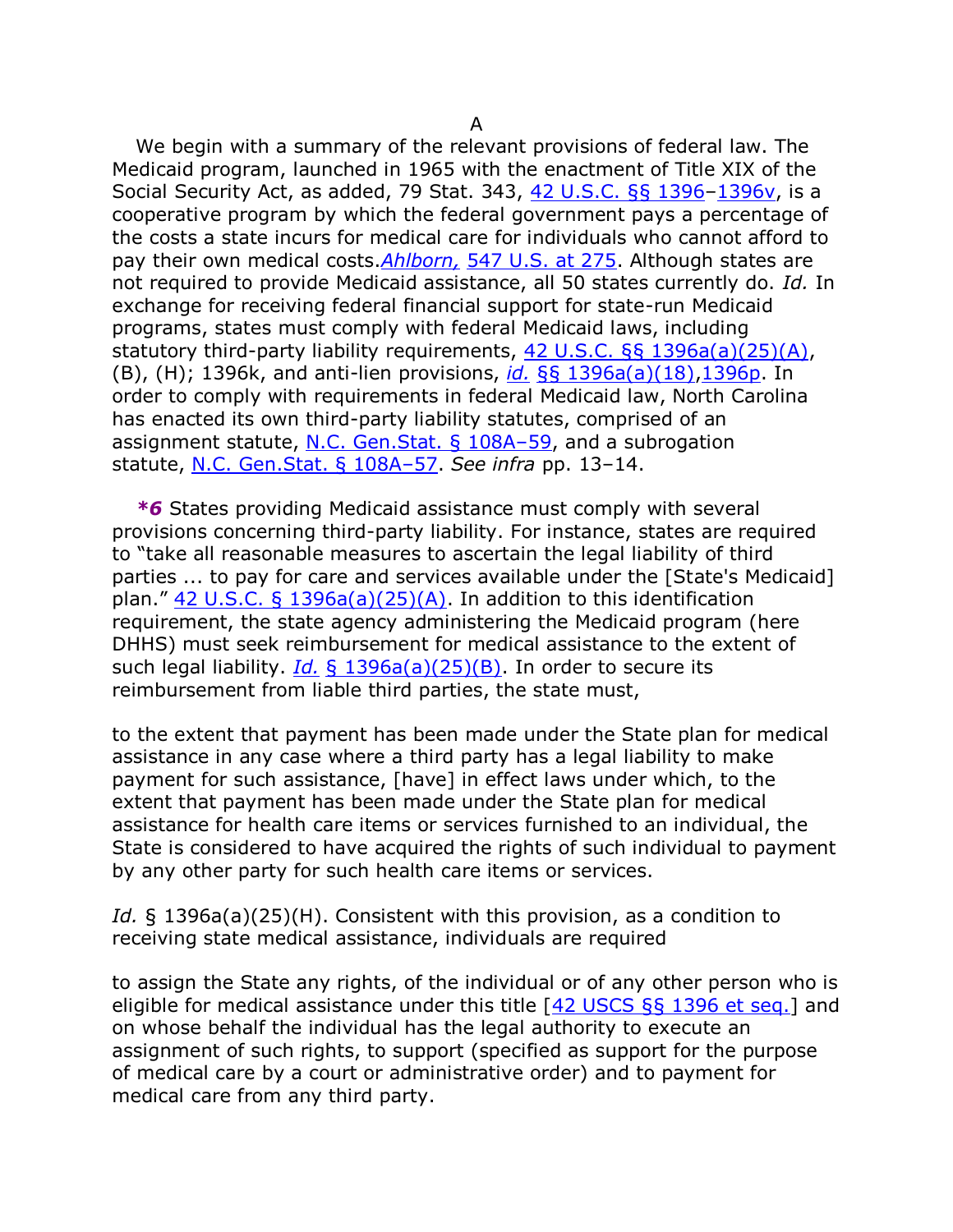We begin with a summary of the relevant provisions of federal law. The Medicaid program, launched in 1965 with the enactment of Title XIX of the Social Security Act, as added, 79 Stat. 343, [42 U.S.C. §§ 1396](http://web2.westlaw.com/find/default.wl?mt=Westlaw&db=1000546&docname=42USCAS1396&rp=%2ffind%2fdefault.wl&findtype=L&ordoc=2027358976&tc=-1&vr=2.0&fn=_top&sv=Split&tf=-1&pbc=DC601CB0&rs=WLW12.01)–[1396v,](http://web2.westlaw.com/find/default.wl?mt=Westlaw&db=1000546&docname=42USCAS1396V&rp=%2ffind%2fdefault.wl&findtype=L&ordoc=2027358976&tc=-1&vr=2.0&fn=_top&sv=Split&tf=-1&pbc=DC601CB0&rs=WLW12.01) is a cooperative program by which the federal government pays a percentage of the costs a state incurs for medical care for individuals who cannot afford to pay their own medical costs.*Ahlborn,* [547 U.S. at 275.](http://web2.westlaw.com/find/default.wl?mt=Westlaw&db=780&tc=-1&rp=%2ffind%2fdefault.wl&findtype=Y&ordoc=2027358976&serialnum=2009061885&vr=2.0&fn=_top&sv=Split&tf=-1&referencepositiontype=S&pbc=DC601CB0&referenceposition=275&rs=WLW12.01) Although states are not required to provide Medicaid assistance, all 50 states currently do. *Id.* In exchange for receiving federal financial support for state-run Medicaid programs, states must comply with federal Medicaid laws, including statutory third-party liability requirements, [42 U.S.C. §§ 1396a\(a\)\(25\)\(A\),](http://web2.westlaw.com/find/default.wl?mt=Westlaw&db=1000546&docname=42USCAS1396A&rp=%2ffind%2fdefault.wl&findtype=L&ordoc=2027358976&tc=-1&vr=2.0&fn=_top&sv=Split&tf=-1&referencepositiontype=T&pbc=DC601CB0&referenceposition=SP%3b896a0000e5e97&rs=WLW12.01) (B), (H); 1396k, and anti-lien provisions, *id.* [§§ 1396a\(a\)\(18\)](http://web2.westlaw.com/find/default.wl?mt=Westlaw&db=1000546&docname=42USCAS1396A&rp=%2ffind%2fdefault.wl&findtype=L&ordoc=2027358976&tc=-1&vr=2.0&fn=_top&sv=Split&tf=-1&referencepositiontype=T&pbc=DC601CB0&referenceposition=SP%3bc812000032010&rs=WLW12.01)[,1396p.](http://web2.westlaw.com/find/default.wl?mt=Westlaw&db=1000546&docname=42USCAS1396P&rp=%2ffind%2fdefault.wl&findtype=L&ordoc=2027358976&tc=-1&vr=2.0&fn=_top&sv=Split&tf=-1&pbc=DC601CB0&rs=WLW12.01) In order to comply with requirements in federal Medicaid law, North Carolina has enacted its own third-party liability statutes, comprised of an assignment statute, [N.C. Gen.Stat. § 108A](http://web2.westlaw.com/find/default.wl?mt=Westlaw&db=1000037&docname=NCSTS108A-59&rp=%2ffind%2fdefault.wl&findtype=L&ordoc=2027358976&tc=-1&vr=2.0&fn=_top&sv=Split&tf=-1&pbc=DC601CB0&rs=WLW12.01)-59, and a subrogation statute, [N.C. Gen.Stat. § 108A](http://web2.westlaw.com/find/default.wl?mt=Westlaw&db=1000037&docname=NCSTS108A-57&rp=%2ffind%2fdefault.wl&findtype=L&ordoc=2027358976&tc=-1&vr=2.0&fn=_top&sv=Split&tf=-1&pbc=DC601CB0&rs=WLW12.01)–57. *See infra* pp. 13–14.

*\*6* States providing Medicaid assistance must comply with several provisions concerning third-party liability. For instance, states are required to "take all reasonable measures to ascertain the legal liability of third parties ... to pay for care and services available under the [State's Medicaid] plan." [42 U.S.C. § 1396a\(a\)\(25\)\(A\).](http://web2.westlaw.com/find/default.wl?mt=Westlaw&db=1000546&docname=42USCAS1396A&rp=%2ffind%2fdefault.wl&findtype=L&ordoc=2027358976&tc=-1&vr=2.0&fn=_top&sv=Split&tf=-1&referencepositiontype=T&pbc=DC601CB0&referenceposition=SP%3b896a0000e5e97&rs=WLW12.01) In addition to this identification requirement, the state agency administering the Medicaid program (here DHHS) must seek reimbursement for medical assistance to the extent of such legal liability. *Id.* [§ 1396a\(a\)\(25\)\(B\).](http://web2.westlaw.com/find/default.wl?mt=Westlaw&db=1000546&docname=42USCAS1396A&rp=%2ffind%2fdefault.wl&findtype=L&ordoc=2027358976&tc=-1&vr=2.0&fn=_top&sv=Split&tf=-1&referencepositiontype=T&pbc=DC601CB0&referenceposition=SP%3b3023000076301&rs=WLW12.01) In order to secure its reimbursement from liable third parties, the state must,

to the extent that payment has been made under the State plan for medical assistance in any case where a third party has a legal liability to make payment for such assistance, [have] in effect laws under which, to the extent that payment has been made under the State plan for medical assistance for health care items or services furnished to an individual, the State is considered to have acquired the rights of such individual to payment by any other party for such health care items or services.

*Id.* § 1396a(a)(25)(H). Consistent with this provision, as a condition to receiving state medical assistance, individuals are required

to assign the State any rights, of the individual or of any other person who is eligible for medical assistance under this title [\[42 USCS §§ 1396 et seq.\]](http://web2.westlaw.com/find/default.wl?mt=Westlaw&db=1000546&docname=42USCAS1396&rp=%2ffind%2fdefault.wl&findtype=L&ordoc=2027358976&tc=-1&vr=2.0&fn=_top&sv=Split&tf=-1&pbc=DC601CB0&rs=WLW12.01) and on whose behalf the individual has the legal authority to execute an assignment of such rights, to support (specified as support for the purpose of medical care by a court or administrative order) and to payment for medical care from any third party.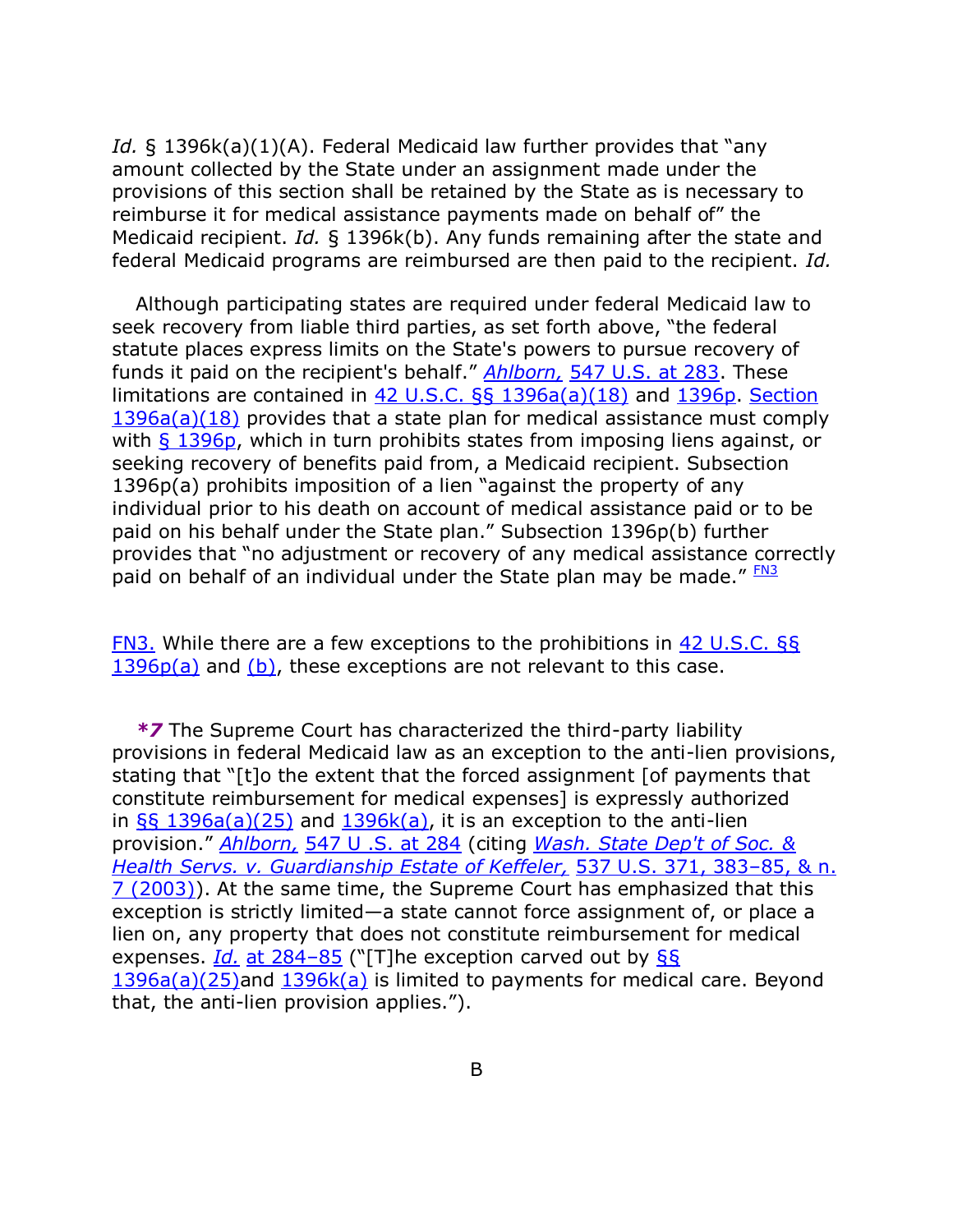*Id.* § 1396k(a)(1)(A). Federal Medicaid law further provides that "any amount collected by the State under an assignment made under the provisions of this section shall be retained by the State as is necessary to reimburse it for medical assistance payments made on behalf of" the Medicaid recipient. *Id.* § 1396k(b). Any funds remaining after the state and federal Medicaid programs are reimbursed are then paid to the recipient. *Id.*

Although participating states are required under federal Medicaid law to seek recovery from liable third parties, as set forth above, "the federal statute places express limits on the State's powers to pursue recovery of funds it paid on the recipient's behalf." **Ahlborn, [547 U.S. at 283.](http://web2.westlaw.com/find/default.wl?mt=Westlaw&db=780&tc=-1&rp=%2ffind%2fdefault.wl&findtype=Y&ordoc=2027358976&serialnum=2009061885&vr=2.0&fn=_top&sv=Split&tf=-1&referencepositiontype=S&pbc=DC601CB0&referenceposition=283&rs=WLW12.01)** These limitations are contained in [42 U.S.C. §§ 1396a\(a\)\(18\)](http://web2.westlaw.com/find/default.wl?mt=Westlaw&db=1000546&docname=42USCAS1396A&rp=%2ffind%2fdefault.wl&findtype=L&ordoc=2027358976&tc=-1&vr=2.0&fn=_top&sv=Split&tf=-1&referencepositiontype=T&pbc=DC601CB0&referenceposition=SP%3bc812000032010&rs=WLW12.01) and [1396p.](http://web2.westlaw.com/find/default.wl?mt=Westlaw&db=1000546&docname=42USCAS1396P&rp=%2ffind%2fdefault.wl&findtype=L&ordoc=2027358976&tc=-1&vr=2.0&fn=_top&sv=Split&tf=-1&pbc=DC601CB0&rs=WLW12.01) Section [1396a\(a\)\(18\)](http://web2.westlaw.com/find/default.wl?mt=Westlaw&db=1000546&docname=42USCAS1396A&rp=%2ffind%2fdefault.wl&findtype=L&ordoc=2027358976&tc=-1&vr=2.0&fn=_top&sv=Split&tf=-1&referencepositiontype=T&pbc=DC601CB0&referenceposition=SP%3bc812000032010&rs=WLW12.01) provides that a state plan for medical assistance must comply with  $\frac{1396p}{1396p}$ , which in turn prohibits states from imposing liens against, or seeking recovery of benefits paid from, a Medicaid recipient. Subsection  $1396p(a)$  prohibits imposition of a lien "against the property of any individual prior to his death on account of medical assistance paid or to be paid on his behalf under the State plan." Subsection 1396p(b) further provides that "no adjustment or recovery of any medical assistance correctly paid on behalf of an individual under the State plan may be made."  $FMS$ 

[FN3.](http://web2.westlaw.com/result/documenttext.aspx?rs=WLW12.01&scxt=WL&rlti=1&rp=%2fFind%2fdefault.wl&rlt=CLID_FQRLT113840157233&service=Find&sv=Split&ss=CNT&cite=2012+WL+956187&n=1&fn=_top&mt=Westlaw&vr=2.0&cnt=DOC&cxt=DC#F00332027358976) While there are a few exceptions to the prohibitions in [42 U.S.C. §§](http://web2.westlaw.com/find/default.wl?mt=Westlaw&db=1000546&docname=42USCAS1396P&rp=%2ffind%2fdefault.wl&findtype=L&ordoc=2027358976&tc=-1&vr=2.0&fn=_top&sv=Split&tf=-1&referencepositiontype=T&pbc=DC601CB0&referenceposition=SP%3b8b3b0000958a4&rs=WLW12.01)   $1396p(a)$  and  $(b)$ , these exceptions are not relevant to this case.

*\*7* The Supreme Court has characterized the third-party liability provisions in federal Medicaid law as an exception to the anti-lien provisions, stating that "[t]o the extent that the forced assignment [of payments that constitute reimbursement for medical expenses] is expressly authorized in  $\S$ § [1396a\(a\)\(25\)](http://web2.westlaw.com/find/default.wl?mt=Westlaw&db=1000546&docname=42USCAS1396A&rp=%2ffind%2fdefault.wl&findtype=L&ordoc=2027358976&tc=-1&vr=2.0&fn=_top&sv=Split&tf=-1&referencepositiontype=T&pbc=DC601CB0&referenceposition=SP%3bfd76000067cd6&rs=WLW12.01) and  $1396k(a)$ , it is an exception to the anti-lien provision.‖ *Ahlborn,* [547 U .S. at 284](http://web2.westlaw.com/find/default.wl?mt=Westlaw&db=780&tc=-1&rp=%2ffind%2fdefault.wl&findtype=Y&ordoc=2027358976&serialnum=2009061885&vr=2.0&fn=_top&sv=Split&tf=-1&referencepositiontype=S&pbc=DC601CB0&referenceposition=284&rs=WLW12.01) (citing *[Wash. State Dep't of Soc. &](http://web2.westlaw.com/find/default.wl?mt=Westlaw&db=780&tc=-1&rp=%2ffind%2fdefault.wl&findtype=Y&ordoc=2027358976&serialnum=2003177372&vr=2.0&fn=_top&sv=Split&tf=-1&referencepositiontype=S&pbc=DC601CB0&referenceposition=383&rs=WLW12.01)  [Health Servs. v. Guardianship Estate of Keffeler,](http://web2.westlaw.com/find/default.wl?mt=Westlaw&db=780&tc=-1&rp=%2ffind%2fdefault.wl&findtype=Y&ordoc=2027358976&serialnum=2003177372&vr=2.0&fn=_top&sv=Split&tf=-1&referencepositiontype=S&pbc=DC601CB0&referenceposition=383&rs=WLW12.01)* 537 U.S. 371, 383–85, & n. [7 \(2003\)\)](http://web2.westlaw.com/find/default.wl?mt=Westlaw&db=780&tc=-1&rp=%2ffind%2fdefault.wl&findtype=Y&ordoc=2027358976&serialnum=2003177372&vr=2.0&fn=_top&sv=Split&tf=-1&referencepositiontype=S&pbc=DC601CB0&referenceposition=383&rs=WLW12.01). At the same time, the Supreme Court has emphasized that this exception is strictly limited—a state cannot force assignment of, or place a lien on, any property that does not constitute reimbursement for medical expenses. *Id.* at  $284-85$  ("[T]he exception carved out by  $\S$ § [1396a\(a\)\(25\)a](http://web2.westlaw.com/find/default.wl?mt=Westlaw&db=1000546&docname=42USCAS1396A&rp=%2ffind%2fdefault.wl&findtype=L&ordoc=2027358976&tc=-1&vr=2.0&fn=_top&sv=Split&tf=-1&referencepositiontype=T&pbc=DC601CB0&referenceposition=SP%3bfd76000067cd6&rs=WLW12.01)nd [1396k\(a\)](http://web2.westlaw.com/find/default.wl?mt=Westlaw&db=1000546&docname=42USCAS1396K&rp=%2ffind%2fdefault.wl&findtype=L&ordoc=2027358976&tc=-1&vr=2.0&fn=_top&sv=Split&tf=-1&referencepositiontype=T&pbc=DC601CB0&referenceposition=SP%3b8b3b0000958a4&rs=WLW12.01) is limited to payments for medical care. Beyond that, the anti-lien provision applies.").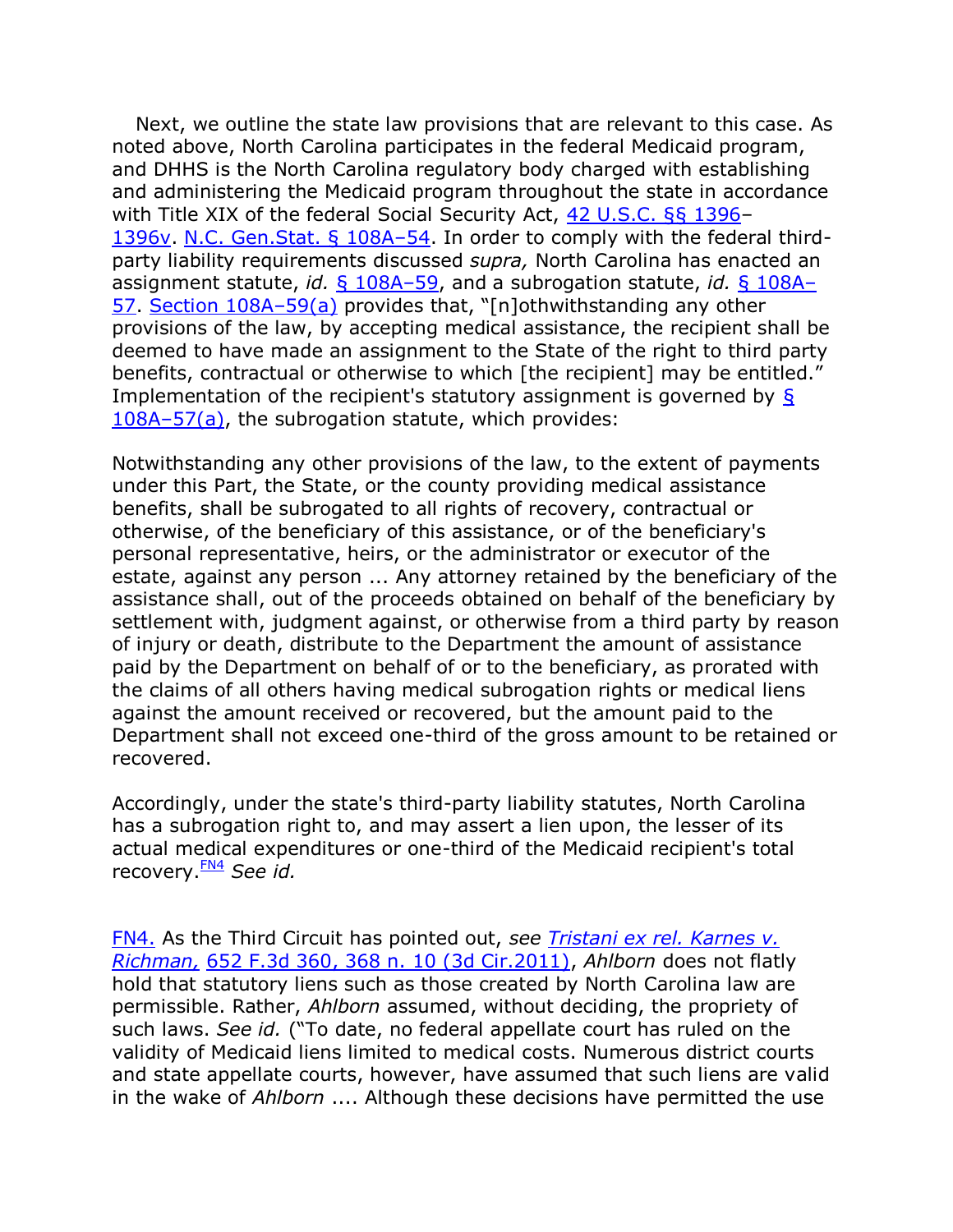Next, we outline the state law provisions that are relevant to this case. As noted above, North Carolina participates in the federal Medicaid program, and DHHS is the North Carolina regulatory body charged with establishing and administering the Medicaid program throughout the state in accordance with Title XIX of the federal Social Security Act, [42 U.S.C. §§ 1396](http://web2.westlaw.com/find/default.wl?mt=Westlaw&db=1000546&docname=42USCAS1396&rp=%2ffind%2fdefault.wl&findtype=L&ordoc=2027358976&tc=-1&vr=2.0&fn=_top&sv=Split&tf=-1&pbc=DC601CB0&rs=WLW12.01)– [1396v.](http://web2.westlaw.com/find/default.wl?mt=Westlaw&db=1000546&docname=42USCAS1396V&rp=%2ffind%2fdefault.wl&findtype=L&ordoc=2027358976&tc=-1&vr=2.0&fn=_top&sv=Split&tf=-1&pbc=DC601CB0&rs=WLW12.01) [N.C. Gen.Stat. § 108A](http://web2.westlaw.com/find/default.wl?mt=Westlaw&db=1000037&docname=NCSTS108A-54&rp=%2ffind%2fdefault.wl&findtype=L&ordoc=2027358976&tc=-1&vr=2.0&fn=_top&sv=Split&tf=-1&pbc=DC601CB0&rs=WLW12.01)–54. In order to comply with the federal thirdparty liability requirements discussed *supra,* North Carolina has enacted an assignment statute, *id.* [§ 108A](http://web2.westlaw.com/find/default.wl?mt=Westlaw&db=1000037&docname=NCSTS108A-59&rp=%2ffind%2fdefault.wl&findtype=L&ordoc=2027358976&tc=-1&vr=2.0&fn=_top&sv=Split&tf=-1&pbc=DC601CB0&rs=WLW12.01)–59, and a subrogation statute, *id.* [§ 108A](http://web2.westlaw.com/find/default.wl?mt=Westlaw&db=1000037&docname=NCSTS108A-57&rp=%2ffind%2fdefault.wl&findtype=L&ordoc=2027358976&tc=-1&vr=2.0&fn=_top&sv=Split&tf=-1&pbc=DC601CB0&rs=WLW12.01)– [57.](http://web2.westlaw.com/find/default.wl?mt=Westlaw&db=1000037&docname=NCSTS108A-57&rp=%2ffind%2fdefault.wl&findtype=L&ordoc=2027358976&tc=-1&vr=2.0&fn=_top&sv=Split&tf=-1&pbc=DC601CB0&rs=WLW12.01) Section  $108A-59(a)$  provides that, "[n]othwithstanding any other provisions of the law, by accepting medical assistance, the recipient shall be deemed to have made an assignment to the State of the right to third party benefits, contractual or otherwise to which [the recipient] may be entitled." Implementation of the recipient's statutory assignment is governed by  $\frac{1}{2}$ 108A–[57\(a\),](http://web2.westlaw.com/find/default.wl?mt=Westlaw&db=1000037&docname=NCSTS108A-57&rp=%2ffind%2fdefault.wl&findtype=L&ordoc=2027358976&tc=-1&vr=2.0&fn=_top&sv=Split&tf=-1&referencepositiontype=T&pbc=DC601CB0&referenceposition=SP%3b8b3b0000958a4&rs=WLW12.01) the subrogation statute, which provides:

Notwithstanding any other provisions of the law, to the extent of payments under this Part, the State, or the county providing medical assistance benefits, shall be subrogated to all rights of recovery, contractual or otherwise, of the beneficiary of this assistance, or of the beneficiary's personal representative, heirs, or the administrator or executor of the estate, against any person ... Any attorney retained by the beneficiary of the assistance shall, out of the proceeds obtained on behalf of the beneficiary by settlement with, judgment against, or otherwise from a third party by reason of injury or death, distribute to the Department the amount of assistance paid by the Department on behalf of or to the beneficiary, as prorated with the claims of all others having medical subrogation rights or medical liens against the amount received or recovered, but the amount paid to the Department shall not exceed one-third of the gross amount to be retained or recovered.

Accordingly, under the state's third-party liability statutes, North Carolina has a subrogation right to, and may assert a lien upon, the lesser of its actual medical expenditures or one-third of the Medicaid recipient's total recovery.[FN4](http://web2.westlaw.com/result/documenttext.aspx?rs=WLW12.01&scxt=WL&rlti=1&rp=%2fFind%2fdefault.wl&rlt=CLID_FQRLT113840157233&service=Find&sv=Split&ss=CNT&cite=2012+WL+956187&n=1&fn=_top&mt=Westlaw&vr=2.0&cnt=DOC&cxt=DC#B00442027358976) *See id.*

[FN4.](http://web2.westlaw.com/result/documenttext.aspx?rs=WLW12.01&scxt=WL&rlti=1&rp=%2fFind%2fdefault.wl&rlt=CLID_FQRLT113840157233&service=Find&sv=Split&ss=CNT&cite=2012+WL+956187&n=1&fn=_top&mt=Westlaw&vr=2.0&cnt=DOC&cxt=DC#F00442027358976) As the Third Circuit has pointed out, *see [Tristani ex rel. Karnes v.](http://web2.westlaw.com/find/default.wl?mt=Westlaw&db=506&tc=-1&rp=%2ffind%2fdefault.wl&findtype=Y&ordoc=2027358976&serialnum=2025577836&vr=2.0&fn=_top&sv=Split&tf=-1&referencepositiontype=S&pbc=DC601CB0&referenceposition=368&rs=WLW12.01)  Richman,* [652 F.3d 360, 368 n. 10 \(3d Cir.2011\),](http://web2.westlaw.com/find/default.wl?mt=Westlaw&db=506&tc=-1&rp=%2ffind%2fdefault.wl&findtype=Y&ordoc=2027358976&serialnum=2025577836&vr=2.0&fn=_top&sv=Split&tf=-1&referencepositiontype=S&pbc=DC601CB0&referenceposition=368&rs=WLW12.01) *Ahlborn* does not flatly hold that statutory liens such as those created by North Carolina law are permissible. Rather, *Ahlborn* assumed, without deciding, the propriety of such laws. *See id.* ("To date, no federal appellate court has ruled on the validity of Medicaid liens limited to medical costs. Numerous district courts and state appellate courts, however, have assumed that such liens are valid in the wake of *Ahlborn* .... Although these decisions have permitted the use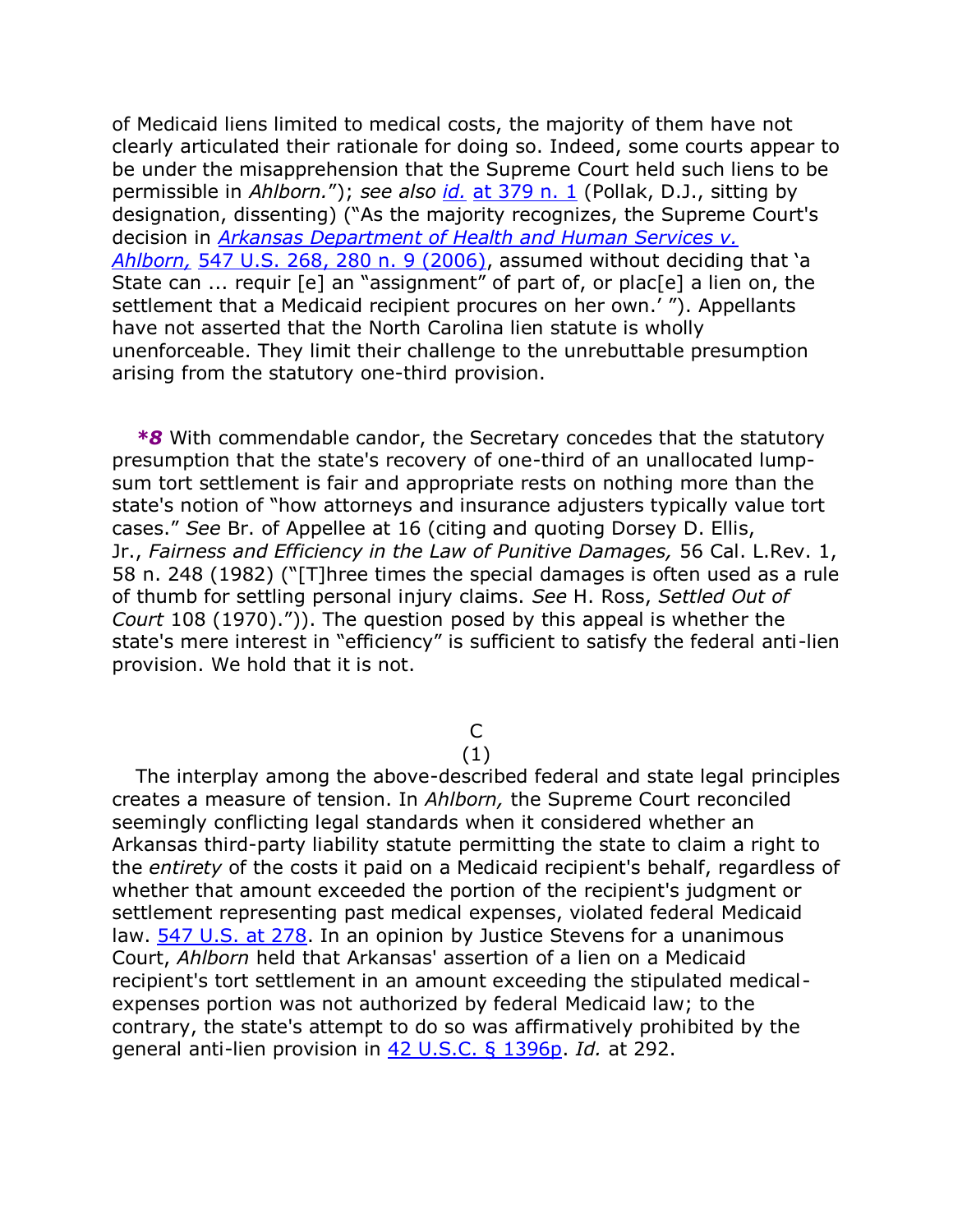of Medicaid liens limited to medical costs, the majority of them have not clearly articulated their rationale for doing so. Indeed, some courts appear to be under the misapprehension that the Supreme Court held such liens to be permissible in *Ahlborn.*‖); *see also id.* [at 379 n. 1](http://web2.westlaw.com/find/default.wl?rs=WLW12.01&pbc=DC601CB0&vr=2.0&findtype=Y&rp=%2ffind%2fdefault.wl&sv=Split&fn=_top&tf=-1&ordoc=2027358976&mt=Westlaw&serialnum=2025577836&tc=-1) (Pollak, D.J., sitting by designation, dissenting) ("As the majority recognizes, the Supreme Court's decision in *[Arkansas Department of Health and Human Services v.](http://web2.westlaw.com/find/default.wl?mt=Westlaw&db=780&tc=-1&rp=%2ffind%2fdefault.wl&findtype=Y&ordoc=2027358976&serialnum=2009061885&vr=2.0&fn=_top&sv=Split&tf=-1&referencepositiontype=S&pbc=DC601CB0&referenceposition=280&rs=WLW12.01)  Ahlborn,* [547 U.S. 268, 280 n. 9 \(2006\)](http://web2.westlaw.com/find/default.wl?mt=Westlaw&db=780&tc=-1&rp=%2ffind%2fdefault.wl&findtype=Y&ordoc=2027358976&serialnum=2009061885&vr=2.0&fn=_top&sv=Split&tf=-1&referencepositiontype=S&pbc=DC601CB0&referenceposition=280&rs=WLW12.01), assumed without deciding that ‗a State can ... requir [e] an "assignment" of part of, or plac[e] a lien on, the settlement that a Medicaid recipient procures on her own.'"). Appellants have not asserted that the North Carolina lien statute is wholly unenforceable. They limit their challenge to the unrebuttable presumption arising from the statutory one-third provision.

*\*8* With commendable candor, the Secretary concedes that the statutory presumption that the state's recovery of one-third of an unallocated lumpsum tort settlement is fair and appropriate rests on nothing more than the state's notion of "how attorneys and insurance adjusters typically value tort cases.‖ *See* Br. of Appellee at 16 (citing and quoting Dorsey D. Ellis, Jr., *Fairness and Efficiency in the Law of Punitive Damages,* 56 Cal. L.Rev. 1, 58 n. 248 (1982) ("[T]hree times the special damages is often used as a rule of thumb for settling personal injury claims. *See* H. Ross, *Settled Out of Court* 108 (1970).")). The question posed by this appeal is whether the state's mere interest in "efficiency" is sufficient to satisfy the federal anti-lien provision. We hold that it is not.

> C (1)

The interplay among the above-described federal and state legal principles creates a measure of tension. In *Ahlborn,* the Supreme Court reconciled seemingly conflicting legal standards when it considered whether an Arkansas third-party liability statute permitting the state to claim a right to the *entirety* of the costs it paid on a Medicaid recipient's behalf, regardless of whether that amount exceeded the portion of the recipient's judgment or settlement representing past medical expenses, violated federal Medicaid law. [547 U.S. at 278.](http://web2.westlaw.com/find/default.wl?mt=Westlaw&db=780&tc=-1&rp=%2ffind%2fdefault.wl&findtype=Y&ordoc=2027358976&serialnum=2009061885&vr=2.0&fn=_top&sv=Split&tf=-1&referencepositiontype=S&pbc=DC601CB0&referenceposition=278&rs=WLW12.01) In an opinion by Justice Stevens for a unanimous Court, *Ahlborn* held that Arkansas' assertion of a lien on a Medicaid recipient's tort settlement in an amount exceeding the stipulated medicalexpenses portion was not authorized by federal Medicaid law; to the contrary, the state's attempt to do so was affirmatively prohibited by the general anti-lien provision in [42 U.S.C. § 1396p.](http://web2.westlaw.com/find/default.wl?mt=Westlaw&db=1000546&docname=42USCAS1396P&rp=%2ffind%2fdefault.wl&findtype=L&ordoc=2027358976&tc=-1&vr=2.0&fn=_top&sv=Split&tf=-1&pbc=DC601CB0&rs=WLW12.01) *Id.* at 292.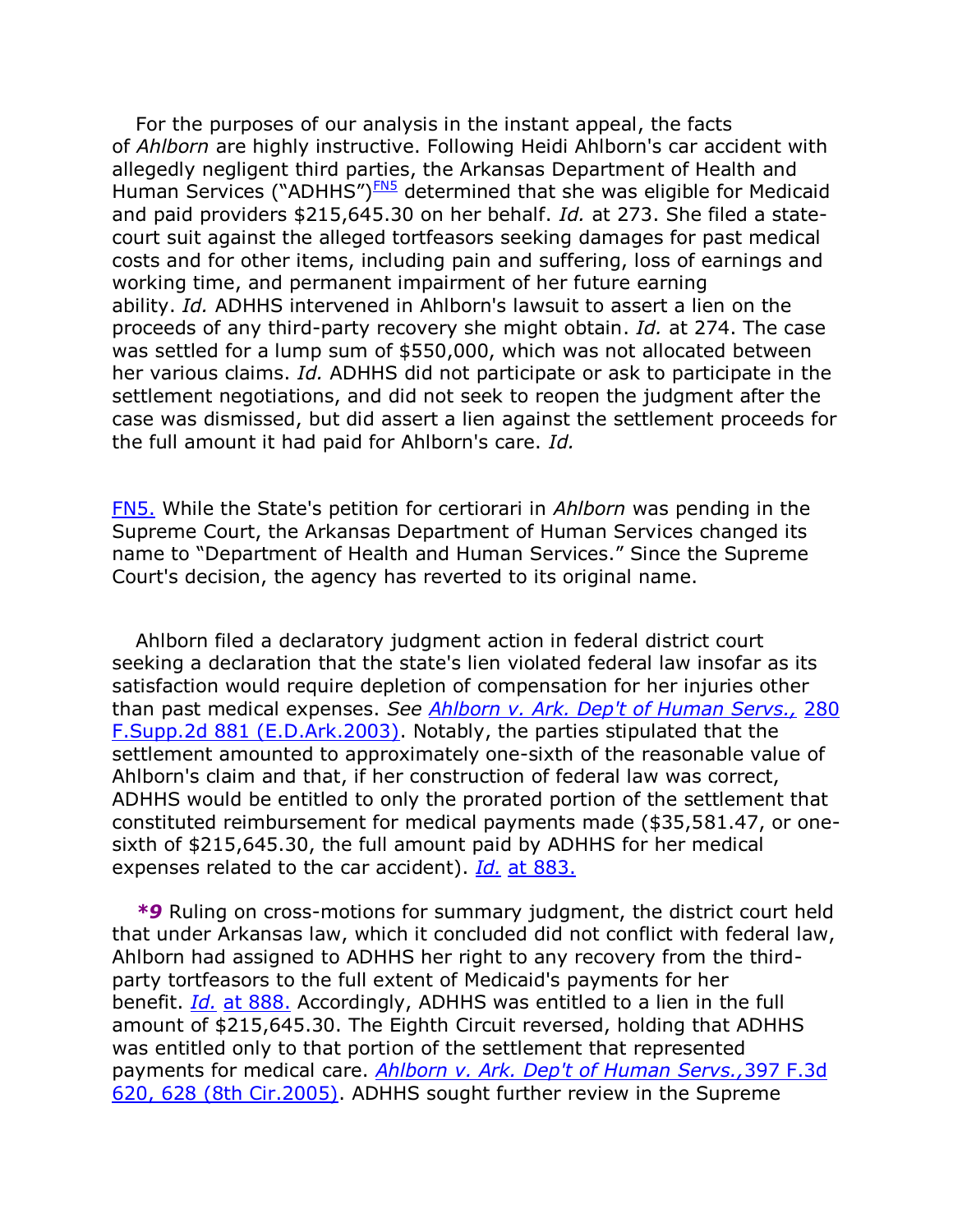For the purposes of our analysis in the instant appeal, the facts of *Ahlborn* are highly instructive. Following Heidi Ahlborn's car accident with allegedly negligent third parties, the Arkansas Department of Health and Human Services ("ADHHS")<sup>[FN5](http://web2.westlaw.com/result/documenttext.aspx?rs=WLW12.01&scxt=WL&rlti=1&rp=%2fFind%2fdefault.wl&rlt=CLID_FQRLT113840157233&service=Find&sv=Split&ss=CNT&cite=2012+WL+956187&n=1&fn=_top&mt=Westlaw&vr=2.0&cnt=DOC&cxt=DC#B00552027358976)</sup> determined that she was eligible for Medicaid and paid providers \$215,645.30 on her behalf. *Id.* at 273. She filed a statecourt suit against the alleged tortfeasors seeking damages for past medical costs and for other items, including pain and suffering, loss of earnings and working time, and permanent impairment of her future earning ability. *Id.* ADHHS intervened in Ahlborn's lawsuit to assert a lien on the proceeds of any third-party recovery she might obtain. *Id.* at 274. The case was settled for a lump sum of \$550,000, which was not allocated between her various claims. *Id.* ADHHS did not participate or ask to participate in the settlement negotiations, and did not seek to reopen the judgment after the case was dismissed, but did assert a lien against the settlement proceeds for the full amount it had paid for Ahlborn's care. *Id.*

[FN5.](http://web2.westlaw.com/result/documenttext.aspx?rs=WLW12.01&scxt=WL&rlti=1&rp=%2fFind%2fdefault.wl&rlt=CLID_FQRLT113840157233&service=Find&sv=Split&ss=CNT&cite=2012+WL+956187&n=1&fn=_top&mt=Westlaw&vr=2.0&cnt=DOC&cxt=DC#F00552027358976) While the State's petition for certiorari in *Ahlborn* was pending in the Supreme Court, the Arkansas Department of Human Services changed its name to "Department of Health and Human Services." Since the Supreme Court's decision, the agency has reverted to its original name.

Ahlborn filed a declaratory judgment action in federal district court seeking a declaration that the state's lien violated federal law insofar as its satisfaction would require depletion of compensation for her injuries other than past medical expenses. *See [Ahlborn v. Ark. Dep't of Human Servs.,](http://web2.westlaw.com/find/default.wl?mt=Westlaw&db=4637&tc=-1&rp=%2ffind%2fdefault.wl&findtype=Y&ordoc=2027358976&serialnum=2003613225&vr=2.0&fn=_top&sv=Split&tf=-1&pbc=DC601CB0&rs=WLW12.01)* 280 [F.Supp.2d 881 \(E.D.Ark.2003\).](http://web2.westlaw.com/find/default.wl?mt=Westlaw&db=4637&tc=-1&rp=%2ffind%2fdefault.wl&findtype=Y&ordoc=2027358976&serialnum=2003613225&vr=2.0&fn=_top&sv=Split&tf=-1&pbc=DC601CB0&rs=WLW12.01) Notably, the parties stipulated that the settlement amounted to approximately one-sixth of the reasonable value of Ahlborn's claim and that, if her construction of federal law was correct, ADHHS would be entitled to only the prorated portion of the settlement that constituted reimbursement for medical payments made (\$35,581.47, or onesixth of \$215,645.30, the full amount paid by ADHHS for her medical expenses related to the car accident). *Id.* [at 883.](http://web2.westlaw.com/find/default.wl?rs=WLW12.01&pbc=DC601CB0&vr=2.0&findtype=Y&rp=%2ffind%2fdefault.wl&sv=Split&fn=_top&tf=-1&ordoc=2027358976&mt=Westlaw&serialnum=2003613225&tc=-1)

*\*9* Ruling on cross-motions for summary judgment, the district court held that under Arkansas law, which it concluded did not conflict with federal law, Ahlborn had assigned to ADHHS her right to any recovery from the thirdparty tortfeasors to the full extent of Medicaid's payments for her benefit. *Id.* [at 888.](http://web2.westlaw.com/find/default.wl?rs=WLW12.01&pbc=DC601CB0&vr=2.0&findtype=Y&rp=%2ffind%2fdefault.wl&sv=Split&fn=_top&tf=-1&ordoc=2027358976&mt=Westlaw&serialnum=2003613225&tc=-1) Accordingly, ADHHS was entitled to a lien in the full amount of \$215,645.30. The Eighth Circuit reversed, holding that ADHHS was entitled only to that portion of the settlement that represented payments for medical care. *[Ahlborn v. Ark. Dep't of Human Servs.,](http://web2.westlaw.com/find/default.wl?mt=Westlaw&db=506&tc=-1&rp=%2ffind%2fdefault.wl&findtype=Y&ordoc=2027358976&serialnum=2006194642&vr=2.0&fn=_top&sv=Split&tf=-1&referencepositiontype=S&pbc=DC601CB0&referenceposition=628&rs=WLW12.01)*397 F.3d [620, 628 \(8th Cir.2005\).](http://web2.westlaw.com/find/default.wl?mt=Westlaw&db=506&tc=-1&rp=%2ffind%2fdefault.wl&findtype=Y&ordoc=2027358976&serialnum=2006194642&vr=2.0&fn=_top&sv=Split&tf=-1&referencepositiontype=S&pbc=DC601CB0&referenceposition=628&rs=WLW12.01) ADHHS sought further review in the Supreme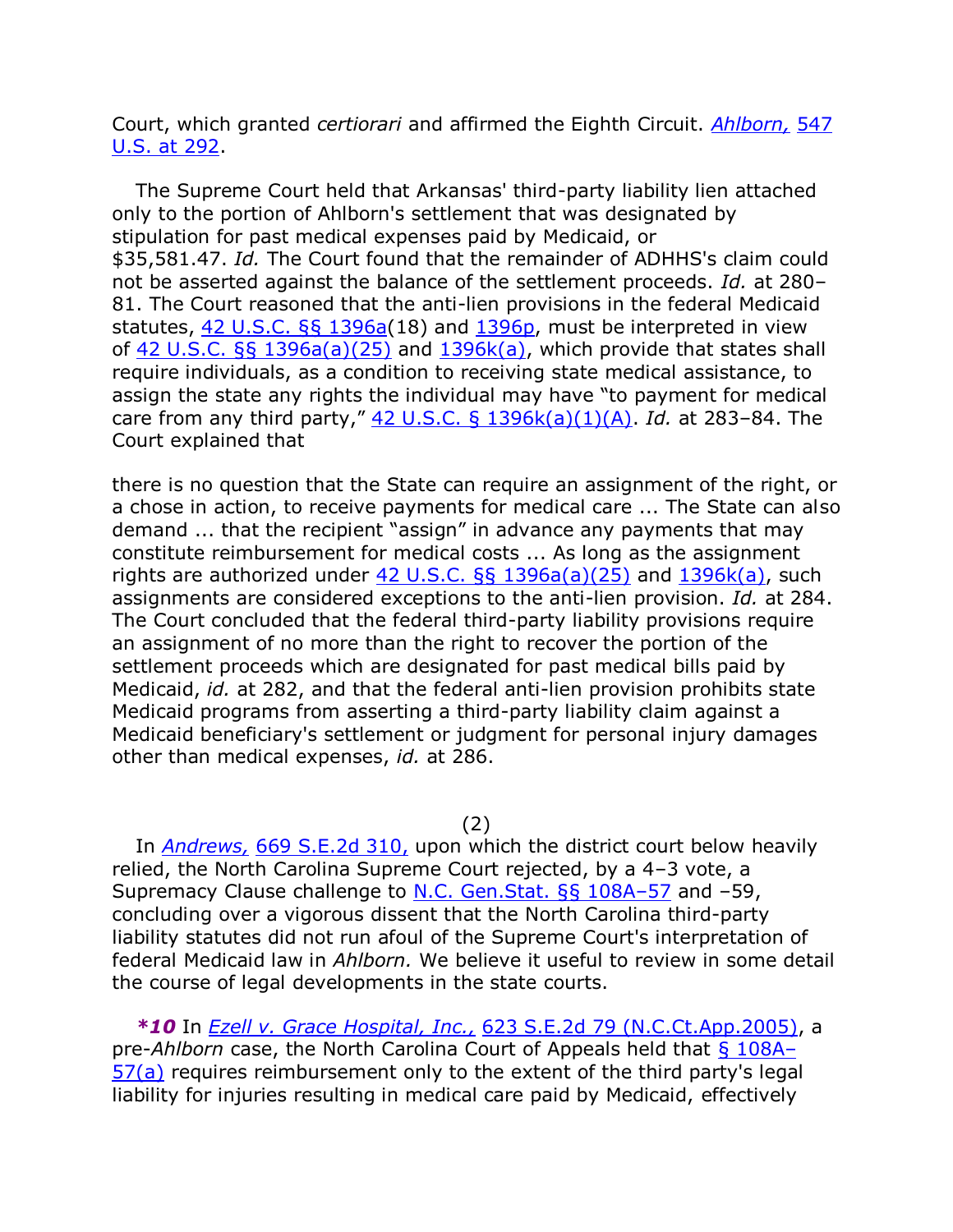Court, which granted *certiorari* and affirmed the Eighth Circuit. *[Ahlborn,](http://web2.westlaw.com/find/default.wl?mt=Westlaw&db=780&tc=-1&rp=%2ffind%2fdefault.wl&findtype=Y&ordoc=2027358976&serialnum=2009061885&vr=2.0&fn=_top&sv=Split&tf=-1&referencepositiontype=S&pbc=DC601CB0&referenceposition=292&rs=WLW12.01)* 547 [U.S. at 292.](http://web2.westlaw.com/find/default.wl?mt=Westlaw&db=780&tc=-1&rp=%2ffind%2fdefault.wl&findtype=Y&ordoc=2027358976&serialnum=2009061885&vr=2.0&fn=_top&sv=Split&tf=-1&referencepositiontype=S&pbc=DC601CB0&referenceposition=292&rs=WLW12.01)

The Supreme Court held that Arkansas' third-party liability lien attached only to the portion of Ahlborn's settlement that was designated by stipulation for past medical expenses paid by Medicaid, or \$35,581.47. *Id.* The Court found that the remainder of ADHHS's claim could not be asserted against the balance of the settlement proceeds. *Id.* at 280– 81. The Court reasoned that the anti-lien provisions in the federal Medicaid statutes, [42 U.S.C. §§ 1396a\(](http://web2.westlaw.com/find/default.wl?mt=Westlaw&db=1000546&docname=42USCAS1396A&rp=%2ffind%2fdefault.wl&findtype=L&ordoc=2027358976&tc=-1&vr=2.0&fn=_top&sv=Split&tf=-1&pbc=DC601CB0&rs=WLW12.01)18) and [1396p,](http://web2.westlaw.com/find/default.wl?mt=Westlaw&db=1000546&docname=42USCAS1396P&rp=%2ffind%2fdefault.wl&findtype=L&ordoc=2027358976&tc=-1&vr=2.0&fn=_top&sv=Split&tf=-1&pbc=DC601CB0&rs=WLW12.01) must be interpreted in view of  $42$  U.S.C. §§ 1396a(a)(25) and  $1396k(a)$ , which provide that states shall require individuals, as a condition to receiving state medical assistance, to assign the state any rights the individual may have "to payment for medical care from any third party,"  $42$  U.S.C. § 1396k(a)(1)(A). *Id.* at 283-84. The Court explained that

there is no question that the State can require an assignment of the right, or a chose in action, to receive payments for medical care ... The State can also demand ... that the recipient "assign" in advance any payments that may constitute reimbursement for medical costs ... As long as the assignment rights are authorized under 42 U.S.C.  $\S$ § 1396a(a)(25) and [1396k\(a\),](http://web2.westlaw.com/find/default.wl?mt=Westlaw&db=1000546&docname=42USCAS1396K&rp=%2ffind%2fdefault.wl&findtype=L&ordoc=2027358976&tc=-1&vr=2.0&fn=_top&sv=Split&tf=-1&referencepositiontype=T&pbc=DC601CB0&referenceposition=SP%3b8b3b0000958a4&rs=WLW12.01) such assignments are considered exceptions to the anti-lien provision. *Id.* at 284. The Court concluded that the federal third-party liability provisions require an assignment of no more than the right to recover the portion of the settlement proceeds which are designated for past medical bills paid by Medicaid, *id.* at 282, and that the federal anti-lien provision prohibits state Medicaid programs from asserting a third-party liability claim against a Medicaid beneficiary's settlement or judgment for personal injury damages other than medical expenses, *id.* at 286.

(2)

In *Andrews,* [669 S.E.2d 310,](http://web2.westlaw.com/find/default.wl?mt=Westlaw&db=711&tc=-1&rp=%2ffind%2fdefault.wl&findtype=Y&ordoc=2027358976&serialnum=2017647831&vr=2.0&fn=_top&sv=Split&tf=-1&pbc=DC601CB0&rs=WLW12.01) upon which the district court below heavily relied, the North Carolina Supreme Court rejected, by a 4–3 vote, a Supremacy Clause challenge to N.C. Gen. Stat. §§ 108A-57 and -59, concluding over a vigorous dissent that the North Carolina third-party liability statutes did not run afoul of the Supreme Court's interpretation of federal Medicaid law in *Ahlborn.* We believe it useful to review in some detail the course of legal developments in the state courts.

*\*10* In *Ezell v. Grace Hospital, Inc.,* [623 S.E.2d 79 \(N.C.Ct.App.2005\),](http://web2.westlaw.com/find/default.wl?mt=Westlaw&db=711&tc=-1&rp=%2ffind%2fdefault.wl&findtype=Y&ordoc=2027358976&serialnum=2007916546&vr=2.0&fn=_top&sv=Split&tf=-1&pbc=DC601CB0&rs=WLW12.01) a pre-*Ahlborn* case, the North Carolina Court of Appeals held that [§ 108A](http://web2.westlaw.com/find/default.wl?mt=Westlaw&db=1000037&docname=NCSTS108A-57&rp=%2ffind%2fdefault.wl&findtype=L&ordoc=2027358976&tc=-1&vr=2.0&fn=_top&sv=Split&tf=-1&referencepositiontype=T&pbc=DC601CB0&referenceposition=SP%3b8b3b0000958a4&rs=WLW12.01)– [57\(a\)](http://web2.westlaw.com/find/default.wl?mt=Westlaw&db=1000037&docname=NCSTS108A-57&rp=%2ffind%2fdefault.wl&findtype=L&ordoc=2027358976&tc=-1&vr=2.0&fn=_top&sv=Split&tf=-1&referencepositiontype=T&pbc=DC601CB0&referenceposition=SP%3b8b3b0000958a4&rs=WLW12.01) requires reimbursement only to the extent of the third party's legal liability for injuries resulting in medical care paid by Medicaid, effectively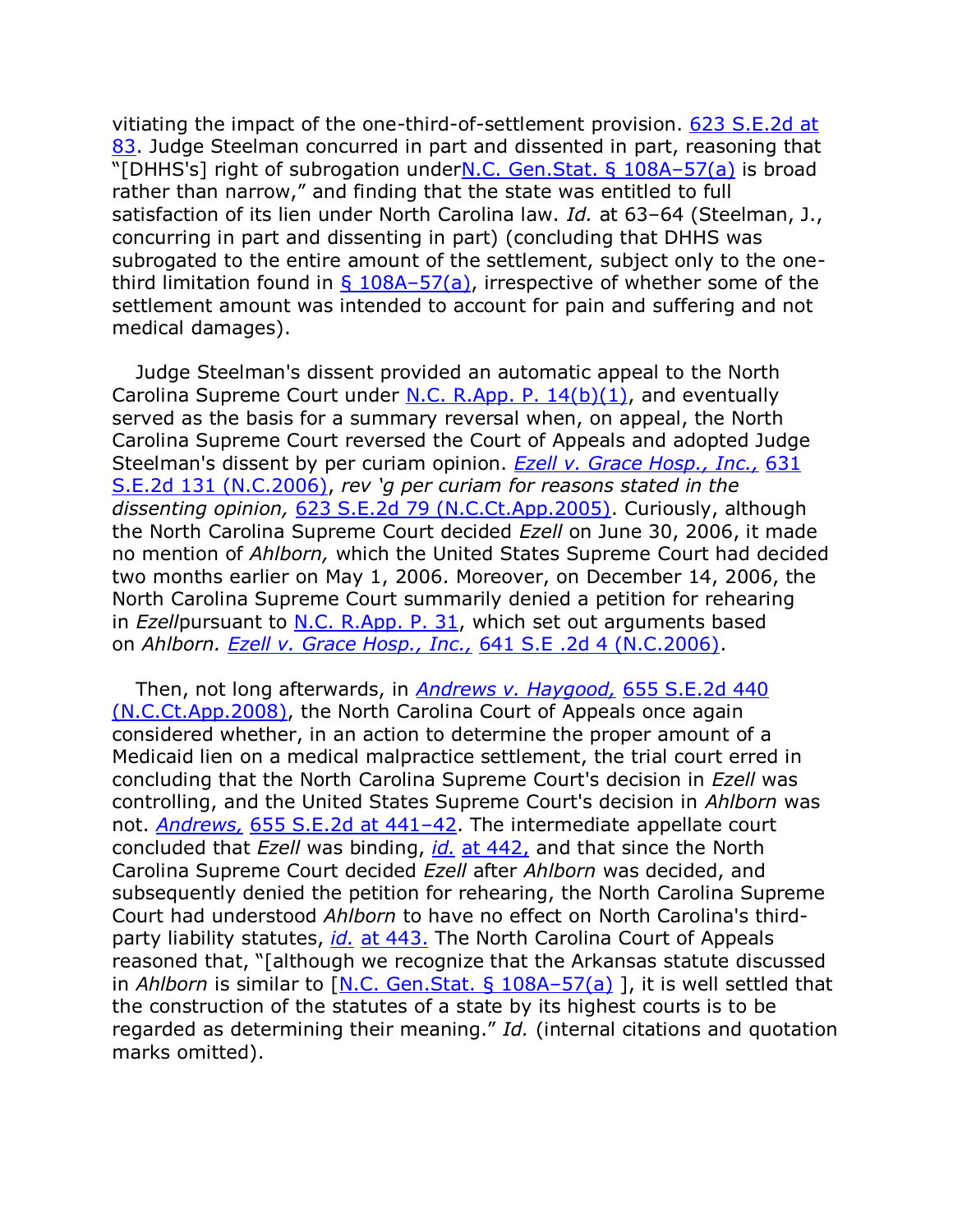vitiating the impact of the one-third-of-settlement provision. [623 S.E.2d at](http://web2.westlaw.com/find/default.wl?mt=Westlaw&db=711&tc=-1&rp=%2ffind%2fdefault.wl&findtype=Y&ordoc=2027358976&serialnum=2007916546&vr=2.0&fn=_top&sv=Split&tf=-1&referencepositiontype=S&pbc=DC601CB0&referenceposition=83&rs=WLW12.01)  [83.](http://web2.westlaw.com/find/default.wl?mt=Westlaw&db=711&tc=-1&rp=%2ffind%2fdefault.wl&findtype=Y&ordoc=2027358976&serialnum=2007916546&vr=2.0&fn=_top&sv=Split&tf=-1&referencepositiontype=S&pbc=DC601CB0&referenceposition=83&rs=WLW12.01) Judge Steelman concurred in part and dissented in part, reasoning that "[DHHS's] right of subrogation under[N.C. Gen.Stat. § 108A](http://web2.westlaw.com/find/default.wl?mt=Westlaw&db=1000037&docname=NCSTS108A-57&rp=%2ffind%2fdefault.wl&findtype=L&ordoc=2027358976&tc=-1&vr=2.0&fn=_top&sv=Split&tf=-1&referencepositiontype=T&pbc=DC601CB0&referenceposition=SP%3b8b3b0000958a4&rs=WLW12.01)-57(a) is broad rather than narrow," and finding that the state was entitled to full satisfaction of its lien under North Carolina law. *Id.* at 63–64 (Steelman, J., concurring in part and dissenting in part) (concluding that DHHS was subrogated to the entire amount of the settlement, subject only to the onethird limitation found in  $\frac{2}{9}$  108A–57(a), irrespective of whether some of the settlement amount was intended to account for pain and suffering and not medical damages).

Judge Steelman's dissent provided an automatic appeal to the North Carolina Supreme Court under [N.C. R.App. P. 14\(b\)\(1\),](http://web2.westlaw.com/find/default.wl?mt=Westlaw&db=1006366&docname=NCRRAPAPPR14&rp=%2ffind%2fdefault.wl&findtype=L&ordoc=2027358976&tc=-1&vr=2.0&fn=_top&sv=Split&tf=-1&pbc=DC601CB0&rs=WLW12.01) and eventually served as the basis for a summary reversal when, on appeal, the North Carolina Supreme Court reversed the Court of Appeals and adopted Judge Steelman's dissent by per curiam opinion. *[Ezell v. Grace Hosp., Inc.,](http://web2.westlaw.com/find/default.wl?mt=Westlaw&db=711&tc=-1&rp=%2ffind%2fdefault.wl&findtype=Y&ordoc=2027358976&serialnum=2009470338&vr=2.0&fn=_top&sv=Split&tf=-1&pbc=DC601CB0&rs=WLW12.01)* 631 [S.E.2d 131 \(N.C.2006\),](http://web2.westlaw.com/find/default.wl?mt=Westlaw&db=711&tc=-1&rp=%2ffind%2fdefault.wl&findtype=Y&ordoc=2027358976&serialnum=2009470338&vr=2.0&fn=_top&sv=Split&tf=-1&pbc=DC601CB0&rs=WLW12.01) *rev 'g per curiam for reasons stated in the dissenting opinion,* [623 S.E.2d 79 \(N.C.Ct.App.2005\).](http://web2.westlaw.com/find/default.wl?mt=Westlaw&db=711&tc=-1&rp=%2ffind%2fdefault.wl&findtype=Y&ordoc=2027358976&serialnum=2007916546&vr=2.0&fn=_top&sv=Split&tf=-1&pbc=DC601CB0&rs=WLW12.01) Curiously, although the North Carolina Supreme Court decided *Ezell* on June 30, 2006, it made no mention of *Ahlborn,* which the United States Supreme Court had decided two months earlier on May 1, 2006. Moreover, on December 14, 2006, the North Carolina Supreme Court summarily denied a petition for rehearing in *Ezell* pursuant to [N.C. R.App. P. 31,](http://web2.westlaw.com/find/default.wl?mt=Westlaw&db=1006366&docname=NCRRAPAPPR31&rp=%2ffind%2fdefault.wl&findtype=L&ordoc=2027358976&tc=-1&vr=2.0&fn=_top&sv=Split&tf=-1&pbc=DC601CB0&rs=WLW12.01) which set out arguments based on *Ahlborn. [Ezell v. Grace Hosp., Inc.,](http://web2.westlaw.com/find/default.wl?mt=Westlaw&db=711&tc=-1&rp=%2ffind%2fdefault.wl&findtype=Y&ordoc=2027358976&serialnum=2011588429&vr=2.0&fn=_top&sv=Split&tf=-1&pbc=DC601CB0&rs=WLW12.01)* 641 S.E .2d 4 (N.C.2006).

Then, not long afterwards, in *[Andrews v. Haygood,](http://web2.westlaw.com/find/default.wl?mt=Westlaw&db=711&tc=-1&rp=%2ffind%2fdefault.wl&findtype=Y&ordoc=2027358976&serialnum=2014711733&vr=2.0&fn=_top&sv=Split&tf=-1&pbc=DC601CB0&rs=WLW12.01)* 655 S.E.2d 440 [\(N.C.Ct.App.2008\),](http://web2.westlaw.com/find/default.wl?mt=Westlaw&db=711&tc=-1&rp=%2ffind%2fdefault.wl&findtype=Y&ordoc=2027358976&serialnum=2014711733&vr=2.0&fn=_top&sv=Split&tf=-1&pbc=DC601CB0&rs=WLW12.01) the North Carolina Court of Appeals once again considered whether, in an action to determine the proper amount of a Medicaid lien on a medical malpractice settlement, the trial court erred in concluding that the North Carolina Supreme Court's decision in *Ezell* was controlling, and the United States Supreme Court's decision in *Ahlborn* was not. *Andrews,* [655 S.E.2d at 441](http://web2.westlaw.com/find/default.wl?mt=Westlaw&db=711&tc=-1&rp=%2ffind%2fdefault.wl&findtype=Y&ordoc=2027358976&serialnum=2014711733&vr=2.0&fn=_top&sv=Split&tf=-1&referencepositiontype=S&pbc=DC601CB0&referenceposition=441&rs=WLW12.01)–42. The intermediate appellate court concluded that *Ezell* was binding, *id.* [at 442,](http://web2.westlaw.com/find/default.wl?rs=WLW12.01&pbc=DC601CB0&vr=2.0&findtype=Y&rp=%2ffind%2fdefault.wl&sv=Split&fn=_top&tf=-1&ordoc=2027358976&mt=Westlaw&serialnum=2014711733&tc=-1) and that since the North Carolina Supreme Court decided *Ezell* after *Ahlborn* was decided, and subsequently denied the petition for rehearing, the North Carolina Supreme Court had understood *Ahlborn* to have no effect on North Carolina's thirdparty liability statutes, *id.* [at 443.](http://web2.westlaw.com/find/default.wl?rs=WLW12.01&pbc=DC601CB0&vr=2.0&findtype=Y&rp=%2ffind%2fdefault.wl&sv=Split&fn=_top&tf=-1&ordoc=2027358976&mt=Westlaw&serialnum=2014711733&tc=-1) The North Carolina Court of Appeals reasoned that, "[although we recognize that the Arkansas statute discussed in *Ahlborn* is similar to [\[N.C. Gen.Stat. § 108A](http://web2.westlaw.com/find/default.wl?mt=Westlaw&db=1000037&docname=NCSTS108A-57&rp=%2ffind%2fdefault.wl&findtype=L&ordoc=2027358976&tc=-1&vr=2.0&fn=_top&sv=Split&tf=-1&referencepositiontype=T&pbc=DC601CB0&referenceposition=SP%3b8b3b0000958a4&rs=WLW12.01)–57(a) ], it is well settled that the construction of the statutes of a state by its highest courts is to be regarded as determining their meaning." *Id.* (internal citations and quotation marks omitted).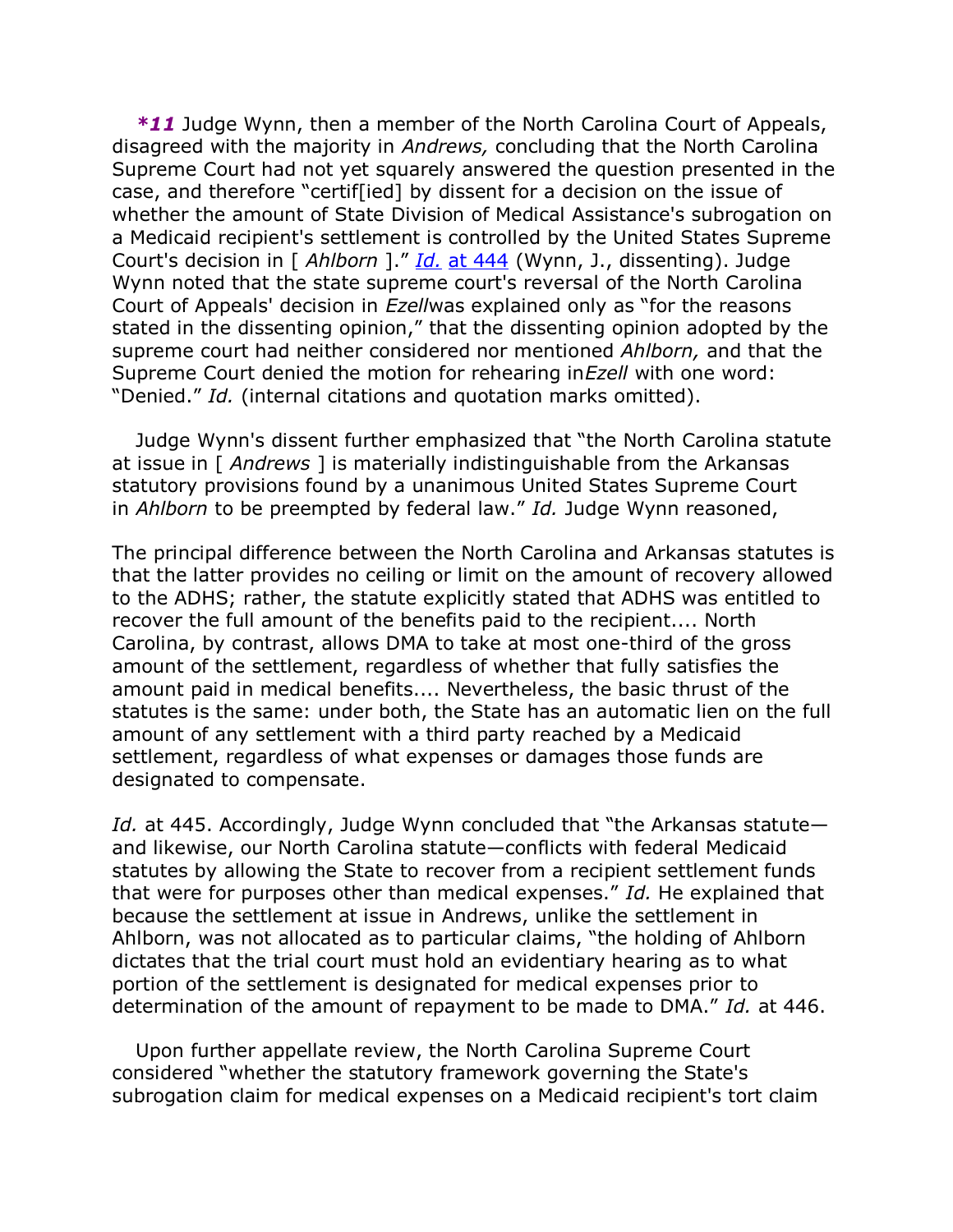*\*11* Judge Wynn, then a member of the North Carolina Court of Appeals, disagreed with the majority in *Andrews,* concluding that the North Carolina Supreme Court had not yet squarely answered the question presented in the case, and therefore "certif[ied] by dissent for a decision on the issue of whether the amount of State Division of Medical Assistance's subrogation on a Medicaid recipient's settlement is controlled by the United States Supreme Court's decision in [ *Ahlborn* ]." *Id.* [at 444](http://web2.westlaw.com/find/default.wl?rs=WLW12.01&pbc=DC601CB0&vr=2.0&findtype=Y&rp=%2ffind%2fdefault.wl&sv=Split&fn=_top&tf=-1&ordoc=2027358976&mt=Westlaw&serialnum=2014711733&tc=-1) (Wynn, J., dissenting). Judge Wynn noted that the state supreme court's reversal of the North Carolina Court of Appeals' decision in *Ezellwas* explained only as "for the reasons" stated in the dissenting opinion," that the dissenting opinion adopted by the supreme court had neither considered nor mentioned *Ahlborn,* and that the Supreme Court denied the motion for rehearing in*Ezell* with one word: ―Denied.‖ *Id.* (internal citations and quotation marks omitted).

Judge Wynn's dissent further emphasized that "the North Carolina statute at issue in [ *Andrews* ] is materially indistinguishable from the Arkansas statutory provisions found by a unanimous United States Supreme Court in *Ahlborn* to be preempted by federal law." *Id.* Judge Wynn reasoned,

The principal difference between the North Carolina and Arkansas statutes is that the latter provides no ceiling or limit on the amount of recovery allowed to the ADHS; rather, the statute explicitly stated that ADHS was entitled to recover the full amount of the benefits paid to the recipient.... North Carolina, by contrast, allows DMA to take at most one-third of the gross amount of the settlement, regardless of whether that fully satisfies the amount paid in medical benefits.... Nevertheless, the basic thrust of the statutes is the same: under both, the State has an automatic lien on the full amount of any settlement with a third party reached by a Medicaid settlement, regardless of what expenses or damages those funds are designated to compensate.

*Id.* at 445. Accordingly, Judge Wynn concluded that "the Arkansas statute and likewise, our North Carolina statute—conflicts with federal Medicaid statutes by allowing the State to recover from a recipient settlement funds that were for purposes other than medical expenses.‖ *Id.* He explained that because the settlement at issue in Andrews, unlike the settlement in Ahlborn, was not allocated as to particular claims, "the holding of Ahlborn dictates that the trial court must hold an evidentiary hearing as to what portion of the settlement is designated for medical expenses prior to determination of the amount of repayment to be made to DMA." Id. at 446.

Upon further appellate review, the North Carolina Supreme Court considered ―whether the statutory framework governing the State's subrogation claim for medical expenses on a Medicaid recipient's tort claim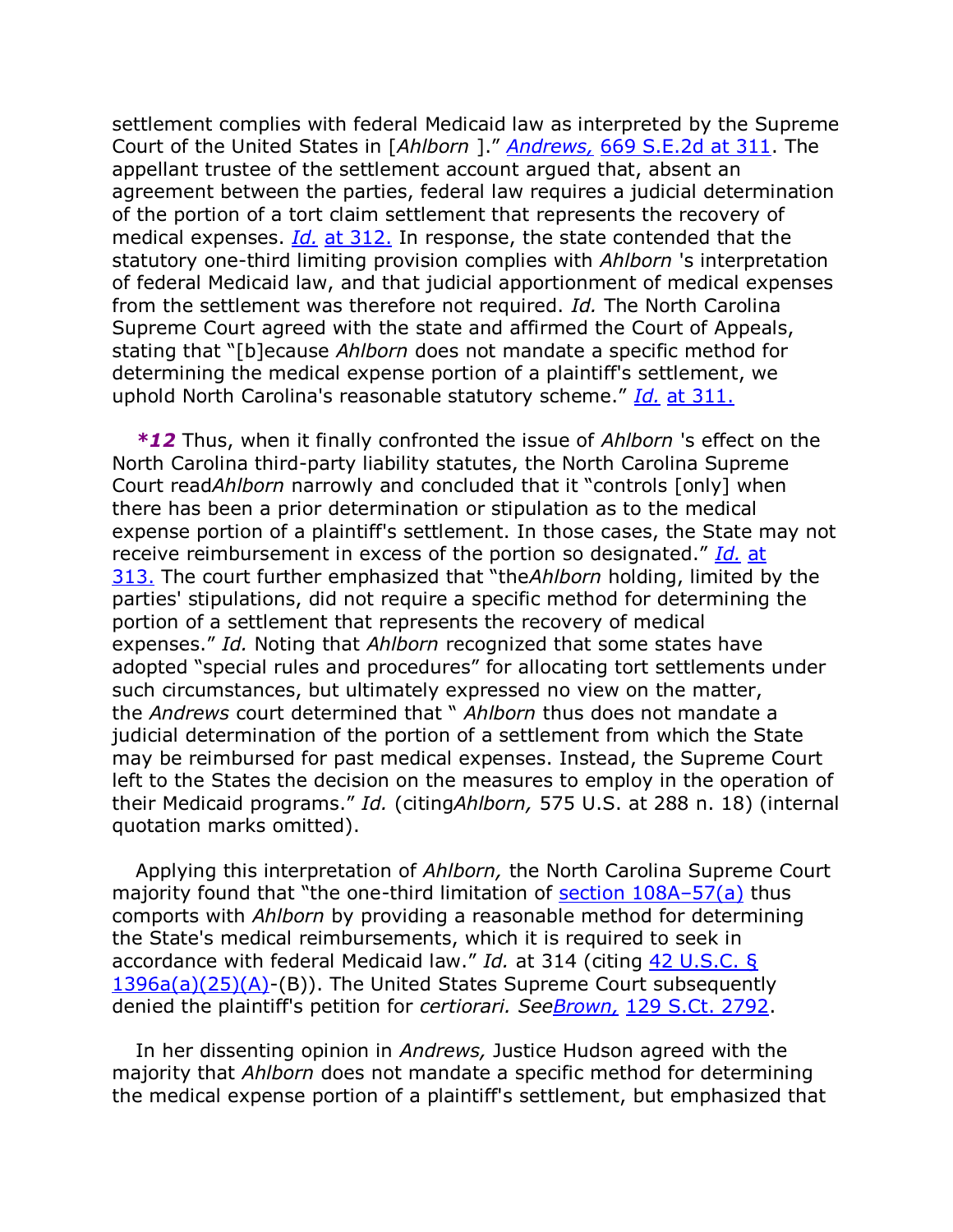settlement complies with federal Medicaid law as interpreted by the Supreme Court of the United States in [*Ahlborn* ].‖ *Andrews,* [669 S.E.2d at 311.](http://web2.westlaw.com/find/default.wl?mt=Westlaw&db=711&tc=-1&rp=%2ffind%2fdefault.wl&findtype=Y&ordoc=2027358976&serialnum=2017647831&vr=2.0&fn=_top&sv=Split&tf=-1&referencepositiontype=S&pbc=DC601CB0&referenceposition=311&rs=WLW12.01) The appellant trustee of the settlement account argued that, absent an agreement between the parties, federal law requires a judicial determination of the portion of a tort claim settlement that represents the recovery of medical expenses. *Id.* [at 312.](http://web2.westlaw.com/find/default.wl?rs=WLW12.01&pbc=DC601CB0&vr=2.0&findtype=Y&rp=%2ffind%2fdefault.wl&sv=Split&fn=_top&tf=-1&ordoc=2027358976&mt=Westlaw&serialnum=2017647831&tc=-1) In response, the state contended that the statutory one-third limiting provision complies with *Ahlborn* 's interpretation of federal Medicaid law, and that judicial apportionment of medical expenses from the settlement was therefore not required. *Id.* The North Carolina Supreme Court agreed with the state and affirmed the Court of Appeals, stating that "[b]ecause *Ahlborn* does not mandate a specific method for determining the medical expense portion of a plaintiff's settlement, we uphold North Carolina's reasonable statutory scheme." Id. [at 311.](http://web2.westlaw.com/find/default.wl?rs=WLW12.01&pbc=DC601CB0&vr=2.0&findtype=Y&rp=%2ffind%2fdefault.wl&sv=Split&fn=_top&tf=-1&ordoc=2027358976&mt=Westlaw&serialnum=2017647831&tc=-1)

*\*12* Thus, when it finally confronted the issue of *Ahlborn* 's effect on the North Carolina third-party liability statutes, the North Carolina Supreme Court read*Ahlborn* narrowly and concluded that it "controls [only] when there has been a prior determination or stipulation as to the medical expense portion of a plaintiff's settlement. In those cases, the State may not receive reimbursement in excess of the portion so designated." *[Id.](http://web2.westlaw.com/find/default.wl?rs=WLW12.01&pbc=DC601CB0&vr=2.0&findtype=Y&rp=%2ffind%2fdefault.wl&sv=Split&fn=_top&tf=-1&ordoc=2027358976&mt=Westlaw&serialnum=2017647831&tc=-1)* at [313.](http://web2.westlaw.com/find/default.wl?rs=WLW12.01&pbc=DC601CB0&vr=2.0&findtype=Y&rp=%2ffind%2fdefault.wl&sv=Split&fn=_top&tf=-1&ordoc=2027358976&mt=Westlaw&serialnum=2017647831&tc=-1) The court further emphasized that "the *Ahlborn* holding, limited by the parties' stipulations, did not require a specific method for determining the portion of a settlement that represents the recovery of medical expenses.‖ *Id.* Noting that *Ahlborn* recognized that some states have adopted "special rules and procedures" for allocating tort settlements under such circumstances, but ultimately expressed no view on the matter, the *Andrews* court determined that ― *Ahlborn* thus does not mandate a judicial determination of the portion of a settlement from which the State may be reimbursed for past medical expenses. Instead, the Supreme Court left to the States the decision on the measures to employ in the operation of their Medicaid programs.‖ *Id.* (citing*Ahlborn,* 575 U.S. at 288 n. 18) (internal quotation marks omitted).

Applying this interpretation of *Ahlborn,* the North Carolina Supreme Court majority found that "the one-third limitation of section  $108A-57(a)$  thus comports with *Ahlborn* by providing a reasonable method for determining the State's medical reimbursements, which it is required to seek in accordance with federal Medicaid law.‖ *Id.* at 314 (citing [42 U.S.C. §](http://web2.westlaw.com/find/default.wl?mt=Westlaw&db=1000546&docname=42USCAS1396A&rp=%2ffind%2fdefault.wl&findtype=L&ordoc=2027358976&tc=-1&vr=2.0&fn=_top&sv=Split&tf=-1&referencepositiontype=T&pbc=DC601CB0&referenceposition=SP%3b896a0000e5e97&rs=WLW12.01)   $1396a(a)(25)(A)$ -(B)). The United States Supreme Court subsequently denied the plaintiff's petition for *certiorari. SeeBrown,* [129 S.Ct. 2792.](http://web2.westlaw.com/find/default.wl?mt=Westlaw&db=708&tc=-1&rp=%2ffind%2fdefault.wl&findtype=Y&ordoc=2027358976&serialnum=2018380535&vr=2.0&fn=_top&sv=Split&tf=-1&pbc=DC601CB0&rs=WLW12.01)

In her dissenting opinion in *Andrews,* Justice Hudson agreed with the majority that *Ahlborn* does not mandate a specific method for determining the medical expense portion of a plaintiff's settlement, but emphasized that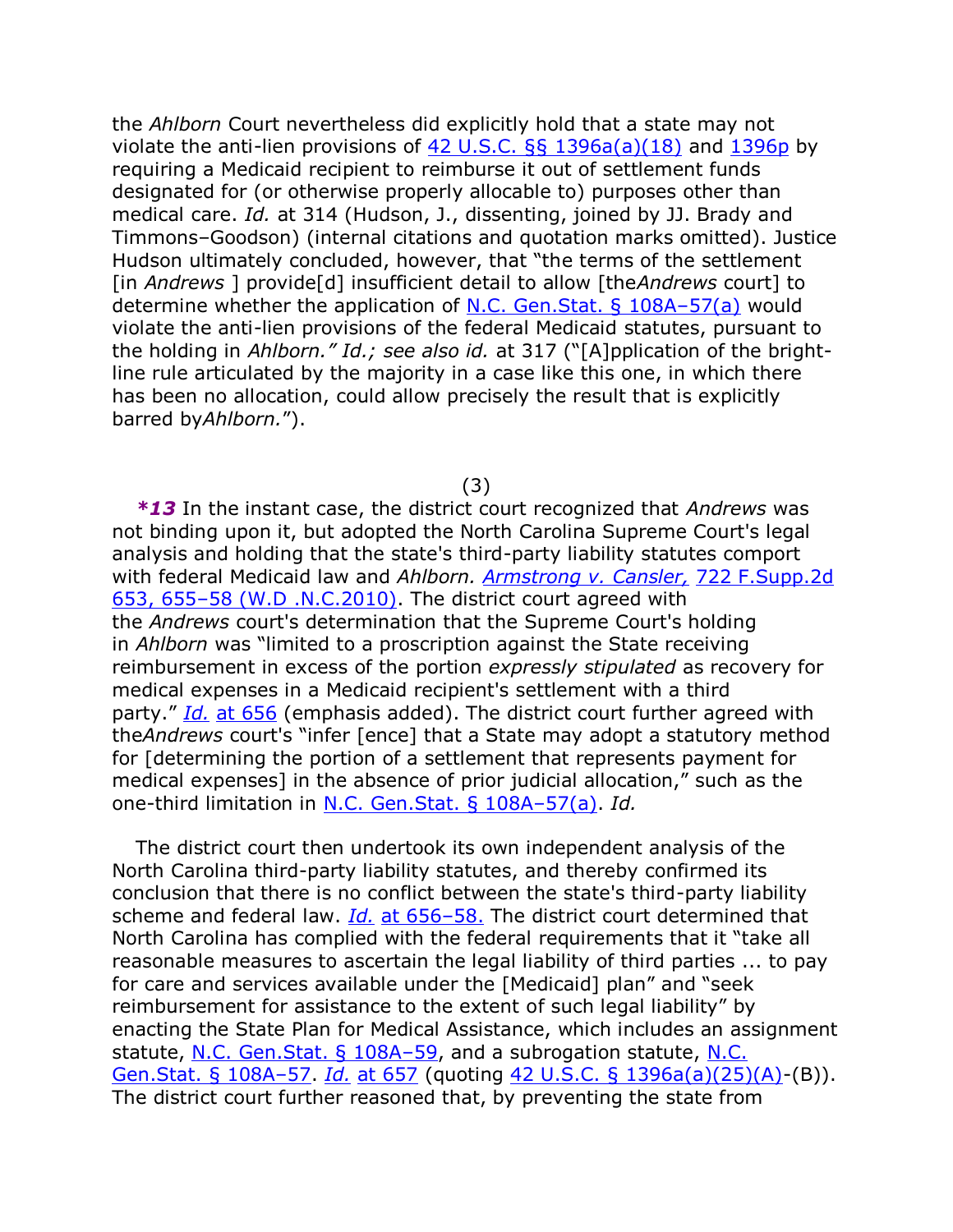the *Ahlborn* Court nevertheless did explicitly hold that a state may not violate the anti-lien provisions of [42 U.S.C. §§ 1396a\(a\)\(18\)](http://web2.westlaw.com/find/default.wl?mt=Westlaw&db=1000546&docname=42USCAS1396A&rp=%2ffind%2fdefault.wl&findtype=L&ordoc=2027358976&tc=-1&vr=2.0&fn=_top&sv=Split&tf=-1&referencepositiontype=T&pbc=DC601CB0&referenceposition=SP%3bc812000032010&rs=WLW12.01) and [1396p](http://web2.westlaw.com/find/default.wl?mt=Westlaw&db=1000546&docname=42USCAS1396P&rp=%2ffind%2fdefault.wl&findtype=L&ordoc=2027358976&tc=-1&vr=2.0&fn=_top&sv=Split&tf=-1&pbc=DC601CB0&rs=WLW12.01) by requiring a Medicaid recipient to reimburse it out of settlement funds designated for (or otherwise properly allocable to) purposes other than medical care. *Id.* at 314 (Hudson, J., dissenting, joined by JJ. Brady and Timmons–Goodson) (internal citations and quotation marks omitted). Justice Hudson ultimately concluded, however, that "the terms of the settlement [in *Andrews* ] provide[d] insufficient detail to allow [the*Andrews* court] to determine whether the application of N.C. Gen. Stat.  $\S$  108A–57(a) would violate the anti-lien provisions of the federal Medicaid statutes, pursuant to the holding in *Ahlborn." Id.; see also id.* at 317 ("[A]pplication of the brightline rule articulated by the majority in a case like this one, in which there has been no allocation, could allow precisely the result that is explicitly barred by Ahlborn.").

(3)

*\*13* In the instant case, the district court recognized that *Andrews* was not binding upon it, but adopted the North Carolina Supreme Court's legal analysis and holding that the state's third-party liability statutes comport with federal Medicaid law and *Ahlborn. [Armstrong v. Cansler,](http://web2.westlaw.com/find/default.wl?mt=Westlaw&db=4637&tc=-1&rp=%2ffind%2fdefault.wl&findtype=Y&ordoc=2027358976&serialnum=2022444064&vr=2.0&fn=_top&sv=Split&tf=-1&referencepositiontype=S&pbc=DC601CB0&referenceposition=655&rs=WLW12.01)* 722 F.Supp.2d 653, 655–[58 \(W.D .N.C.2010\).](http://web2.westlaw.com/find/default.wl?mt=Westlaw&db=4637&tc=-1&rp=%2ffind%2fdefault.wl&findtype=Y&ordoc=2027358976&serialnum=2022444064&vr=2.0&fn=_top&sv=Split&tf=-1&referencepositiontype=S&pbc=DC601CB0&referenceposition=655&rs=WLW12.01) The district court agreed with the *Andrews* court's determination that the Supreme Court's holding in *Ahlborn* was "limited to a proscription against the State receiving reimbursement in excess of the portion *expressly stipulated* as recovery for medical expenses in a Medicaid recipient's settlement with a third party.‖ *Id.* [at 656](http://web2.westlaw.com/find/default.wl?rs=WLW12.01&pbc=DC601CB0&vr=2.0&findtype=Y&rp=%2ffind%2fdefault.wl&sv=Split&fn=_top&tf=-1&ordoc=2027358976&mt=Westlaw&serialnum=2022444064&tc=-1) (emphasis added). The district court further agreed with the*Andrews* court's "infer [ence] that a State may adopt a statutory method for [determining the portion of a settlement that represents payment for medical expenses] in the absence of prior judicial allocation," such as the one-third limitation in [N.C. Gen.Stat. § 108A](http://web2.westlaw.com/find/default.wl?mt=Westlaw&db=1000037&docname=NCSTS108A-57&rp=%2ffind%2fdefault.wl&findtype=L&ordoc=2027358976&tc=-1&vr=2.0&fn=_top&sv=Split&tf=-1&referencepositiontype=T&pbc=DC601CB0&referenceposition=SP%3b8b3b0000958a4&rs=WLW12.01)–57(a). *Id.*

The district court then undertook its own independent analysis of the North Carolina third-party liability statutes, and thereby confirmed its conclusion that there is no conflict between the state's third-party liability scheme and federal law. *Id.* [at 656](http://web2.westlaw.com/find/default.wl?rs=WLW12.01&pbc=DC601CB0&vr=2.0&findtype=Y&rp=%2ffind%2fdefault.wl&sv=Split&fn=_top&tf=-1&ordoc=2027358976&mt=Westlaw&serialnum=2022444064&tc=-1)–58. The district court determined that North Carolina has complied with the federal requirements that it "take all reasonable measures to ascertain the legal liability of third parties ... to pay for care and services available under the [Medicaid] plan" and "seek reimbursement for assistance to the extent of such legal liability" by enacting the State Plan for Medical Assistance, which includes an assignment statute, [N.C. Gen.Stat. § 108A](http://web2.westlaw.com/find/default.wl?mt=Westlaw&db=1000037&docname=NCSTS108A-59&rp=%2ffind%2fdefault.wl&findtype=L&ordoc=2027358976&tc=-1&vr=2.0&fn=_top&sv=Split&tf=-1&pbc=DC601CB0&rs=WLW12.01)–59, and a subrogation statute, [N.C.](http://web2.westlaw.com/find/default.wl?mt=Westlaw&db=1000037&docname=NCSTS108A-57&rp=%2ffind%2fdefault.wl&findtype=L&ordoc=2027358976&tc=-1&vr=2.0&fn=_top&sv=Split&tf=-1&pbc=DC601CB0&rs=WLW12.01)  [Gen.Stat. § 108A](http://web2.westlaw.com/find/default.wl?mt=Westlaw&db=1000037&docname=NCSTS108A-57&rp=%2ffind%2fdefault.wl&findtype=L&ordoc=2027358976&tc=-1&vr=2.0&fn=_top&sv=Split&tf=-1&pbc=DC601CB0&rs=WLW12.01)–57. *Id.* [at 657](http://web2.westlaw.com/find/default.wl?rs=WLW12.01&pbc=DC601CB0&vr=2.0&findtype=Y&rp=%2ffind%2fdefault.wl&sv=Split&fn=_top&tf=-1&ordoc=2027358976&mt=Westlaw&serialnum=2022444064&tc=-1) (quoting [42 U.S.C. § 1396a\(a\)\(25\)\(A\)-](http://web2.westlaw.com/find/default.wl?mt=Westlaw&db=1000546&docname=42USCAS1396A&rp=%2ffind%2fdefault.wl&findtype=L&ordoc=2027358976&tc=-1&vr=2.0&fn=_top&sv=Split&tf=-1&referencepositiontype=T&pbc=DC601CB0&referenceposition=SP%3b896a0000e5e97&rs=WLW12.01)(B)). The district court further reasoned that, by preventing the state from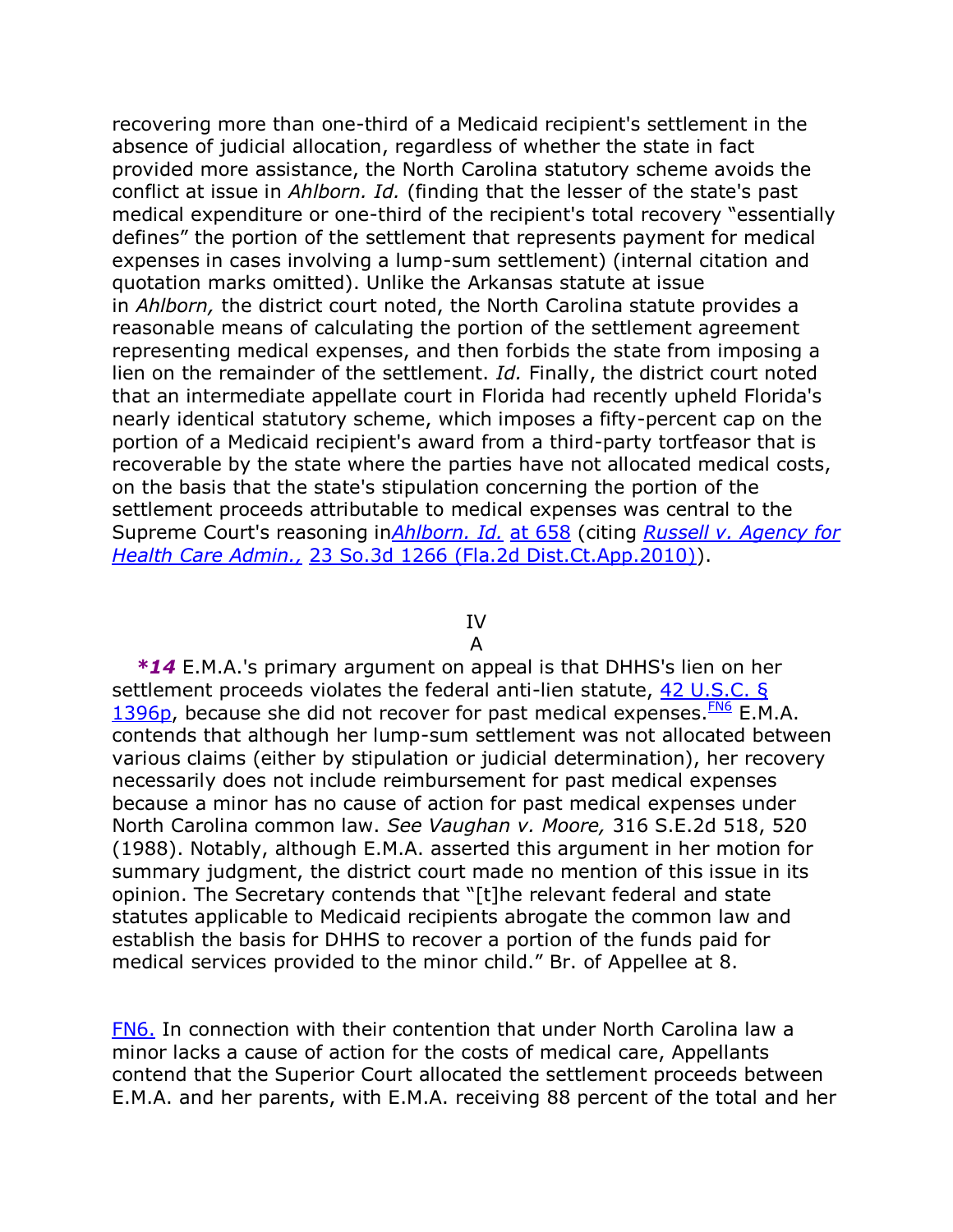recovering more than one-third of a Medicaid recipient's settlement in the absence of judicial allocation, regardless of whether the state in fact provided more assistance, the North Carolina statutory scheme avoids the conflict at issue in *Ahlborn. Id.* (finding that the lesser of the state's past medical expenditure or one-third of the recipient's total recovery "essentially defines" the portion of the settlement that represents payment for medical expenses in cases involving a lump-sum settlement) (internal citation and quotation marks omitted). Unlike the Arkansas statute at issue in *Ahlborn,* the district court noted, the North Carolina statute provides a reasonable means of calculating the portion of the settlement agreement representing medical expenses, and then forbids the state from imposing a lien on the remainder of the settlement. *Id.* Finally, the district court noted that an intermediate appellate court in Florida had recently upheld Florida's nearly identical statutory scheme, which imposes a fifty-percent cap on the portion of a Medicaid recipient's award from a third-party tortfeasor that is recoverable by the state where the parties have not allocated medical costs, on the basis that the state's stipulation concerning the portion of the settlement proceeds attributable to medical expenses was central to the Supreme Court's reasoning in*[Ahlborn. Id.](http://web2.westlaw.com/find/default.wl?rs=WLW12.01&pbc=DC601CB0&vr=2.0&findtype=Y&rp=%2ffind%2fdefault.wl&sv=Split&fn=_top&tf=-1&ordoc=2027358976&mt=Westlaw&serialnum=2022444064&tc=-1)* at 658 (citing *[Russell v. Agency for](http://web2.westlaw.com/find/default.wl?mt=Westlaw&db=3926&tc=-1&rp=%2ffind%2fdefault.wl&findtype=Y&ordoc=2027358976&serialnum=2020992102&vr=2.0&fn=_top&sv=Split&tf=-1&pbc=DC601CB0&rs=WLW12.01)  Health Care Admin.,* [23 So.3d 1266 \(Fla.2d Dist.Ct.App.2010\)\)](http://web2.westlaw.com/find/default.wl?mt=Westlaw&db=3926&tc=-1&rp=%2ffind%2fdefault.wl&findtype=Y&ordoc=2027358976&serialnum=2020992102&vr=2.0&fn=_top&sv=Split&tf=-1&pbc=DC601CB0&rs=WLW12.01).

# IV

## A

*\*14* E.M.A.'s primary argument on appeal is that DHHS's lien on her settlement proceeds violates the federal anti-lien statute,  $42 \text{ U.S.C.}$  § [1396p,](http://web2.westlaw.com/find/default.wl?mt=Westlaw&db=1000546&docname=42USCAS1396P&rp=%2ffind%2fdefault.wl&findtype=L&ordoc=2027358976&tc=-1&vr=2.0&fn=_top&sv=Split&tf=-1&pbc=DC601CB0&rs=WLW12.01) because she did not recover for past medical expenses.  $F_{0}$  E.M.A. contends that although her lump-sum settlement was not allocated between various claims (either by stipulation or judicial determination), her recovery necessarily does not include reimbursement for past medical expenses because a minor has no cause of action for past medical expenses under North Carolina common law. *See Vaughan v. Moore,* 316 S.E.2d 518, 520 (1988). Notably, although E.M.A. asserted this argument in her motion for summary judgment, the district court made no mention of this issue in its opinion. The Secretary contends that "[t]he relevant federal and state statutes applicable to Medicaid recipients abrogate the common law and establish the basis for DHHS to recover a portion of the funds paid for medical services provided to the minor child." Br. of Appellee at 8.

[FN6.](http://web2.westlaw.com/result/documenttext.aspx?rs=WLW12.01&scxt=WL&rlti=1&rp=%2fFind%2fdefault.wl&rlt=CLID_FQRLT113840157233&service=Find&sv=Split&ss=CNT&cite=2012+WL+956187&n=1&fn=_top&mt=Westlaw&vr=2.0&cnt=DOC&cxt=DC#F00662027358976) In connection with their contention that under North Carolina law a minor lacks a cause of action for the costs of medical care, Appellants contend that the Superior Court allocated the settlement proceeds between E.M.A. and her parents, with E.M.A. receiving 88 percent of the total and her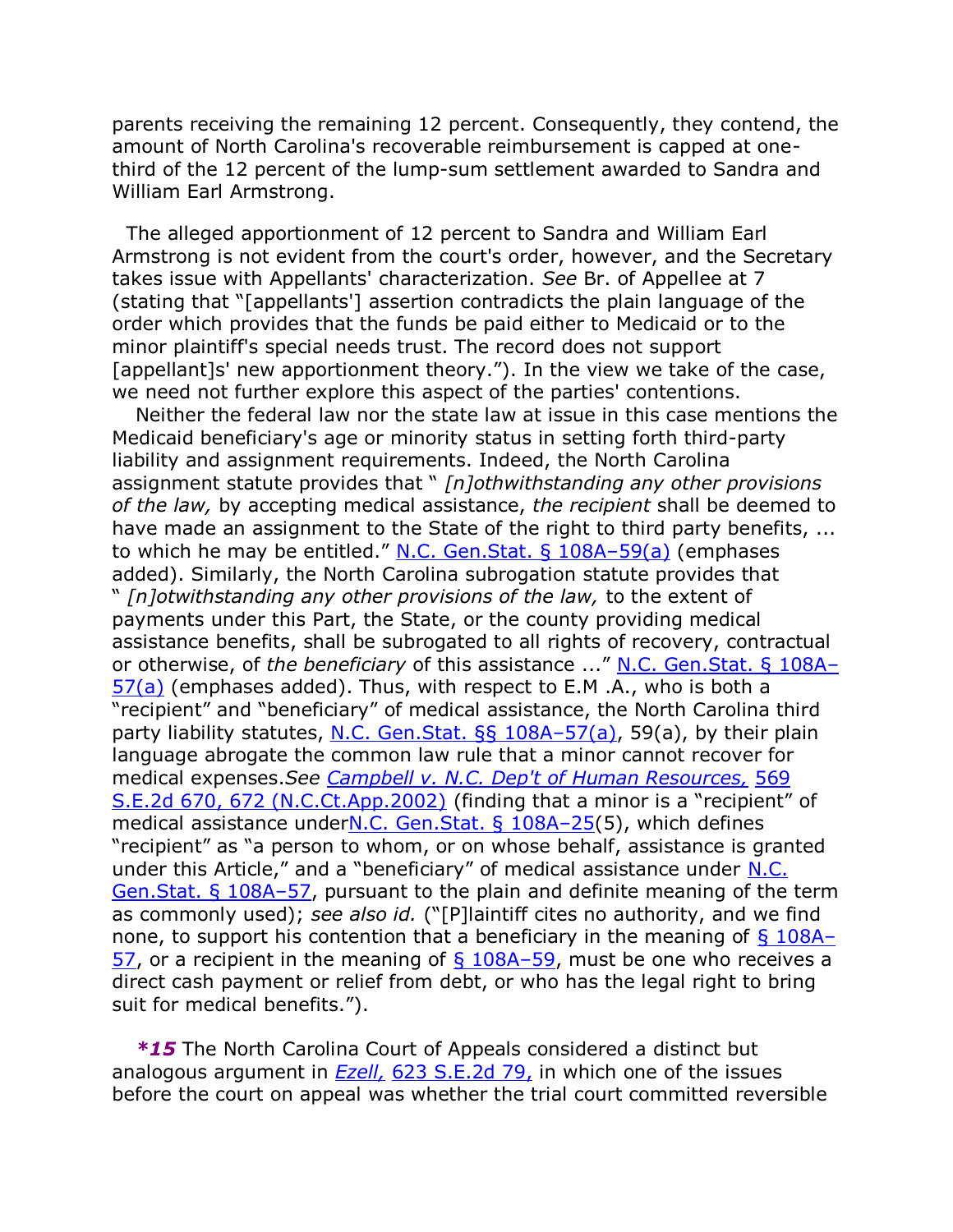parents receiving the remaining 12 percent. Consequently, they contend, the amount of North Carolina's recoverable reimbursement is capped at onethird of the 12 percent of the lump-sum settlement awarded to Sandra and William Earl Armstrong.

The alleged apportionment of 12 percent to Sandra and William Earl Armstrong is not evident from the court's order, however, and the Secretary takes issue with Appellants' characterization. *See* Br. of Appellee at 7 (stating that "[appellants'] assertion contradicts the plain language of the order which provides that the funds be paid either to Medicaid or to the minor plaintiff's special needs trust. The record does not support [appellant]s' new apportionment theory."). In the view we take of the case, we need not further explore this aspect of the parties' contentions.

Neither the federal law nor the state law at issue in this case mentions the Medicaid beneficiary's age or minority status in setting forth third-party liability and assignment requirements. Indeed, the North Carolina assignment statute provides that ― *[n]othwithstanding any other provisions of the law,* by accepting medical assistance, *the recipient* shall be deemed to have made an assignment to the State of the right to third party benefits, ... to which he may be entitled." N.C. Gen. Stat.  $\S$  108A–59(a) (emphases added). Similarly, the North Carolina subrogation statute provides that ― *[n]otwithstanding any other provisions of the law,* to the extent of payments under this Part, the State, or the county providing medical assistance benefits, shall be subrogated to all rights of recovery, contractual or otherwise, of *the beneficiary* of this assistance ..." [N.C. Gen.Stat. § 108A](http://web2.westlaw.com/find/default.wl?mt=Westlaw&db=1000037&docname=NCSTS108A-57&rp=%2ffind%2fdefault.wl&findtype=L&ordoc=2027358976&tc=-1&vr=2.0&fn=_top&sv=Split&tf=-1&referencepositiontype=T&pbc=DC601CB0&referenceposition=SP%3b8b3b0000958a4&rs=WLW12.01)-[57\(a\)](http://web2.westlaw.com/find/default.wl?mt=Westlaw&db=1000037&docname=NCSTS108A-57&rp=%2ffind%2fdefault.wl&findtype=L&ordoc=2027358976&tc=-1&vr=2.0&fn=_top&sv=Split&tf=-1&referencepositiontype=T&pbc=DC601CB0&referenceposition=SP%3b8b3b0000958a4&rs=WLW12.01) (emphases added). Thus, with respect to E.M .A., who is both a "recipient" and "beneficiary" of medical assistance, the North Carolina third party liability statutes, [N.C. Gen.Stat. §§ 108A](http://web2.westlaw.com/find/default.wl?mt=Westlaw&db=1000037&docname=NCSTS108A-57&rp=%2ffind%2fdefault.wl&findtype=L&ordoc=2027358976&tc=-1&vr=2.0&fn=_top&sv=Split&tf=-1&referencepositiontype=T&pbc=DC601CB0&referenceposition=SP%3b8b3b0000958a4&rs=WLW12.01)–57(a), 59(a), by their plain language abrogate the common law rule that a minor cannot recover for medical expenses.*See [Campbell v. N.C. Dep't of Human Resources,](http://web2.westlaw.com/find/default.wl?mt=Westlaw&db=711&tc=-1&rp=%2ffind%2fdefault.wl&findtype=Y&ordoc=2027358976&serialnum=2002616580&vr=2.0&fn=_top&sv=Split&tf=-1&referencepositiontype=S&pbc=DC601CB0&referenceposition=672&rs=WLW12.01)* 569 [S.E.2d 670, 672 \(N.C.Ct.App.2002\)](http://web2.westlaw.com/find/default.wl?mt=Westlaw&db=711&tc=-1&rp=%2ffind%2fdefault.wl&findtype=Y&ordoc=2027358976&serialnum=2002616580&vr=2.0&fn=_top&sv=Split&tf=-1&referencepositiontype=S&pbc=DC601CB0&referenceposition=672&rs=WLW12.01) (finding that a minor is a "recipient" of medical assistance unde[rN.C. Gen.Stat. § 108A](http://web2.westlaw.com/find/default.wl?mt=Westlaw&db=1000037&docname=NCSTS108A-25&rp=%2ffind%2fdefault.wl&findtype=L&ordoc=2027358976&tc=-1&vr=2.0&fn=_top&sv=Split&tf=-1&pbc=DC601CB0&rs=WLW12.01)–25(5), which defines "recipient" as "a person to whom, or on whose behalf, assistance is granted under this Article," and a "beneficiary" of medical assistance under  $N.C.$ [Gen.Stat. § 108A](http://web2.westlaw.com/find/default.wl?mt=Westlaw&db=1000037&docname=NCSTS108A-57&rp=%2ffind%2fdefault.wl&findtype=L&ordoc=2027358976&tc=-1&vr=2.0&fn=_top&sv=Split&tf=-1&pbc=DC601CB0&rs=WLW12.01)–57, pursuant to the plain and definite meaning of the term as commonly used); *see also id.* ("[P]laintiff cites no authority, and we find none, to support his contention that a beneficiary in the meaning of  $\S$  108A–  $\overline{57}$ , or a recipient in the meaning of  $\overline{6}$  108A–59, must be one who receives a direct cash payment or relief from debt, or who has the legal right to bring suit for medical benefits.").

*\*15* The North Carolina Court of Appeals considered a distinct but analogous argument in *Ezell,* [623 S.E.2d 79,](http://web2.westlaw.com/find/default.wl?mt=Westlaw&db=711&tc=-1&rp=%2ffind%2fdefault.wl&findtype=Y&ordoc=2027358976&serialnum=2007916546&vr=2.0&fn=_top&sv=Split&tf=-1&pbc=DC601CB0&rs=WLW12.01) in which one of the issues before the court on appeal was whether the trial court committed reversible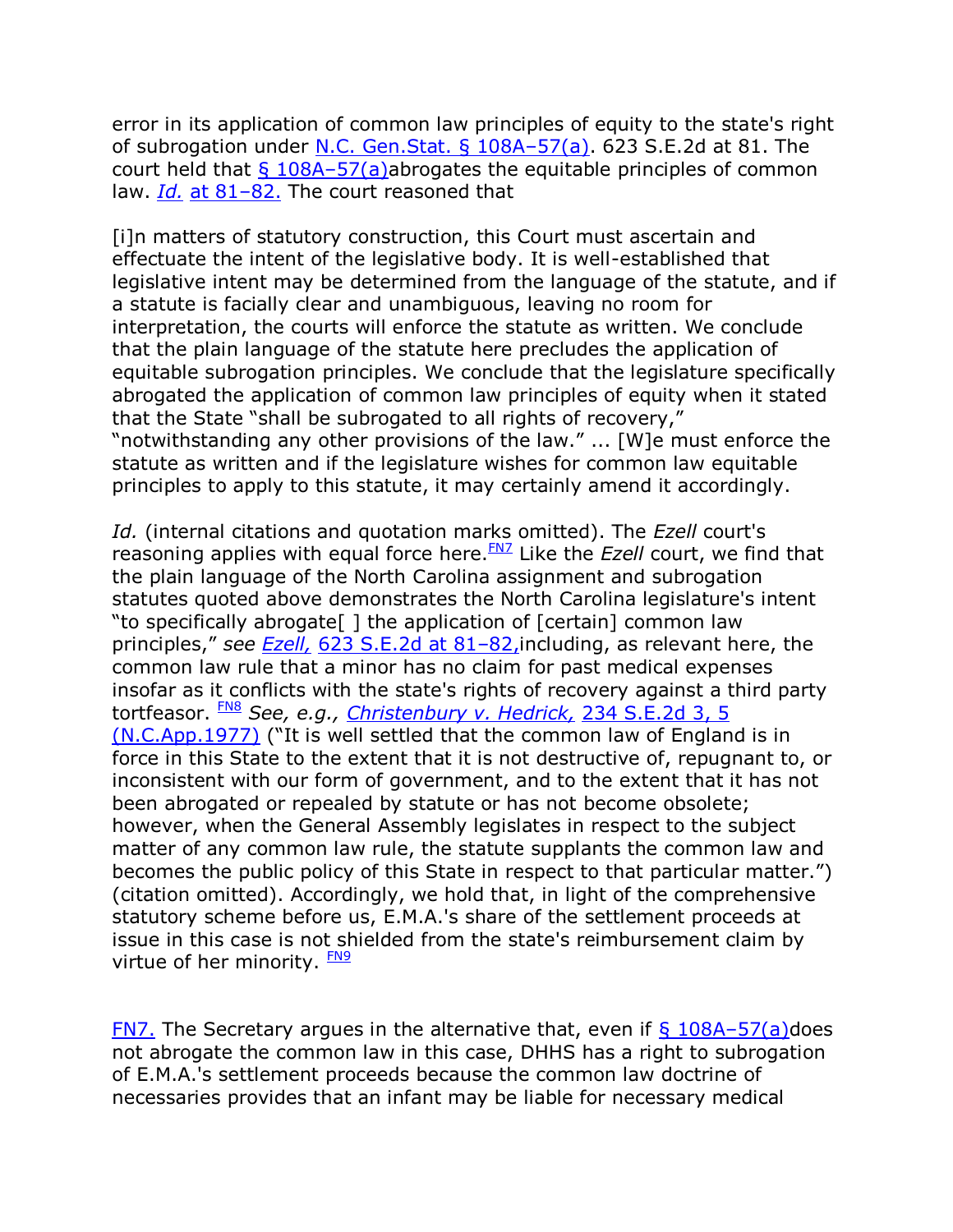error in its application of common law principles of equity to the state's right of subrogation under [N.C. Gen.Stat. § 108A](http://web2.westlaw.com/find/default.wl?mt=Westlaw&db=1000037&docname=NCSTS108A-57&rp=%2ffind%2fdefault.wl&findtype=L&ordoc=2027358976&tc=-1&vr=2.0&fn=_top&sv=Split&tf=-1&referencepositiontype=T&pbc=DC601CB0&referenceposition=SP%3b8b3b0000958a4&rs=WLW12.01)–57(a). 623 S.E.2d at 81. The court held that  $\frac{2}{3}$  108A–57(a)abrogates the equitable principles of common law. *Id.* [at 81](http://web2.westlaw.com/find/default.wl?rs=WLW12.01&pbc=DC601CB0&vr=2.0&findtype=Y&rp=%2ffind%2fdefault.wl&sv=Split&fn=_top&tf=-1&ordoc=2027358976&mt=Westlaw&serialnum=2007916546&tc=-1)-82. The court reasoned that

[i]n matters of statutory construction, this Court must ascertain and effectuate the intent of the legislative body. It is well-established that legislative intent may be determined from the language of the statute, and if a statute is facially clear and unambiguous, leaving no room for interpretation, the courts will enforce the statute as written. We conclude that the plain language of the statute here precludes the application of equitable subrogation principles. We conclude that the legislature specifically abrogated the application of common law principles of equity when it stated that the State "shall be subrogated to all rights of recovery," "notwithstanding any other provisions of the law." ... [W]e must enforce the statute as written and if the legislature wishes for common law equitable principles to apply to this statute, it may certainly amend it accordingly.

*Id.* (internal citations and quotation marks omitted). The *Ezell* court's reasoning applies with equal force here.<sup>[FN7](http://web2.westlaw.com/result/documenttext.aspx?rs=WLW12.01&scxt=WL&rlti=1&rp=%2fFind%2fdefault.wl&rlt=CLID_FQRLT113840157233&service=Find&sv=Split&ss=CNT&cite=2012+WL+956187&n=1&fn=_top&mt=Westlaw&vr=2.0&cnt=DOC&cxt=DC#B00772027358976)</sup> Like the *Ezell* court, we find that the plain language of the North Carolina assignment and subrogation statutes quoted above demonstrates the North Carolina legislature's intent "to specifically abrogate<sup>[</sup>] the application of [certain] common law principles,‖ *see Ezell,* [623 S.E.2d at 81](http://web2.westlaw.com/find/default.wl?mt=Westlaw&db=711&tc=-1&rp=%2ffind%2fdefault.wl&findtype=Y&ordoc=2027358976&serialnum=2007916546&vr=2.0&fn=_top&sv=Split&tf=-1&referencepositiontype=S&pbc=DC601CB0&referenceposition=81&rs=WLW12.01)–82,including, as relevant here, the common law rule that a minor has no claim for past medical expenses insofar as it conflicts with the state's rights of recovery against a third party tortfeasor. [FN8](http://web2.westlaw.com/result/documenttext.aspx?rs=WLW12.01&scxt=WL&rlti=1&rp=%2fFind%2fdefault.wl&rlt=CLID_FQRLT113840157233&service=Find&sv=Split&ss=CNT&cite=2012+WL+956187&n=1&fn=_top&mt=Westlaw&vr=2.0&cnt=DOC&cxt=DC#B00882027358976) *See, e.g., [Christenbury v. Hedrick,](http://web2.westlaw.com/find/default.wl?mt=Westlaw&db=711&tc=-1&rp=%2ffind%2fdefault.wl&findtype=Y&ordoc=2027358976&serialnum=1977114122&vr=2.0&fn=_top&sv=Split&tf=-1&referencepositiontype=S&pbc=DC601CB0&referenceposition=5&rs=WLW12.01)* 234 S.E.2d 3, 5  $(N.C. App.1977)$  ("It is well settled that the common law of England is in force in this State to the extent that it is not destructive of, repugnant to, or inconsistent with our form of government, and to the extent that it has not been abrogated or repealed by statute or has not become obsolete; however, when the General Assembly legislates in respect to the subject matter of any common law rule, the statute supplants the common law and becomes the public policy of this State in respect to that particular matter.") (citation omitted). Accordingly, we hold that, in light of the comprehensive statutory scheme before us, E.M.A.'s share of the settlement proceeds at issue in this case is not shielded from the state's reimbursement claim by virtue of her minority. **[FN9](http://web2.westlaw.com/result/documenttext.aspx?rs=WLW12.01&scxt=WL&rlti=1&rp=%2fFind%2fdefault.wl&rlt=CLID_FQRLT113840157233&service=Find&sv=Split&ss=CNT&cite=2012+WL+956187&n=1&fn=_top&mt=Westlaw&vr=2.0&cnt=DOC&cxt=DC#B00992027358976)** 

[FN7.](http://web2.westlaw.com/result/documenttext.aspx?rs=WLW12.01&scxt=WL&rlti=1&rp=%2fFind%2fdefault.wl&rlt=CLID_FQRLT113840157233&service=Find&sv=Split&ss=CNT&cite=2012+WL+956187&n=1&fn=_top&mt=Westlaw&vr=2.0&cnt=DOC&cxt=DC#F00772027358976) The Secretary argues in the alternative that, even if  $\S$  108A–57(a)does not abrogate the common law in this case, DHHS has a right to subrogation of E.M.A.'s settlement proceeds because the common law doctrine of necessaries provides that an infant may be liable for necessary medical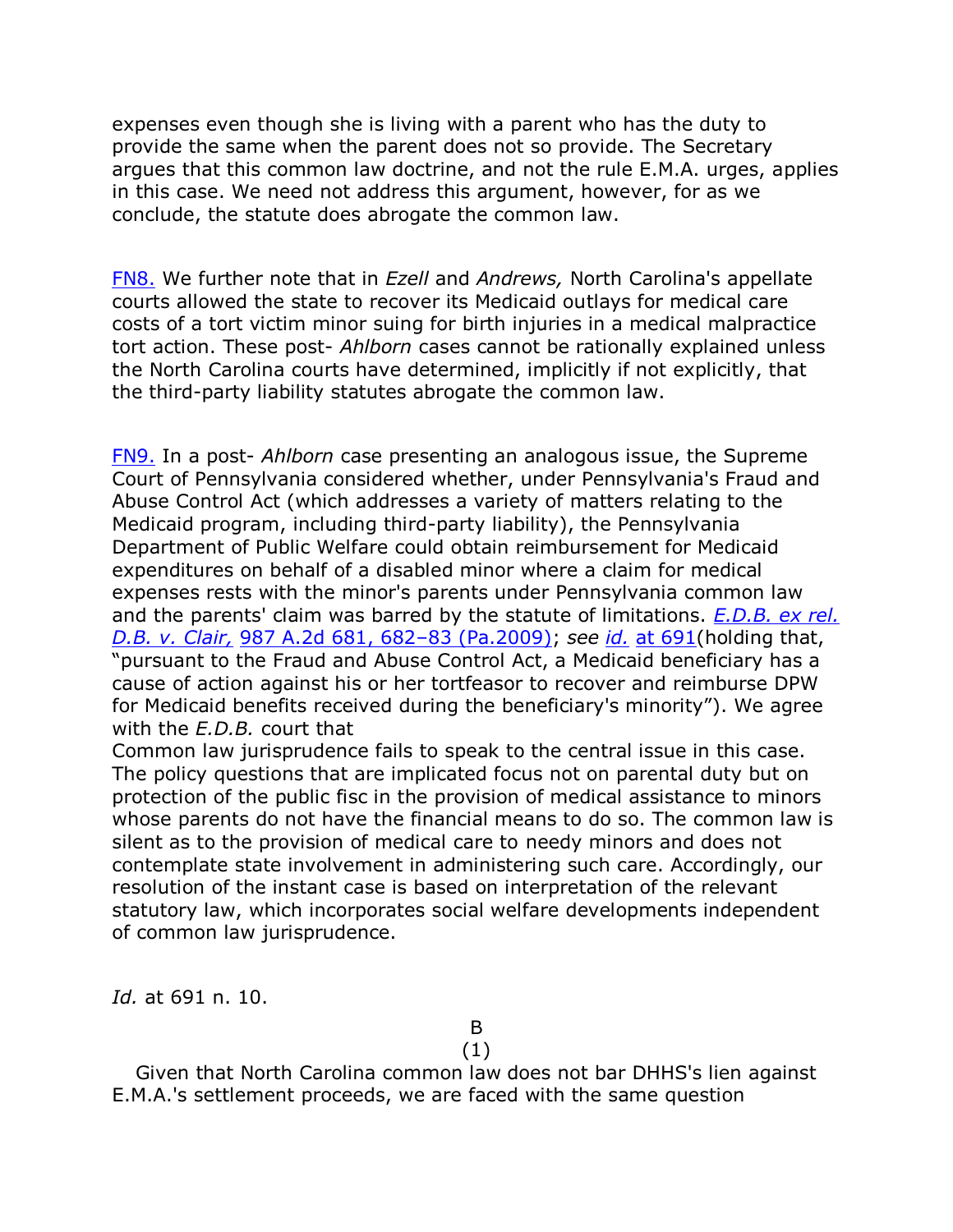expenses even though she is living with a parent who has the duty to provide the same when the parent does not so provide. The Secretary argues that this common law doctrine, and not the rule E.M.A. urges, applies in this case. We need not address this argument, however, for as we conclude, the statute does abrogate the common law.

[FN8.](http://web2.westlaw.com/result/documenttext.aspx?rs=WLW12.01&scxt=WL&rlti=1&rp=%2fFind%2fdefault.wl&rlt=CLID_FQRLT113840157233&service=Find&sv=Split&ss=CNT&cite=2012+WL+956187&n=1&fn=_top&mt=Westlaw&vr=2.0&cnt=DOC&cxt=DC#F00882027358976) We further note that in *Ezell* and *Andrews,* North Carolina's appellate courts allowed the state to recover its Medicaid outlays for medical care costs of a tort victim minor suing for birth injuries in a medical malpractice tort action. These post- *Ahlborn* cases cannot be rationally explained unless the North Carolina courts have determined, implicitly if not explicitly, that the third-party liability statutes abrogate the common law.

[FN9.](http://web2.westlaw.com/result/documenttext.aspx?rs=WLW12.01&scxt=WL&rlti=1&rp=%2fFind%2fdefault.wl&rlt=CLID_FQRLT113840157233&service=Find&sv=Split&ss=CNT&cite=2012+WL+956187&n=1&fn=_top&mt=Westlaw&vr=2.0&cnt=DOC&cxt=DC#F00992027358976) In a post- *Ahlborn* case presenting an analogous issue, the Supreme Court of Pennsylvania considered whether, under Pennsylvania's Fraud and Abuse Control Act (which addresses a variety of matters relating to the Medicaid program, including third-party liability), the Pennsylvania Department of Public Welfare could obtain reimbursement for Medicaid expenditures on behalf of a disabled minor where a claim for medical expenses rests with the minor's parents under Pennsylvania common law and the parents' claim was barred by the statute of limitations. *[E.D.B. ex rel.](http://web2.westlaw.com/find/default.wl?mt=Westlaw&db=162&tc=-1&rp=%2ffind%2fdefault.wl&findtype=Y&ordoc=2027358976&serialnum=2020922896&vr=2.0&fn=_top&sv=Split&tf=-1&referencepositiontype=S&pbc=DC601CB0&referenceposition=682&rs=WLW12.01)  D.B. v. Clair,* [987 A.2d 681, 682](http://web2.westlaw.com/find/default.wl?mt=Westlaw&db=162&tc=-1&rp=%2ffind%2fdefault.wl&findtype=Y&ordoc=2027358976&serialnum=2020922896&vr=2.0&fn=_top&sv=Split&tf=-1&referencepositiontype=S&pbc=DC601CB0&referenceposition=682&rs=WLW12.01)–83 (Pa.2009); *see id.* [at 691\(](http://web2.westlaw.com/find/default.wl?rs=WLW12.01&pbc=DC601CB0&vr=2.0&findtype=Y&rp=%2ffind%2fdefault.wl&sv=Split&fn=_top&tf=-1&ordoc=2027358976&mt=Westlaw&serialnum=2020922896&tc=-1)holding that, "pursuant to the Fraud and Abuse Control Act, a Medicaid beneficiary has a cause of action against his or her tortfeasor to recover and reimburse DPW for Medicaid benefits received during the beneficiary's minority"). We agree with the *E.D.B.* court that

Common law jurisprudence fails to speak to the central issue in this case. The policy questions that are implicated focus not on parental duty but on protection of the public fisc in the provision of medical assistance to minors whose parents do not have the financial means to do so. The common law is silent as to the provision of medical care to needy minors and does not contemplate state involvement in administering such care. Accordingly, our resolution of the instant case is based on interpretation of the relevant statutory law, which incorporates social welfare developments independent of common law jurisprudence.

*Id.* at 691 n. 10.

B

## (1)

Given that North Carolina common law does not bar DHHS's lien against E.M.A.'s settlement proceeds, we are faced with the same question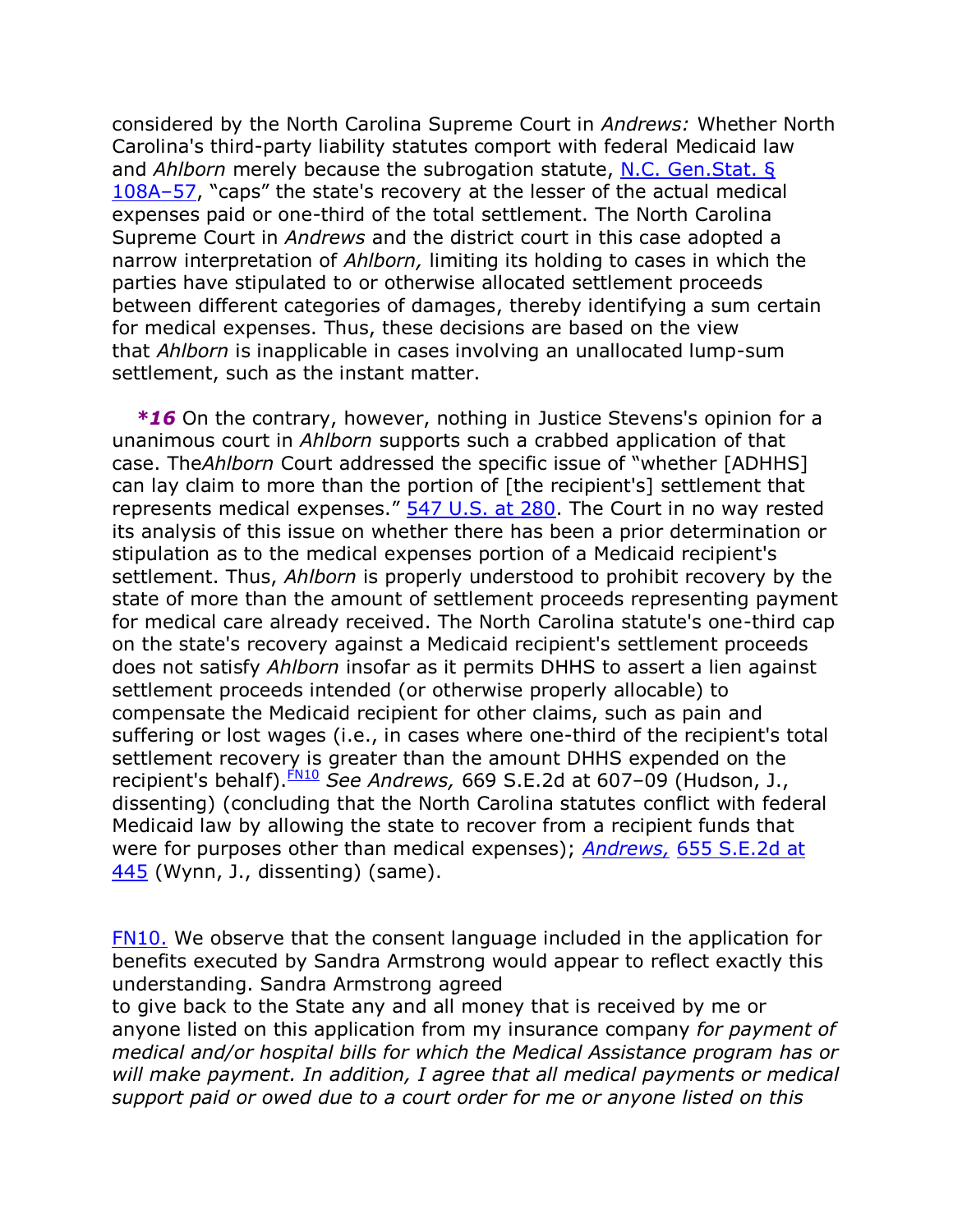considered by the North Carolina Supreme Court in *Andrews:* Whether North Carolina's third-party liability statutes comport with federal Medicaid law and *Ahlborn* merely because the subrogation statute, [N.C. Gen.Stat. §](http://web2.westlaw.com/find/default.wl?mt=Westlaw&db=1000037&docname=NCSTS108A-57&rp=%2ffind%2fdefault.wl&findtype=L&ordoc=2027358976&tc=-1&vr=2.0&fn=_top&sv=Split&tf=-1&pbc=DC601CB0&rs=WLW12.01)  [108A](http://web2.westlaw.com/find/default.wl?mt=Westlaw&db=1000037&docname=NCSTS108A-57&rp=%2ffind%2fdefault.wl&findtype=L&ordoc=2027358976&tc=-1&vr=2.0&fn=_top&sv=Split&tf=-1&pbc=DC601CB0&rs=WLW12.01)–57, "caps" the state's recovery at the lesser of the actual medical expenses paid or one-third of the total settlement. The North Carolina Supreme Court in *Andrews* and the district court in this case adopted a narrow interpretation of *Ahlborn,* limiting its holding to cases in which the parties have stipulated to or otherwise allocated settlement proceeds between different categories of damages, thereby identifying a sum certain for medical expenses. Thus, these decisions are based on the view that *Ahlborn* is inapplicable in cases involving an unallocated lump-sum settlement, such as the instant matter.

*\*16* On the contrary, however, nothing in Justice Stevens's opinion for a unanimous court in *Ahlborn* supports such a crabbed application of that case. The *Ahlborn* Court addressed the specific issue of "whether [ADHHS] can lay claim to more than the portion of [the recipient's] settlement that represents medical expenses." [547 U.S. at 280.](http://web2.westlaw.com/find/default.wl?mt=Westlaw&db=780&tc=-1&rp=%2ffind%2fdefault.wl&findtype=Y&ordoc=2027358976&serialnum=2009061885&vr=2.0&fn=_top&sv=Split&tf=-1&referencepositiontype=S&pbc=DC601CB0&referenceposition=280&rs=WLW12.01) The Court in no way rested its analysis of this issue on whether there has been a prior determination or stipulation as to the medical expenses portion of a Medicaid recipient's settlement. Thus, *Ahlborn* is properly understood to prohibit recovery by the state of more than the amount of settlement proceeds representing payment for medical care already received. The North Carolina statute's one-third cap on the state's recovery against a Medicaid recipient's settlement proceeds does not satisfy *Ahlborn* insofar as it permits DHHS to assert a lien against settlement proceeds intended (or otherwise properly allocable) to compensate the Medicaid recipient for other claims, such as pain and suffering or lost wages (i.e., in cases where one-third of the recipient's total settlement recovery is greater than the amount DHHS expended on the recipient's behalf).[FN10](http://web2.westlaw.com/result/documenttext.aspx?rs=WLW12.01&scxt=WL&rlti=1&rp=%2fFind%2fdefault.wl&rlt=CLID_FQRLT113840157233&service=Find&sv=Split&ss=CNT&cite=2012+WL+956187&n=1&fn=_top&mt=Westlaw&vr=2.0&cnt=DOC&cxt=DC#B010102027358976) *See Andrews,* 669 S.E.2d at 607–09 (Hudson, J., dissenting) (concluding that the North Carolina statutes conflict with federal Medicaid law by allowing the state to recover from a recipient funds that were for purposes other than medical expenses); *Andrews,* [655 S.E.2d at](http://web2.westlaw.com/find/default.wl?mt=Westlaw&db=711&tc=-1&rp=%2ffind%2fdefault.wl&findtype=Y&ordoc=2027358976&serialnum=2014711733&vr=2.0&fn=_top&sv=Split&tf=-1&referencepositiontype=S&pbc=DC601CB0&referenceposition=445&rs=WLW12.01)  [445](http://web2.westlaw.com/find/default.wl?mt=Westlaw&db=711&tc=-1&rp=%2ffind%2fdefault.wl&findtype=Y&ordoc=2027358976&serialnum=2014711733&vr=2.0&fn=_top&sv=Split&tf=-1&referencepositiontype=S&pbc=DC601CB0&referenceposition=445&rs=WLW12.01) (Wynn, J., dissenting) (same).

[FN10.](http://web2.westlaw.com/result/documenttext.aspx?rs=WLW12.01&scxt=WL&rlti=1&rp=%2fFind%2fdefault.wl&rlt=CLID_FQRLT113840157233&service=Find&sv=Split&ss=CNT&cite=2012+WL+956187&n=1&fn=_top&mt=Westlaw&vr=2.0&cnt=DOC&cxt=DC#F010102027358976) We observe that the consent language included in the application for benefits executed by Sandra Armstrong would appear to reflect exactly this understanding. Sandra Armstrong agreed

to give back to the State any and all money that is received by me or anyone listed on this application from my insurance company *for payment of medical and/or hospital bills for which the Medical Assistance program has or will make payment. In addition, I agree that all medical payments or medical support paid or owed due to a court order for me or anyone listed on this*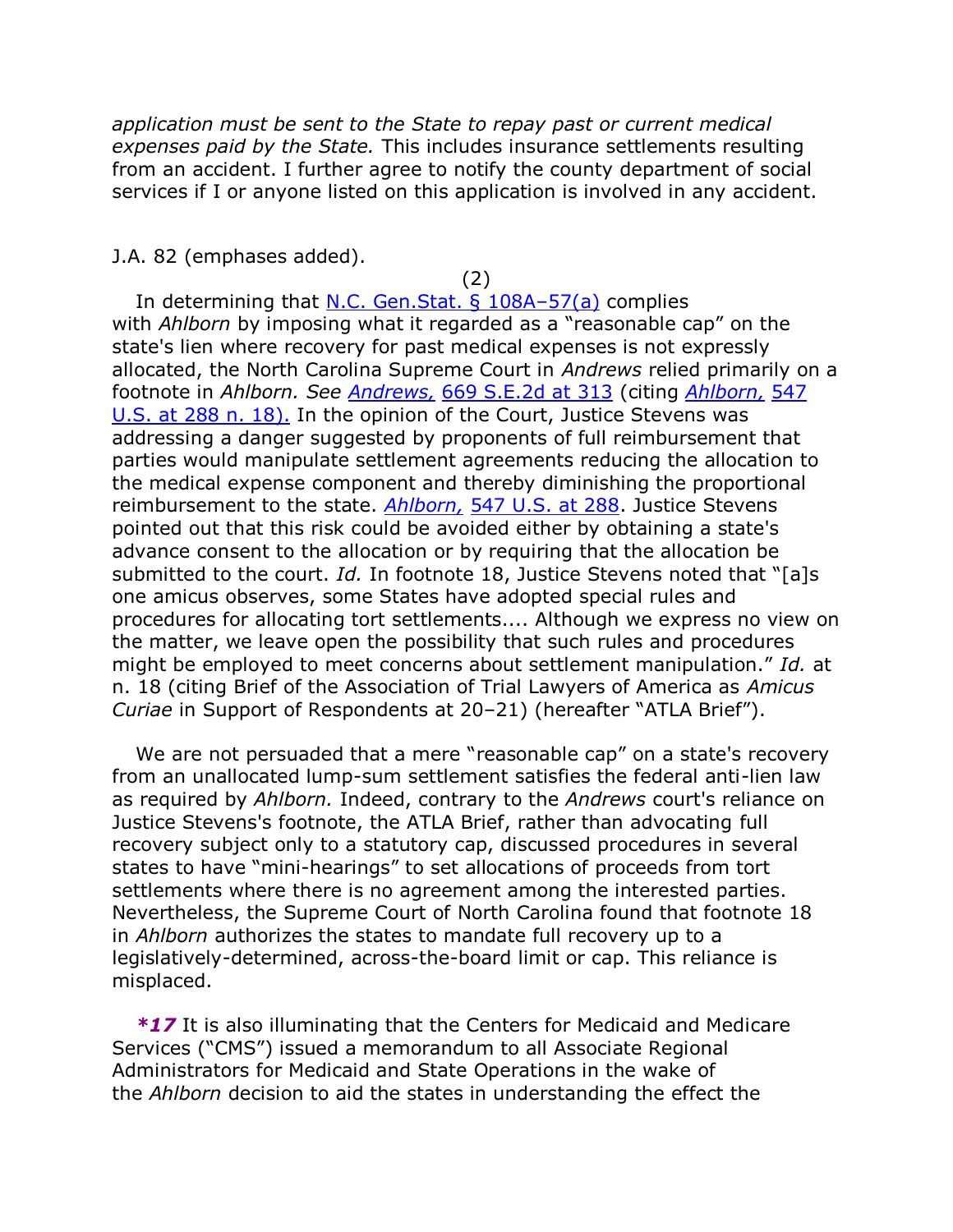*application must be sent to the State to repay past or current medical expenses paid by the State.* This includes insurance settlements resulting from an accident. I further agree to notify the county department of social services if I or anyone listed on this application is involved in any accident.

J.A. 82 (emphases added).

(2) In determining that [N.C. Gen.Stat. § 108A](http://web2.westlaw.com/find/default.wl?mt=Westlaw&db=1000037&docname=NCSTS108A-57&rp=%2ffind%2fdefault.wl&findtype=L&ordoc=2027358976&tc=-1&vr=2.0&fn=_top&sv=Split&tf=-1&referencepositiontype=T&pbc=DC601CB0&referenceposition=SP%3b8b3b0000958a4&rs=WLW12.01)–57(a) complies with *Ahlborn* by imposing what it regarded as a "reasonable cap" on the state's lien where recovery for past medical expenses is not expressly allocated, the North Carolina Supreme Court in *Andrews* relied primarily on a footnote in *Ahlborn. See Andrews,* [669 S.E.2d at 313](http://web2.westlaw.com/find/default.wl?mt=Westlaw&db=711&tc=-1&rp=%2ffind%2fdefault.wl&findtype=Y&ordoc=2027358976&serialnum=2017647831&vr=2.0&fn=_top&sv=Split&tf=-1&referencepositiontype=S&pbc=DC601CB0&referenceposition=313&rs=WLW12.01) (citing *[Ahlborn,](http://web2.westlaw.com/find/default.wl?mt=Westlaw&db=780&tc=-1&rp=%2ffind%2fdefault.wl&findtype=Y&ordoc=2027358976&serialnum=2009061885&vr=2.0&fn=_top&sv=Split&tf=-1&referencepositiontype=S&pbc=DC601CB0&referenceposition=288&rs=WLW12.01)* 547 [U.S. at 288 n. 18\).](http://web2.westlaw.com/find/default.wl?mt=Westlaw&db=780&tc=-1&rp=%2ffind%2fdefault.wl&findtype=Y&ordoc=2027358976&serialnum=2009061885&vr=2.0&fn=_top&sv=Split&tf=-1&referencepositiontype=S&pbc=DC601CB0&referenceposition=288&rs=WLW12.01) In the opinion of the Court, Justice Stevens was addressing a danger suggested by proponents of full reimbursement that parties would manipulate settlement agreements reducing the allocation to the medical expense component and thereby diminishing the proportional reimbursement to the state. *Ahlborn,* [547 U.S. at 288.](http://web2.westlaw.com/find/default.wl?mt=Westlaw&db=780&tc=-1&rp=%2ffind%2fdefault.wl&findtype=Y&ordoc=2027358976&serialnum=2009061885&vr=2.0&fn=_top&sv=Split&tf=-1&referencepositiontype=S&pbc=DC601CB0&referenceposition=288&rs=WLW12.01) Justice Stevens pointed out that this risk could be avoided either by obtaining a state's advance consent to the allocation or by requiring that the allocation be submitted to the court. *Id.* In footnote 18, Justice Stevens noted that "[a]s one amicus observes, some States have adopted special rules and procedures for allocating tort settlements.... Although we express no view on the matter, we leave open the possibility that such rules and procedures might be employed to meet concerns about settlement manipulation.‖ *Id.* at n. 18 (citing Brief of the Association of Trial Lawyers of America as *Amicus Curiae* in Support of Respondents at 20-21) (hereafter "ATLA Brief").

We are not persuaded that a mere "reasonable cap" on a state's recovery from an unallocated lump-sum settlement satisfies the federal anti-lien law as required by *Ahlborn.* Indeed, contrary to the *Andrews* court's reliance on Justice Stevens's footnote, the ATLA Brief, rather than advocating full recovery subject only to a statutory cap, discussed procedures in several states to have "mini-hearings" to set allocations of proceeds from tort settlements where there is no agreement among the interested parties. Nevertheless, the Supreme Court of North Carolina found that footnote 18 in *Ahlborn* authorizes the states to mandate full recovery up to a legislatively-determined, across-the-board limit or cap. This reliance is misplaced.

*\*17* It is also illuminating that the Centers for Medicaid and Medicare Services ("CMS") issued a memorandum to all Associate Regional Administrators for Medicaid and State Operations in the wake of the *Ahlborn* decision to aid the states in understanding the effect the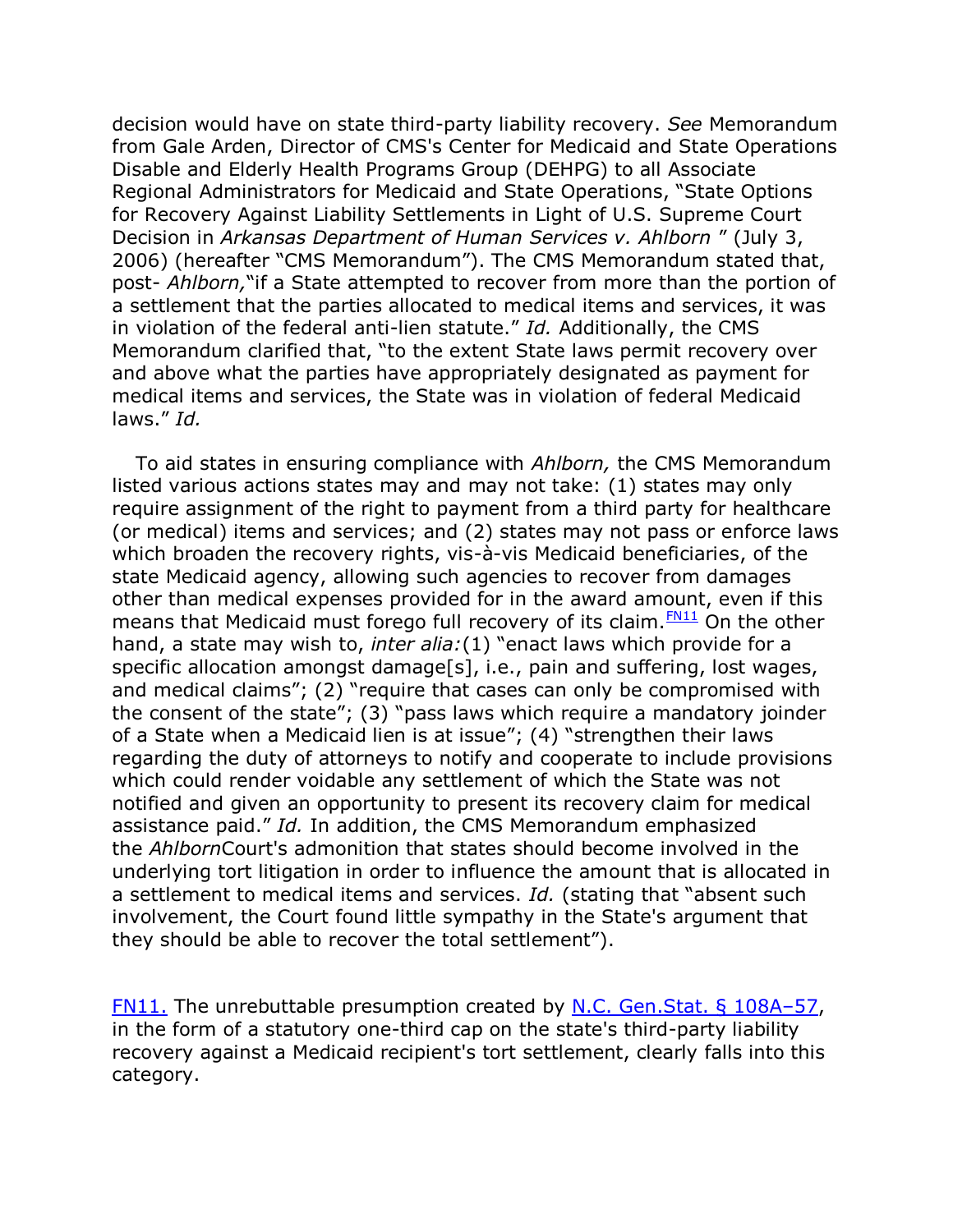decision would have on state third-party liability recovery. *See* Memorandum from Gale Arden, Director of CMS's Center for Medicaid and State Operations Disable and Elderly Health Programs Group (DEHPG) to all Associate Regional Administrators for Medicaid and State Operations, "State Options for Recovery Against Liability Settlements in Light of U.S. Supreme Court Decision in *Arkansas Department of Human Services v. Ahlborn* ‖ (July 3, 2006) (hereafter "CMS Memorandum"). The CMS Memorandum stated that, post- *Ahlborn*," if a State attempted to recover from more than the portion of a settlement that the parties allocated to medical items and services, it was in violation of the federal anti-lien statute." Id. Additionally, the CMS Memorandum clarified that, "to the extent State laws permit recovery over and above what the parties have appropriately designated as payment for medical items and services, the State was in violation of federal Medicaid laws." *Id.* 

To aid states in ensuring compliance with *Ahlborn,* the CMS Memorandum listed various actions states may and may not take: (1) states may only require assignment of the right to payment from a third party for healthcare (or medical) items and services; and (2) states may not pass or enforce laws which broaden the recovery rights, vis-à-vis Medicaid beneficiaries, of the state Medicaid agency, allowing such agencies to recover from damages other than medical expenses provided for in the award amount, even if this means that Medicaid must forego full recovery of its claim.  $F_{N11}^{N11}$  On the other hand, a state may wish to, *inter alia:*(1) "enact laws which provide for a specific allocation amongst damage[s], i.e., pain and suffering, lost wages, and medical claims"; (2) "require that cases can only be compromised with the consent of the state"; (3) "pass laws which require a mandatory joinder of a State when a Medicaid lien is at issue"; (4) "strengthen their laws regarding the duty of attorneys to notify and cooperate to include provisions which could render voidable any settlement of which the State was not notified and given an opportunity to present its recovery claim for medical assistance paid.‖ *Id.* In addition, the CMS Memorandum emphasized the *Ahlborn*Court's admonition that states should become involved in the underlying tort litigation in order to influence the amount that is allocated in a settlement to medical items and services. *Id.* (stating that "absent such involvement, the Court found little sympathy in the State's argument that they should be able to recover the total settlement").

[FN11.](http://web2.westlaw.com/result/documenttext.aspx?rs=WLW12.01&scxt=WL&rlti=1&rp=%2fFind%2fdefault.wl&rlt=CLID_FQRLT113840157233&service=Find&sv=Split&ss=CNT&cite=2012+WL+956187&n=1&fn=_top&mt=Westlaw&vr=2.0&cnt=DOC&cxt=DC#F011112027358976) The unrebuttable presumption created by [N.C. Gen.Stat. § 108A](http://web2.westlaw.com/find/default.wl?mt=Westlaw&db=1000037&docname=NCSTS108A-57&rp=%2ffind%2fdefault.wl&findtype=L&ordoc=2027358976&tc=-1&vr=2.0&fn=_top&sv=Split&tf=-1&pbc=DC601CB0&rs=WLW12.01)–57, in the form of a statutory one-third cap on the state's third-party liability recovery against a Medicaid recipient's tort settlement, clearly falls into this category.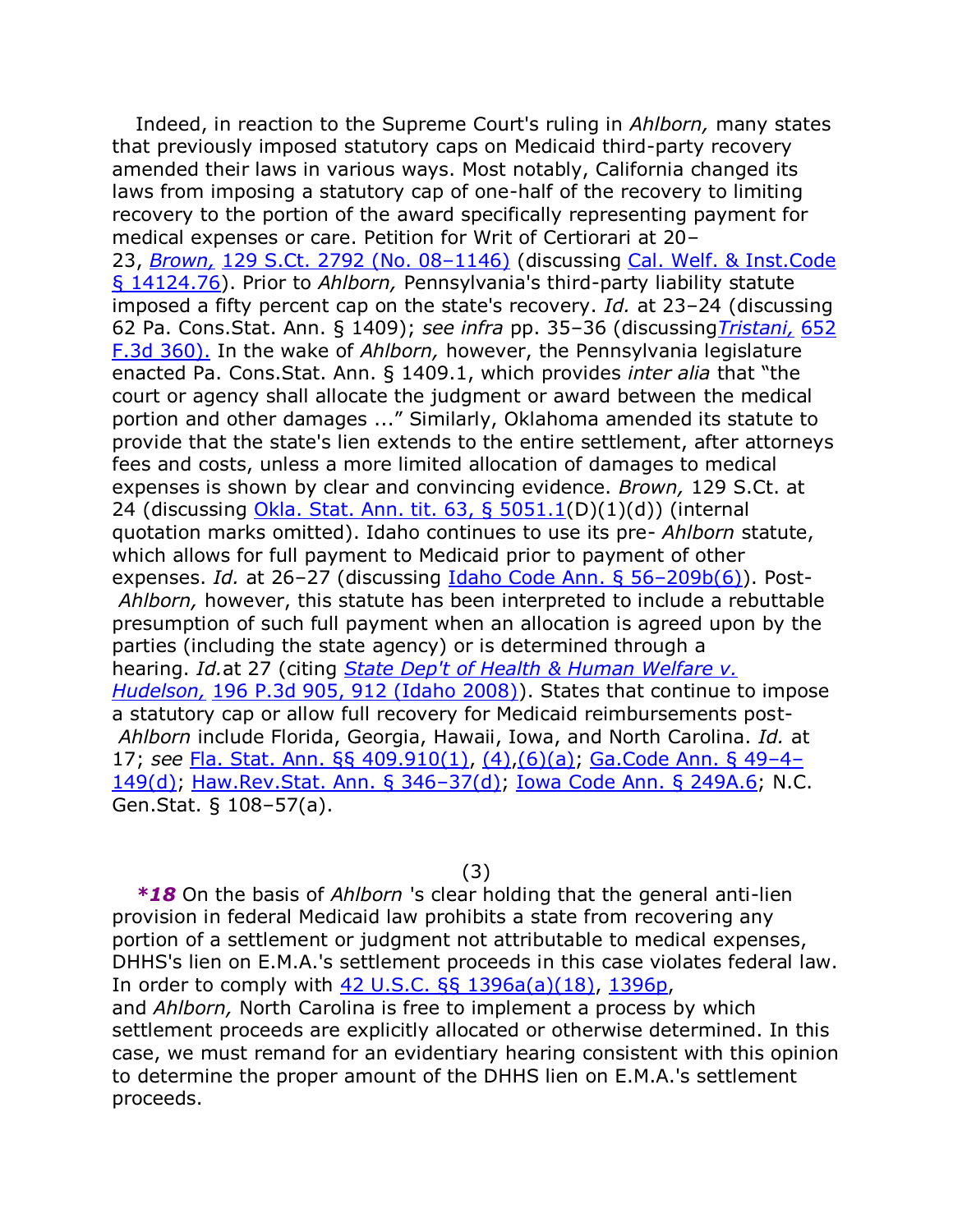Indeed, in reaction to the Supreme Court's ruling in *Ahlborn,* many states that previously imposed statutory caps on Medicaid third-party recovery amended their laws in various ways. Most notably, California changed its laws from imposing a statutory cap of one-half of the recovery to limiting recovery to the portion of the award specifically representing payment for medical expenses or care. Petition for Writ of Certiorari at 20– 23, *Brown,* [129 S.Ct. 2792 \(No. 08](http://web2.westlaw.com/find/default.wl?mt=Westlaw&db=708&tc=-1&rp=%2ffind%2fdefault.wl&findtype=Y&ordoc=2027358976&serialnum=2018380535&vr=2.0&fn=_top&sv=Split&tf=-1&pbc=DC601CB0&rs=WLW12.01)–1146) (discussing [Cal. Welf. & Inst.Code](http://web2.westlaw.com/find/default.wl?mt=Westlaw&db=1000228&docname=CAWIS14124.76&rp=%2ffind%2fdefault.wl&findtype=L&ordoc=2027358976&tc=-1&vr=2.0&fn=_top&sv=Split&tf=-1&pbc=DC601CB0&rs=WLW12.01)  [§ 14124.76\)](http://web2.westlaw.com/find/default.wl?mt=Westlaw&db=1000228&docname=CAWIS14124.76&rp=%2ffind%2fdefault.wl&findtype=L&ordoc=2027358976&tc=-1&vr=2.0&fn=_top&sv=Split&tf=-1&pbc=DC601CB0&rs=WLW12.01). Prior to *Ahlborn,* Pennsylvania's third-party liability statute imposed a fifty percent cap on the state's recovery. *Id.* at 23–24 (discussing 62 Pa. Cons.Stat. Ann. § 1409); *see infra* pp. 35–36 (discussing*[Tristani,](http://web2.westlaw.com/find/default.wl?mt=Westlaw&db=506&tc=-1&rp=%2ffind%2fdefault.wl&findtype=Y&ordoc=2027358976&serialnum=2025577836&vr=2.0&fn=_top&sv=Split&tf=-1&pbc=DC601CB0&rs=WLW12.01)* 652 [F.3d 360\).](http://web2.westlaw.com/find/default.wl?mt=Westlaw&db=506&tc=-1&rp=%2ffind%2fdefault.wl&findtype=Y&ordoc=2027358976&serialnum=2025577836&vr=2.0&fn=_top&sv=Split&tf=-1&pbc=DC601CB0&rs=WLW12.01) In the wake of *Ahlborn,* however, the Pennsylvania legislature enacted Pa. Cons. Stat. Ann. § 1409.1, which provides *inter alia* that "the court or agency shall allocate the judgment or award between the medical portion and other damages ..." Similarly, Oklahoma amended its statute to provide that the state's lien extends to the entire settlement, after attorneys fees and costs, unless a more limited allocation of damages to medical expenses is shown by clear and convincing evidence. *Brown,* 129 S.Ct. at 24 (discussing [Okla. Stat. Ann. tit. 63, § 5051.1\(](http://web2.westlaw.com/find/default.wl?mt=Westlaw&db=1000165&docname=OKSTT63S5051.1&rp=%2ffind%2fdefault.wl&findtype=L&ordoc=2027358976&tc=-1&vr=2.0&fn=_top&sv=Split&tf=-1&pbc=DC601CB0&rs=WLW12.01)D)(1)(d)) (internal quotation marks omitted). Idaho continues to use its pre- *Ahlborn* statute, which allows for full payment to Medicaid prior to payment of other expenses. *Id.* at 26–27 (discussing [Idaho Code Ann. § 56](http://web2.westlaw.com/find/default.wl?mt=Westlaw&db=1000007&docname=IDSTS56-209B&rp=%2ffind%2fdefault.wl&findtype=L&ordoc=2027358976&tc=-1&vr=2.0&fn=_top&sv=Split&tf=-1&referencepositiontype=T&pbc=DC601CB0&referenceposition=SP%3b1e9a0000fd6a3&rs=WLW12.01)–209b(6)). Post-*Ahlborn,* however, this statute has been interpreted to include a rebuttable presumption of such full payment when an allocation is agreed upon by the parties (including the state agency) or is determined through a hearing. *Id.*at 27 (citing *[State Dep't of Health & Human Welfare v.](http://web2.westlaw.com/find/default.wl?mt=Westlaw&db=4645&tc=-1&rp=%2ffind%2fdefault.wl&findtype=Y&ordoc=2027358976&serialnum=2017288557&vr=2.0&fn=_top&sv=Split&tf=-1&referencepositiontype=S&pbc=DC601CB0&referenceposition=912&rs=WLW12.01)  Hudelson,* [196 P.3d 905, 912 \(Idaho 2008\)\)](http://web2.westlaw.com/find/default.wl?mt=Westlaw&db=4645&tc=-1&rp=%2ffind%2fdefault.wl&findtype=Y&ordoc=2027358976&serialnum=2017288557&vr=2.0&fn=_top&sv=Split&tf=-1&referencepositiontype=S&pbc=DC601CB0&referenceposition=912&rs=WLW12.01). States that continue to impose a statutory cap or allow full recovery for Medicaid reimbursements post-*Ahlborn* include Florida, Georgia, Hawaii, Iowa, and North Carolina. *Id.* at 17; *see* [Fla. Stat. Ann. §§ 409.910\(1\),](http://web2.westlaw.com/find/default.wl?mt=Westlaw&db=1000006&docname=FLSTS409.910&rp=%2ffind%2fdefault.wl&findtype=L&ordoc=2027358976&tc=-1&vr=2.0&fn=_top&sv=Split&tf=-1&referencepositiontype=T&pbc=DC601CB0&referenceposition=SP%3bf1c50000821b0&rs=WLW12.01) [\(4\)](http://web2.westlaw.com/find/default.wl?mt=Westlaw&db=1000006&docname=FLSTS409.910&rp=%2ffind%2fdefault.wl&findtype=L&ordoc=2027358976&tc=-1&vr=2.0&fn=_top&sv=Split&tf=-1&referencepositiontype=T&pbc=DC601CB0&referenceposition=SP%3b0bd500007a412&rs=WLW12.01)[,\(6\)\(a\);](http://web2.westlaw.com/find/default.wl?mt=Westlaw&db=1000006&docname=FLSTS409.910&rp=%2ffind%2fdefault.wl&findtype=L&ordoc=2027358976&tc=-1&vr=2.0&fn=_top&sv=Split&tf=-1&referencepositiontype=T&pbc=DC601CB0&referenceposition=SP%3b8fd7000095a35&rs=WLW12.01) [Ga.Code Ann. § 49](http://web2.westlaw.com/find/default.wl?mt=Westlaw&db=1000468&docname=GAST49-4-149&rp=%2ffind%2fdefault.wl&findtype=L&ordoc=2027358976&tc=-1&vr=2.0&fn=_top&sv=Split&tf=-1&referencepositiontype=T&pbc=DC601CB0&referenceposition=SP%3b5ba1000067d06&rs=WLW12.01)–4– [149\(d\);](http://web2.westlaw.com/find/default.wl?mt=Westlaw&db=1000468&docname=GAST49-4-149&rp=%2ffind%2fdefault.wl&findtype=L&ordoc=2027358976&tc=-1&vr=2.0&fn=_top&sv=Split&tf=-1&referencepositiontype=T&pbc=DC601CB0&referenceposition=SP%3b5ba1000067d06&rs=WLW12.01) [Haw.Rev.Stat. Ann. § 346](http://web2.westlaw.com/find/default.wl?mt=Westlaw&db=1000522&docname=HISTS346-37&rp=%2ffind%2fdefault.wl&findtype=L&ordoc=2027358976&tc=-1&vr=2.0&fn=_top&sv=Split&tf=-1&referencepositiontype=T&pbc=DC601CB0&referenceposition=SP%3b5ba1000067d06&rs=WLW12.01)–37(d); [Iowa Code Ann. § 249A.6;](http://web2.westlaw.com/find/default.wl?mt=Westlaw&db=1000256&docname=IASTS249A.6&rp=%2ffind%2fdefault.wl&findtype=L&ordoc=2027358976&tc=-1&vr=2.0&fn=_top&sv=Split&tf=-1&pbc=DC601CB0&rs=WLW12.01) N.C. Gen.Stat. § 108–57(a).

(3)

*\*18* On the basis of *Ahlborn* 's clear holding that the general anti-lien provision in federal Medicaid law prohibits a state from recovering any portion of a settlement or judgment not attributable to medical expenses, DHHS's lien on E.M.A.'s settlement proceeds in this case violates federal law. In order to comply with [42 U.S.C. §§ 1396a\(a\)\(18\),](http://web2.westlaw.com/find/default.wl?mt=Westlaw&db=1000546&docname=42USCAS1396A&rp=%2ffind%2fdefault.wl&findtype=L&ordoc=2027358976&tc=-1&vr=2.0&fn=_top&sv=Split&tf=-1&referencepositiontype=T&pbc=DC601CB0&referenceposition=SP%3bc812000032010&rs=WLW12.01) [1396p,](http://web2.westlaw.com/find/default.wl?mt=Westlaw&db=1000546&docname=42USCAS1396P&rp=%2ffind%2fdefault.wl&findtype=L&ordoc=2027358976&tc=-1&vr=2.0&fn=_top&sv=Split&tf=-1&pbc=DC601CB0&rs=WLW12.01) and *Ahlborn,* North Carolina is free to implement a process by which settlement proceeds are explicitly allocated or otherwise determined. In this case, we must remand for an evidentiary hearing consistent with this opinion to determine the proper amount of the DHHS lien on E.M.A.'s settlement proceeds.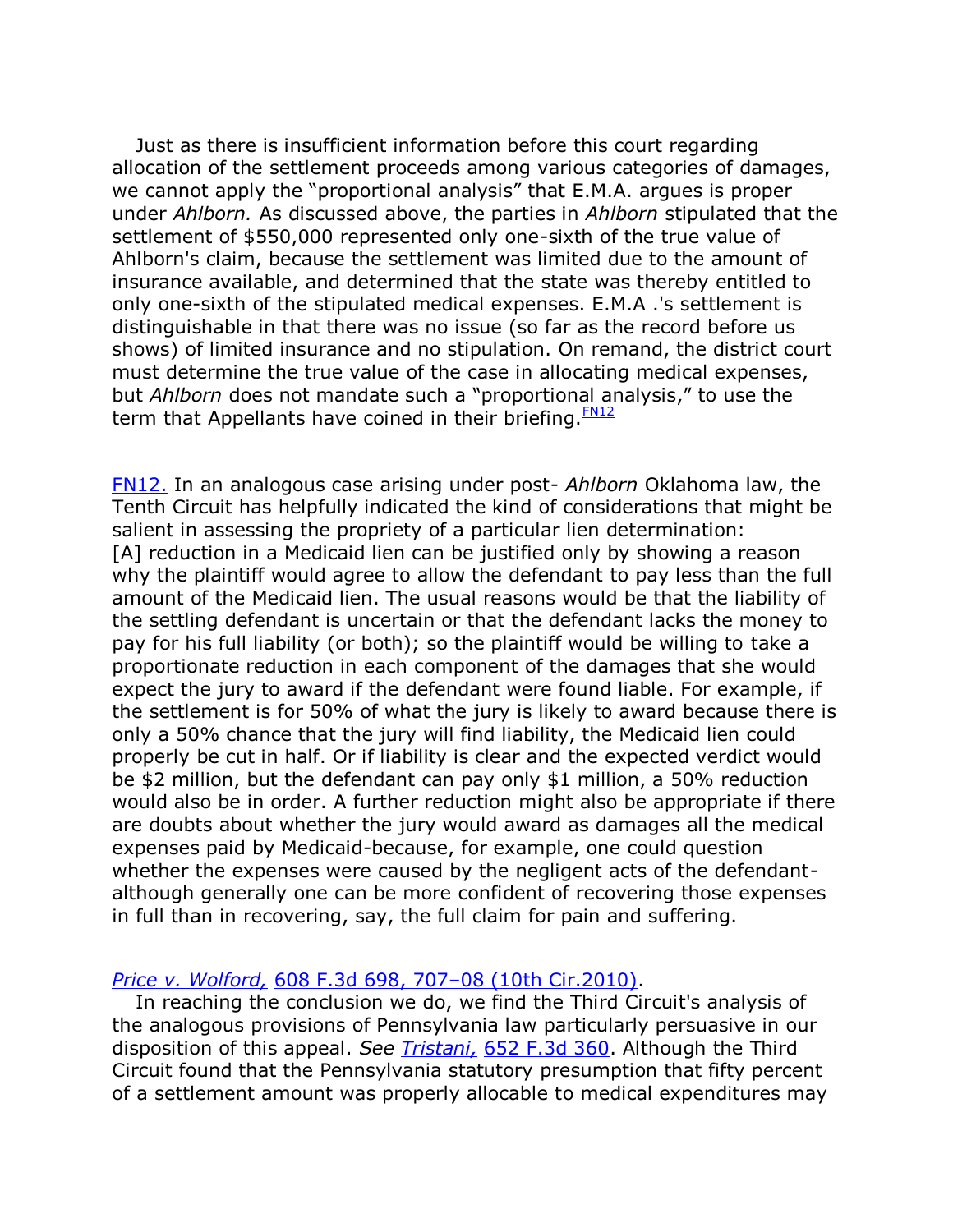Just as there is insufficient information before this court regarding allocation of the settlement proceeds among various categories of damages, we cannot apply the "proportional analysis" that E.M.A. argues is proper under *Ahlborn.* As discussed above, the parties in *Ahlborn* stipulated that the settlement of \$550,000 represented only one-sixth of the true value of Ahlborn's claim, because the settlement was limited due to the amount of insurance available, and determined that the state was thereby entitled to only one-sixth of the stipulated medical expenses. E.M.A .'s settlement is distinguishable in that there was no issue (so far as the record before us shows) of limited insurance and no stipulation. On remand, the district court must determine the true value of the case in allocating medical expenses, but *Ahlborn* does not mandate such a "proportional analysis," to use the term that Appellants have coined in their briefing.  $F_{\text{N12}}$ 

[FN12.](http://web2.westlaw.com/result/documenttext.aspx?rs=WLW12.01&scxt=WL&rlti=1&rp=%2fFind%2fdefault.wl&rlt=CLID_FQRLT113840157233&service=Find&sv=Split&ss=CNT&cite=2012+WL+956187&n=1&fn=_top&mt=Westlaw&vr=2.0&cnt=DOC&cxt=DC#F012122027358976) In an analogous case arising under post- *Ahlborn* Oklahoma law, the Tenth Circuit has helpfully indicated the kind of considerations that might be salient in assessing the propriety of a particular lien determination: [A] reduction in a Medicaid lien can be justified only by showing a reason why the plaintiff would agree to allow the defendant to pay less than the full amount of the Medicaid lien. The usual reasons would be that the liability of the settling defendant is uncertain or that the defendant lacks the money to pay for his full liability (or both); so the plaintiff would be willing to take a proportionate reduction in each component of the damages that she would expect the jury to award if the defendant were found liable. For example, if the settlement is for 50% of what the jury is likely to award because there is only a 50% chance that the jury will find liability, the Medicaid lien could properly be cut in half. Or if liability is clear and the expected verdict would be \$2 million, but the defendant can pay only \$1 million, a 50% reduction would also be in order. A further reduction might also be appropriate if there are doubts about whether the jury would award as damages all the medical expenses paid by Medicaid-because, for example, one could question whether the expenses were caused by the negligent acts of the defendantalthough generally one can be more confident of recovering those expenses in full than in recovering, say, the full claim for pain and suffering.

## *Price v. Wolford,* 608 F.3d 698, 707–[08 \(10th Cir.2010\).](http://web2.westlaw.com/find/default.wl?mt=Westlaw&db=506&tc=-1&rp=%2ffind%2fdefault.wl&findtype=Y&ordoc=2027358976&serialnum=2022319730&vr=2.0&fn=_top&sv=Split&tf=-1&referencepositiontype=S&pbc=DC601CB0&referenceposition=707&rs=WLW12.01)

In reaching the conclusion we do, we find the Third Circuit's analysis of the analogous provisions of Pennsylvania law particularly persuasive in our disposition of this appeal. *See Tristani,* [652 F.3d 360.](http://web2.westlaw.com/find/default.wl?mt=Westlaw&db=506&tc=-1&rp=%2ffind%2fdefault.wl&findtype=Y&ordoc=2027358976&serialnum=2025577836&vr=2.0&fn=_top&sv=Split&tf=-1&pbc=DC601CB0&rs=WLW12.01) Although the Third Circuit found that the Pennsylvania statutory presumption that fifty percent of a settlement amount was properly allocable to medical expenditures may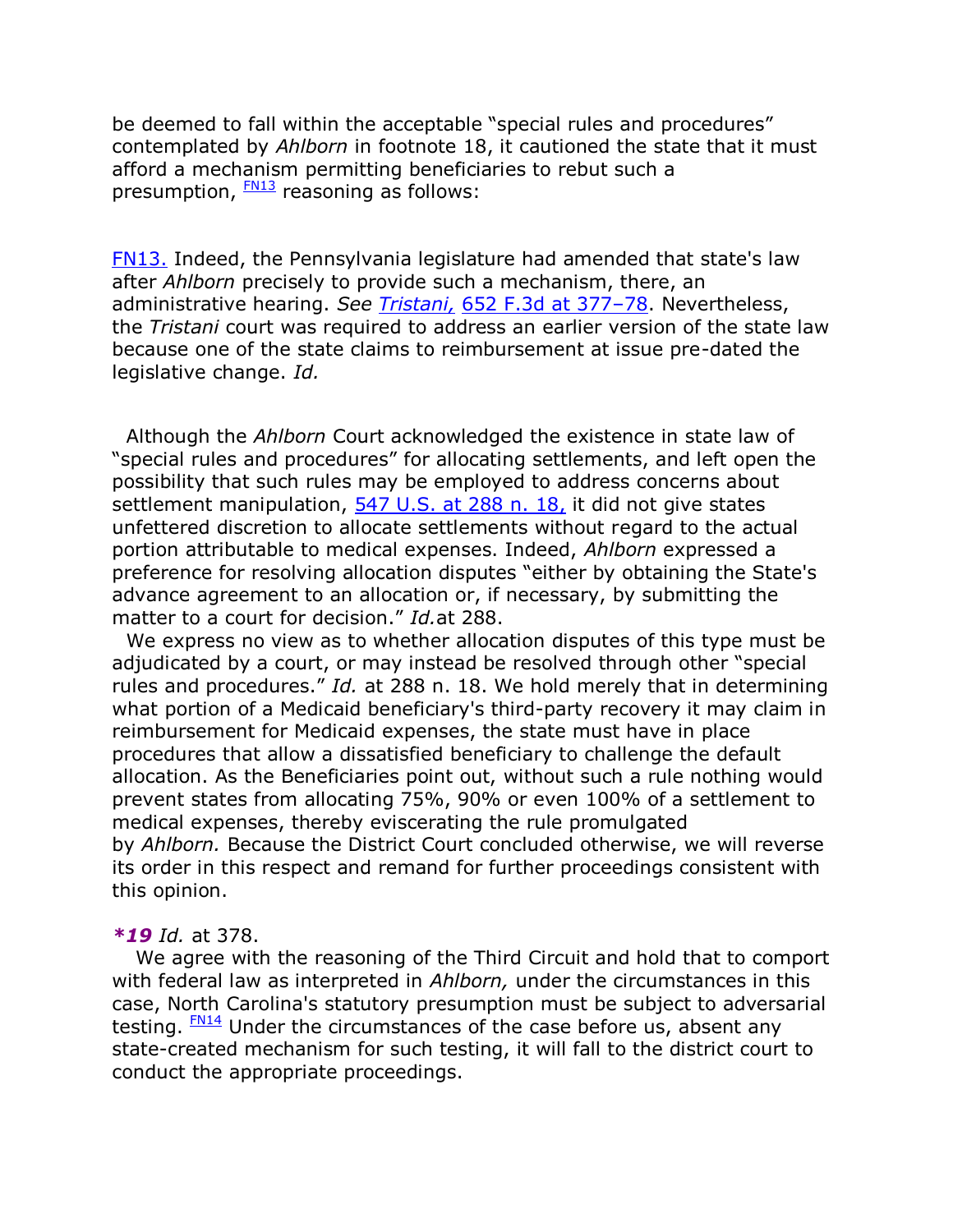be deemed to fall within the acceptable "special rules and procedures" contemplated by *Ahlborn* in footnote 18, it cautioned the state that it must afford a mechanism permitting beneficiaries to rebut such a presumption,  $\frac{FN13}{FN13}$  $\frac{FN13}{FN13}$  $\frac{FN13}{FN13}$  reasoning as follows:

[FN13.](http://web2.westlaw.com/result/documenttext.aspx?rs=WLW12.01&scxt=WL&rlti=1&rp=%2fFind%2fdefault.wl&rlt=CLID_FQRLT113840157233&service=Find&sv=Split&ss=CNT&cite=2012+WL+956187&n=1&fn=_top&mt=Westlaw&vr=2.0&cnt=DOC&cxt=DC#F013132027358976) Indeed, the Pennsylvania legislature had amended that state's law after *Ahlborn* precisely to provide such a mechanism, there, an administrative hearing. *See Tristani,* [652 F.3d at 377](http://web2.westlaw.com/find/default.wl?mt=Westlaw&db=506&tc=-1&rp=%2ffind%2fdefault.wl&findtype=Y&ordoc=2027358976&serialnum=2025577836&vr=2.0&fn=_top&sv=Split&tf=-1&referencepositiontype=S&pbc=DC601CB0&referenceposition=377&rs=WLW12.01)–78. Nevertheless, the *Tristani* court was required to address an earlier version of the state law because one of the state claims to reimbursement at issue pre-dated the legislative change. *Id.*

Although the *Ahlborn* Court acknowledged the existence in state law of "special rules and procedures" for allocating settlements, and left open the possibility that such rules may be employed to address concerns about settlement manipulation, [547 U.S. at 288 n. 18,](http://web2.westlaw.com/find/default.wl?mt=Westlaw&db=780&tc=-1&rp=%2ffind%2fdefault.wl&findtype=Y&ordoc=2027358976&serialnum=2009061885&vr=2.0&fn=_top&sv=Split&tf=-1&referencepositiontype=S&pbc=DC601CB0&referenceposition=288&rs=WLW12.01) it did not give states unfettered discretion to allocate settlements without regard to the actual portion attributable to medical expenses. Indeed, *Ahlborn* expressed a preference for resolving allocation disputes "either by obtaining the State's advance agreement to an allocation or, if necessary, by submitting the matter to a court for decision." *Id.*at 288.

We express no view as to whether allocation disputes of this type must be adjudicated by a court, or may instead be resolved through other "special rules and procedures." *Id.* at 288 n. 18. We hold merely that in determining what portion of a Medicaid beneficiary's third-party recovery it may claim in reimbursement for Medicaid expenses, the state must have in place procedures that allow a dissatisfied beneficiary to challenge the default allocation. As the Beneficiaries point out, without such a rule nothing would prevent states from allocating 75%, 90% or even 100% of a settlement to medical expenses, thereby eviscerating the rule promulgated by *Ahlborn.* Because the District Court concluded otherwise, we will reverse its order in this respect and remand for further proceedings consistent with this opinion.

## *\*19 Id.* at 378.

We agree with the reasoning of the Third Circuit and hold that to comport with federal law as interpreted in *Ahlborn,* under the circumstances in this case, North Carolina's statutory presumption must be subject to adversarial testing.  $F N14$  Under the circumstances of the case before us, absent any state-created mechanism for such testing, it will fall to the district court to conduct the appropriate proceedings.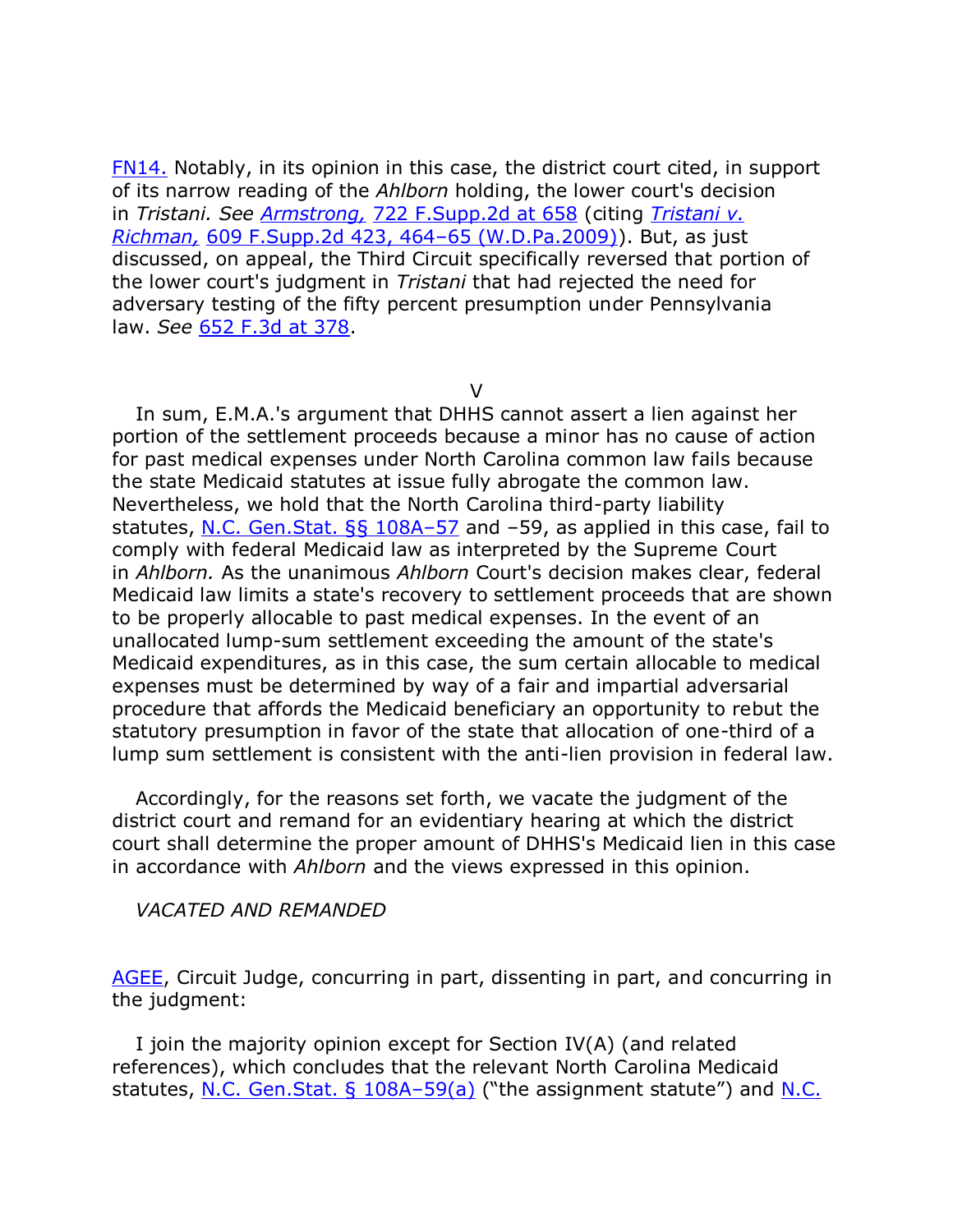[FN14.](http://web2.westlaw.com/result/documenttext.aspx?rs=WLW12.01&scxt=WL&rlti=1&rp=%2fFind%2fdefault.wl&rlt=CLID_FQRLT113840157233&service=Find&sv=Split&ss=CNT&cite=2012+WL+956187&n=1&fn=_top&mt=Westlaw&vr=2.0&cnt=DOC&cxt=DC#F014142027358976) Notably, in its opinion in this case, the district court cited, in support of its narrow reading of the *Ahlborn* holding, the lower court's decision in *Tristani. See Armstrong,* [722 F.Supp.2d at 658](http://web2.westlaw.com/find/default.wl?mt=Westlaw&db=4637&tc=-1&rp=%2ffind%2fdefault.wl&findtype=Y&ordoc=2027358976&serialnum=2022444064&vr=2.0&fn=_top&sv=Split&tf=-1&referencepositiontype=S&pbc=DC601CB0&referenceposition=658&rs=WLW12.01) (citing *[Tristani v.](http://web2.westlaw.com/find/default.wl?mt=Westlaw&db=4637&tc=-1&rp=%2ffind%2fdefault.wl&findtype=Y&ordoc=2027358976&serialnum=2018488980&vr=2.0&fn=_top&sv=Split&tf=-1&referencepositiontype=S&pbc=DC601CB0&referenceposition=464&rs=WLW12.01)  Richman,* [609 F.Supp.2d 423, 464](http://web2.westlaw.com/find/default.wl?mt=Westlaw&db=4637&tc=-1&rp=%2ffind%2fdefault.wl&findtype=Y&ordoc=2027358976&serialnum=2018488980&vr=2.0&fn=_top&sv=Split&tf=-1&referencepositiontype=S&pbc=DC601CB0&referenceposition=464&rs=WLW12.01)–65 (W.D.Pa.2009)). But, as just discussed, on appeal, the Third Circuit specifically reversed that portion of the lower court's judgment in *Tristani* that had rejected the need for adversary testing of the fifty percent presumption under Pennsylvania law. *See* [652 F.3d at 378.](http://web2.westlaw.com/find/default.wl?mt=Westlaw&db=506&tc=-1&rp=%2ffind%2fdefault.wl&findtype=Y&ordoc=2027358976&serialnum=2025577836&vr=2.0&fn=_top&sv=Split&tf=-1&referencepositiontype=S&pbc=DC601CB0&referenceposition=378&rs=WLW12.01)

V

In sum, E.M.A.'s argument that DHHS cannot assert a lien against her portion of the settlement proceeds because a minor has no cause of action for past medical expenses under North Carolina common law fails because the state Medicaid statutes at issue fully abrogate the common law. Nevertheless, we hold that the North Carolina third-party liability statutes, [N.C. Gen.Stat. §§ 108A](http://web2.westlaw.com/find/default.wl?mt=Westlaw&db=1000037&docname=NCSTS108A-57&rp=%2ffind%2fdefault.wl&findtype=L&ordoc=2027358976&tc=-1&vr=2.0&fn=_top&sv=Split&tf=-1&pbc=DC601CB0&rs=WLW12.01)–57 and –59, as applied in this case, fail to comply with federal Medicaid law as interpreted by the Supreme Court in *Ahlborn.* As the unanimous *Ahlborn* Court's decision makes clear, federal Medicaid law limits a state's recovery to settlement proceeds that are shown to be properly allocable to past medical expenses. In the event of an unallocated lump-sum settlement exceeding the amount of the state's Medicaid expenditures, as in this case, the sum certain allocable to medical expenses must be determined by way of a fair and impartial adversarial procedure that affords the Medicaid beneficiary an opportunity to rebut the statutory presumption in favor of the state that allocation of one-third of a lump sum settlement is consistent with the anti-lien provision in federal law.

Accordingly, for the reasons set forth, we vacate the judgment of the district court and remand for an evidentiary hearing at which the district court shall determine the proper amount of DHHS's Medicaid lien in this case in accordance with *Ahlborn* and the views expressed in this opinion.

*VACATED AND REMANDED*

[AGEE,](http://web2.westlaw.com/find/default.wl?mt=Westlaw&db=PROFILER-WLD&docname=0126009401&rp=%2ffind%2fdefault.wl&findtype=h&ordoc=2027358976&tc=-1&vr=2.0&fn=_top&sv=Split&tf=-1&pbc=DC601CB0&rs=WLW12.01) Circuit Judge, concurring in part, dissenting in part, and concurring in the judgment:

I join the majority opinion except for Section IV(A) (and related references), which concludes that the relevant North Carolina Medicaid statutes, [N.C.](http://web2.westlaw.com/find/default.wl?mt=Westlaw&db=1000037&docname=NCSTS108A-57&rp=%2ffind%2fdefault.wl&findtype=L&ordoc=2027358976&tc=-1&vr=2.0&fn=_top&sv=Split&tf=-1&referencepositiontype=T&pbc=DC601CB0&referenceposition=SP%3b8b3b0000958a4&rs=WLW12.01) Gen. Stat.  $\S$  108A–59(a) ("the assignment statute") and N.C.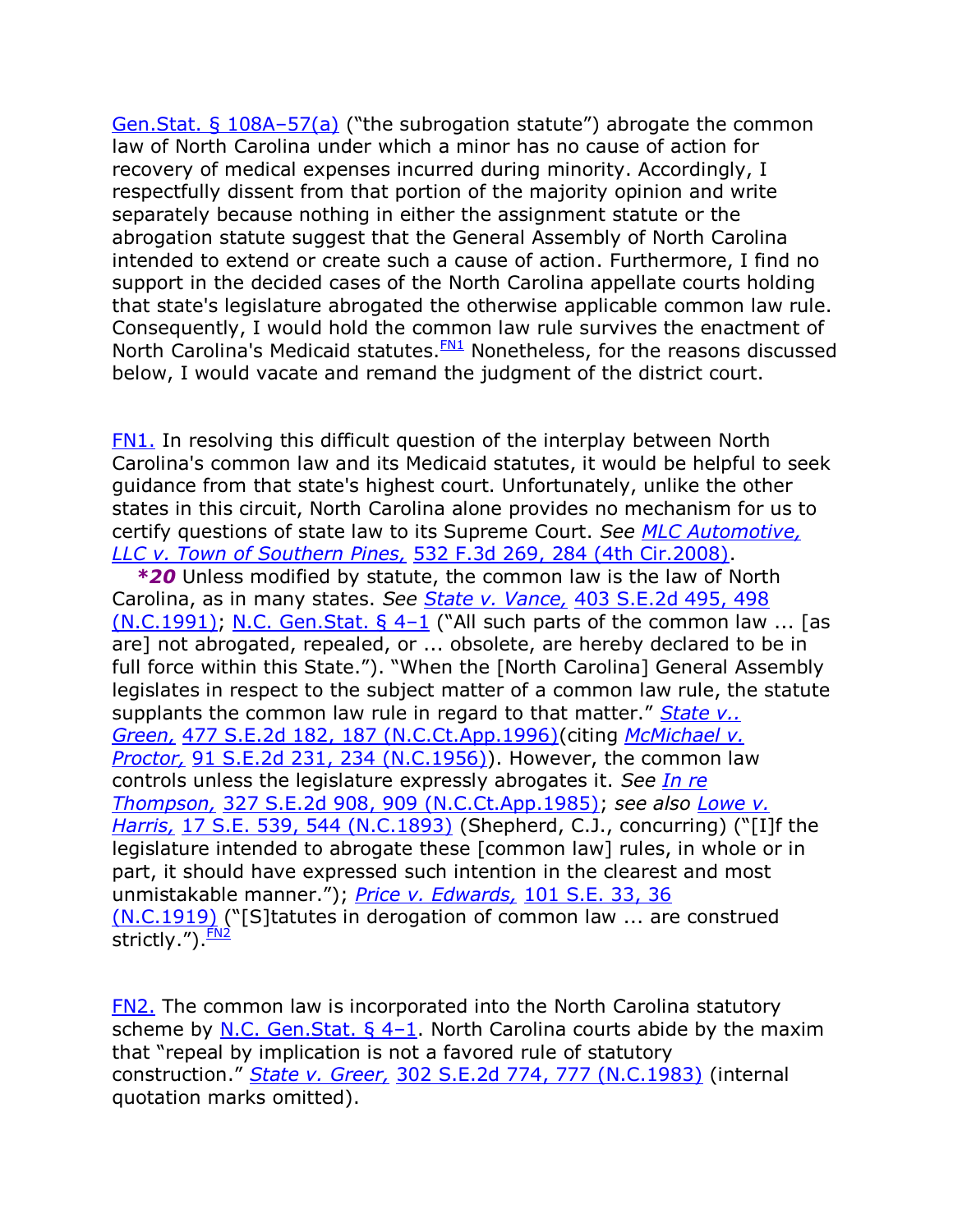Gen. Stat.  $\S$  108A–57(a) ("the subrogation statute") abrogate the common law of North Carolina under which a minor has no cause of action for recovery of medical expenses incurred during minority. Accordingly, I respectfully dissent from that portion of the majority opinion and write separately because nothing in either the assignment statute or the abrogation statute suggest that the General Assembly of North Carolina intended to extend or create such a cause of action. Furthermore, I find no support in the decided cases of the North Carolina appellate courts holding that state's legislature abrogated the otherwise applicable common law rule. Consequently, I would hold the common law rule survives the enactment of North Carolina's Medicaid statutes. $F_{N1}^{N1}$  Nonetheless, for the reasons discussed below, I would vacate and remand the judgment of the district court.

[FN1.](http://web2.westlaw.com/result/documenttext.aspx?rs=WLW12.01&scxt=WL&rlti=1&rp=%2fFind%2fdefault.wl&rlt=CLID_FQRLT113840157233&service=Find&sv=Split&ss=CNT&cite=2012+WL+956187&n=1&fn=_top&mt=Westlaw&vr=2.0&cnt=DOC&cxt=DC#F01512027358976) In resolving this difficult question of the interplay between North Carolina's common law and its Medicaid statutes, it would be helpful to seek guidance from that state's highest court. Unfortunately, unlike the other states in this circuit, North Carolina alone provides no mechanism for us to certify questions of state law to its Supreme Court. *See [MLC Automotive,](http://web2.westlaw.com/find/default.wl?mt=Westlaw&db=506&tc=-1&rp=%2ffind%2fdefault.wl&findtype=Y&ordoc=2027358976&serialnum=2016454728&vr=2.0&fn=_top&sv=Split&tf=-1&referencepositiontype=S&pbc=DC601CB0&referenceposition=284&rs=WLW12.01)  LLC v. Town of Southern Pines,* [532 F.3d 269, 284 \(4th Cir.2008\).](http://web2.westlaw.com/find/default.wl?mt=Westlaw&db=506&tc=-1&rp=%2ffind%2fdefault.wl&findtype=Y&ordoc=2027358976&serialnum=2016454728&vr=2.0&fn=_top&sv=Split&tf=-1&referencepositiontype=S&pbc=DC601CB0&referenceposition=284&rs=WLW12.01)

*\*20* Unless modified by statute, the common law is the law of North Carolina, as in many states. *See State v. Vance,* [403 S.E.2d 495, 498](http://web2.westlaw.com/find/default.wl?mt=Westlaw&db=711&tc=-1&rp=%2ffind%2fdefault.wl&findtype=Y&ordoc=2027358976&serialnum=1991086266&vr=2.0&fn=_top&sv=Split&tf=-1&referencepositiontype=S&pbc=DC601CB0&referenceposition=498&rs=WLW12.01)   $(N.C.1991)$ ; [N.C. Gen.Stat. § 4](http://web2.westlaw.com/find/default.wl?mt=Westlaw&db=1000037&docname=NCSTS4-1&rp=%2ffind%2fdefault.wl&findtype=L&ordoc=2027358976&tc=-1&vr=2.0&fn=_top&sv=Split&tf=-1&pbc=DC601CB0&rs=WLW12.01)-1 ("All such parts of the common law ... [as are] not abrogated, repealed, or ... obsolete, are hereby declared to be in full force within this State."). "When the [North Carolina] General Assembly legislates in respect to the subject matter of a common law rule, the statute supplants the common law rule in regard to that matter." State v.. *Green,* [477 S.E.2d 182, 187 \(N.C.Ct.App.1996\)\(](http://web2.westlaw.com/find/default.wl?mt=Westlaw&db=711&tc=-1&rp=%2ffind%2fdefault.wl&findtype=Y&ordoc=2027358976&serialnum=1996246168&vr=2.0&fn=_top&sv=Split&tf=-1&referencepositiontype=S&pbc=DC601CB0&referenceposition=187&rs=WLW12.01)citing *[McMichael v.](http://web2.westlaw.com/find/default.wl?mt=Westlaw&db=711&tc=-1&rp=%2ffind%2fdefault.wl&findtype=Y&ordoc=2027358976&serialnum=1956101921&vr=2.0&fn=_top&sv=Split&tf=-1&referencepositiontype=S&pbc=DC601CB0&referenceposition=234&rs=WLW12.01)  Proctor,* [91 S.E.2d 231, 234 \(N.C.1956\)\)](http://web2.westlaw.com/find/default.wl?mt=Westlaw&db=711&tc=-1&rp=%2ffind%2fdefault.wl&findtype=Y&ordoc=2027358976&serialnum=1956101921&vr=2.0&fn=_top&sv=Split&tf=-1&referencepositiontype=S&pbc=DC601CB0&referenceposition=234&rs=WLW12.01). However, the common law controls unless the legislature expressly abrogates it. *See [In re](http://web2.westlaw.com/find/default.wl?mt=Westlaw&db=711&tc=-1&rp=%2ffind%2fdefault.wl&findtype=Y&ordoc=2027358976&serialnum=1985119447&vr=2.0&fn=_top&sv=Split&tf=-1&referencepositiontype=S&pbc=DC601CB0&referenceposition=909&rs=WLW12.01)  Thompson,* [327 S.E.2d 908, 909 \(N.C.Ct.App.1985\);](http://web2.westlaw.com/find/default.wl?mt=Westlaw&db=711&tc=-1&rp=%2ffind%2fdefault.wl&findtype=Y&ordoc=2027358976&serialnum=1985119447&vr=2.0&fn=_top&sv=Split&tf=-1&referencepositiontype=S&pbc=DC601CB0&referenceposition=909&rs=WLW12.01) *see also [Lowe v.](http://web2.westlaw.com/find/default.wl?mt=Westlaw&db=710&tc=-1&rp=%2ffind%2fdefault.wl&findtype=Y&ordoc=2027358976&serialnum=1893008895&vr=2.0&fn=_top&sv=Split&tf=-1&referencepositiontype=S&pbc=DC601CB0&referenceposition=544&rs=WLW12.01)  Harris,* [17 S.E. 539, 544 \(N.C.1893\)](http://web2.westlaw.com/find/default.wl?mt=Westlaw&db=710&tc=-1&rp=%2ffind%2fdefault.wl&findtype=Y&ordoc=2027358976&serialnum=1893008895&vr=2.0&fn=_top&sv=Split&tf=-1&referencepositiontype=S&pbc=DC601CB0&referenceposition=544&rs=WLW12.01) (Shepherd, C.J., concurring) ("[I]f the legislature intended to abrogate these [common law] rules, in whole or in part, it should have expressed such intention in the clearest and most unmistakable manner.‖); *[Price v. Edwards,](http://web2.westlaw.com/find/default.wl?mt=Westlaw&db=710&tc=-1&rp=%2ffind%2fdefault.wl&findtype=Y&ordoc=2027358976&serialnum=1919012069&vr=2.0&fn=_top&sv=Split&tf=-1&referencepositiontype=S&pbc=DC601CB0&referenceposition=36&rs=WLW12.01)* 101 S.E. 33, 36 [\(N.C.1919\)](http://web2.westlaw.com/find/default.wl?mt=Westlaw&db=710&tc=-1&rp=%2ffind%2fdefault.wl&findtype=Y&ordoc=2027358976&serialnum=1919012069&vr=2.0&fn=_top&sv=Split&tf=-1&referencepositiontype=S&pbc=DC601CB0&referenceposition=36&rs=WLW12.01) ("[S]tatutes in derogation of common law ... are construed strictly."). $F_{N2}$ 

[FN2.](http://web2.westlaw.com/result/documenttext.aspx?rs=WLW12.01&scxt=WL&rlti=1&rp=%2fFind%2fdefault.wl&rlt=CLID_FQRLT113840157233&service=Find&sv=Split&ss=CNT&cite=2012+WL+956187&n=1&fn=_top&mt=Westlaw&vr=2.0&cnt=DOC&cxt=DC#F01622027358976) The common law is incorporated into the North Carolina statutory scheme by N.C. Gen. Stat.  $\frac{64-1}{6}$ . North Carolina courts abide by the maxim that "repeal by implication is not a favored rule of statutory construction.‖ *State v. Greer,* [302 S.E.2d 774, 777 \(N.C.1983\)](http://web2.westlaw.com/find/default.wl?mt=Westlaw&db=711&tc=-1&rp=%2ffind%2fdefault.wl&findtype=Y&ordoc=2027358976&serialnum=1983126056&vr=2.0&fn=_top&sv=Split&tf=-1&referencepositiontype=S&pbc=DC601CB0&referenceposition=777&rs=WLW12.01) (internal quotation marks omitted).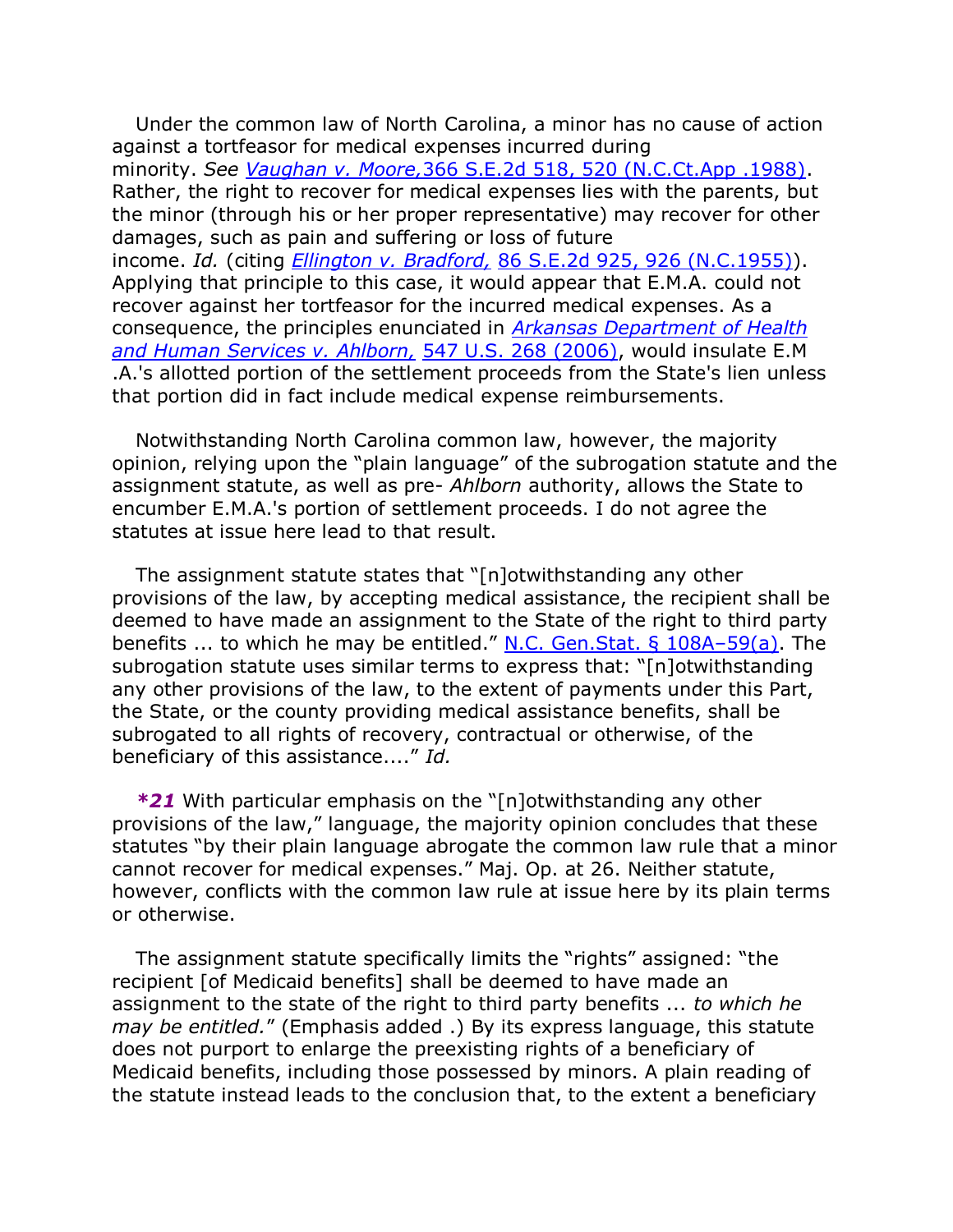Under the common law of North Carolina, a minor has no cause of action against a tortfeasor for medical expenses incurred during minority. *See Vaughan v. Moore,*[366 S.E.2d 518, 520 \(N.C.Ct.App .1988\).](http://web2.westlaw.com/find/default.wl?mt=Westlaw&db=711&tc=-1&rp=%2ffind%2fdefault.wl&findtype=Y&ordoc=2027358976&serialnum=1988045218&vr=2.0&fn=_top&sv=Split&tf=-1&referencepositiontype=S&pbc=DC601CB0&referenceposition=520&rs=WLW12.01) Rather, the right to recover for medical expenses lies with the parents, but the minor (through his or her proper representative) may recover for other damages, such as pain and suffering or loss of future income. *Id.* (citing *Ellington v. Bradford,* [86 S.E.2d 925, 926 \(N.C.1955\)\)](http://web2.westlaw.com/find/default.wl?mt=Westlaw&db=711&tc=-1&rp=%2ffind%2fdefault.wl&findtype=Y&ordoc=2027358976&serialnum=1955104249&vr=2.0&fn=_top&sv=Split&tf=-1&referencepositiontype=S&pbc=DC601CB0&referenceposition=926&rs=WLW12.01). Applying that principle to this case, it would appear that E.M.A. could not recover against her tortfeasor for the incurred medical expenses. As a consequence, the principles enunciated in *[Arkansas Department of Health](http://web2.westlaw.com/find/default.wl?mt=Westlaw&db=780&tc=-1&rp=%2ffind%2fdefault.wl&findtype=Y&ordoc=2027358976&serialnum=2009061885&vr=2.0&fn=_top&sv=Split&tf=-1&pbc=DC601CB0&rs=WLW12.01)* 

*[and Human Services v. Ahlborn,](http://web2.westlaw.com/find/default.wl?mt=Westlaw&db=780&tc=-1&rp=%2ffind%2fdefault.wl&findtype=Y&ordoc=2027358976&serialnum=2009061885&vr=2.0&fn=_top&sv=Split&tf=-1&pbc=DC601CB0&rs=WLW12.01)* 547 U.S. 268 (2006), would insulate E.M .A.'s allotted portion of the settlement proceeds from the State's lien unless that portion did in fact include medical expense reimbursements.

Notwithstanding North Carolina common law, however, the majority opinion, relying upon the "plain language" of the subrogation statute and the assignment statute, as well as pre- *Ahlborn* authority, allows the State to encumber E.M.A.'s portion of settlement proceeds. I do not agree the statutes at issue here lead to that result.

The assignment statute states that "[n]otwithstanding any other provisions of the law, by accepting medical assistance, the recipient shall be deemed to have made an assignment to the State of the right to third party benefits ... to which he may be entitled." N.C. Gen. Stat.  $\frac{5 \text{ 108}}{4}$  -59(a). The subrogation statute uses similar terms to express that: "[n]otwithstanding any other provisions of the law, to the extent of payments under this Part, the State, or the county providing medical assistance benefits, shall be subrogated to all rights of recovery, contractual or otherwise, of the beneficiary of this assistance...." *Id.* 

\*21 With particular emphasis on the "[n]otwithstanding any other provisions of the law," language, the majority opinion concludes that these statutes "by their plain language abrogate the common law rule that a minor cannot recover for medical expenses." Maj. Op. at 26. Neither statute, however, conflicts with the common law rule at issue here by its plain terms or otherwise.

The assignment statute specifically limits the "rights" assigned: "the recipient [of Medicaid benefits] shall be deemed to have made an assignment to the state of the right to third party benefits ... *to which he may be entitled.*" (Emphasis added .) By its express language, this statute does not purport to enlarge the preexisting rights of a beneficiary of Medicaid benefits, including those possessed by minors. A plain reading of the statute instead leads to the conclusion that, to the extent a beneficiary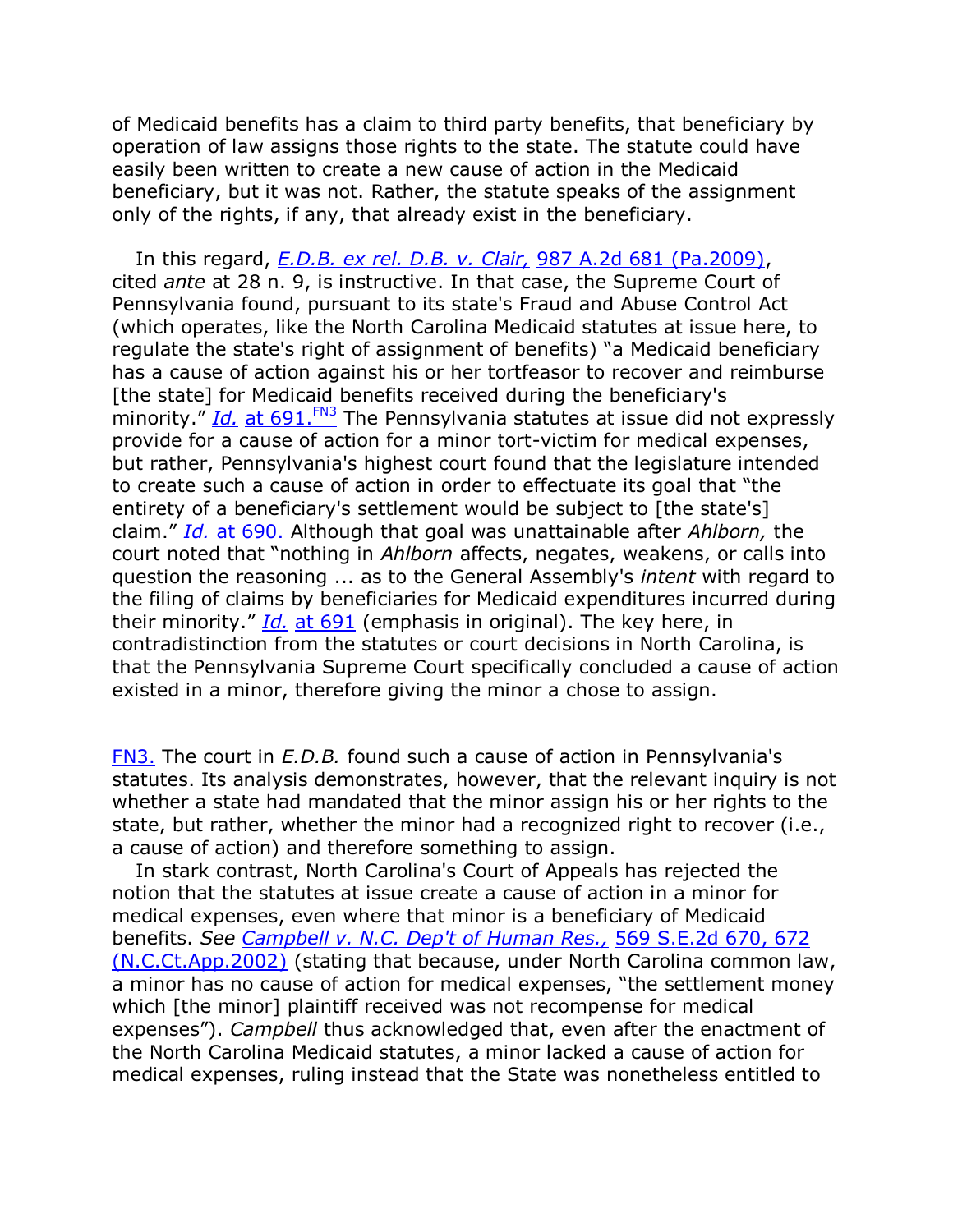of Medicaid benefits has a claim to third party benefits, that beneficiary by operation of law assigns those rights to the state. The statute could have easily been written to create a new cause of action in the Medicaid beneficiary, but it was not. Rather, the statute speaks of the assignment only of the rights, if any, that already exist in the beneficiary.

In this regard, *[E.D.B. ex rel. D.B. v. Clair,](http://web2.westlaw.com/find/default.wl?mt=Westlaw&db=162&tc=-1&rp=%2ffind%2fdefault.wl&findtype=Y&ordoc=2027358976&serialnum=2020922896&vr=2.0&fn=_top&sv=Split&tf=-1&pbc=DC601CB0&rs=WLW12.01)* 987 A.2d 681 (Pa.2009), cited *ante* at 28 n. 9, is instructive. In that case, the Supreme Court of Pennsylvania found, pursuant to its state's Fraud and Abuse Control Act (which operates, like the North Carolina Medicaid statutes at issue here, to regulate the state's right of assignment of benefits) "a Medicaid beneficiary has a cause of action against his or her tortfeasor to recover and reimburse [the state] for Medicaid benefits received during the beneficiary's minority." *Id.* [at 691.](http://web2.westlaw.com/find/default.wl?rs=WLW12.01&pbc=DC601CB0&vr=2.0&findtype=Y&rp=%2ffind%2fdefault.wl&sv=Split&fn=_top&tf=-1&ordoc=2027358976&mt=Westlaw&serialnum=2020922896&tc=-1)<sup>[FN3](http://web2.westlaw.com/find/default.wl?rs=WLW12.01&pbc=DC601CB0&vr=2.0&findtype=Y&rp=%2ffind%2fdefault.wl&sv=Split&fn=_top&tf=-1&ordoc=2027358976&mt=Westlaw&serialnum=2020922896&tc=-1)</sup> The Pennsylvania statutes at issue did not expressly provide for a cause of action for a minor tort-victim for medical expenses, but rather, Pennsylvania's highest court found that the legislature intended to create such a cause of action in order to effectuate its goal that "the entirety of a beneficiary's settlement would be subject to [the state's] claim.‖ *Id.* [at 690.](http://web2.westlaw.com/find/default.wl?rs=WLW12.01&pbc=DC601CB0&vr=2.0&findtype=Y&rp=%2ffind%2fdefault.wl&sv=Split&fn=_top&tf=-1&ordoc=2027358976&mt=Westlaw&serialnum=2020922896&tc=-1) Although that goal was unattainable after *Ahlborn,* the court noted that "nothing in *Ahlborn* affects, negates, weakens, or calls into question the reasoning ... as to the General Assembly's *intent* with regard to the filing of claims by beneficiaries for Medicaid expenditures incurred during their minority.‖ *Id.* [at 691](http://web2.westlaw.com/find/default.wl?rs=WLW12.01&pbc=DC601CB0&vr=2.0&findtype=Y&rp=%2ffind%2fdefault.wl&sv=Split&fn=_top&tf=-1&ordoc=2027358976&mt=Westlaw&serialnum=2020922896&tc=-1) (emphasis in original). The key here, in contradistinction from the statutes or court decisions in North Carolina, is that the Pennsylvania Supreme Court specifically concluded a cause of action existed in a minor, therefore giving the minor a chose to assign.

[FN3.](http://web2.westlaw.com/result/documenttext.aspx?rs=WLW12.01&scxt=WL&rlti=1&rp=%2fFind%2fdefault.wl&rlt=CLID_FQRLT113840157233&service=Find&sv=Split&ss=CNT&cite=2012+WL+956187&n=1&fn=_top&mt=Westlaw&vr=2.0&cnt=DOC&cxt=DC#F01732027358976) The court in *E.D.B.* found such a cause of action in Pennsylvania's statutes. Its analysis demonstrates, however, that the relevant inquiry is not whether a state had mandated that the minor assign his or her rights to the state, but rather, whether the minor had a recognized right to recover (i.e., a cause of action) and therefore something to assign.

In stark contrast, North Carolina's Court of Appeals has rejected the notion that the statutes at issue create a cause of action in a minor for medical expenses, even where that minor is a beneficiary of Medicaid benefits. *See [Campbell v. N.C. Dep't of Human Res.,](http://web2.westlaw.com/find/default.wl?mt=Westlaw&db=711&tc=-1&rp=%2ffind%2fdefault.wl&findtype=Y&ordoc=2027358976&serialnum=2002616580&vr=2.0&fn=_top&sv=Split&tf=-1&referencepositiontype=S&pbc=DC601CB0&referenceposition=672&rs=WLW12.01)* 569 S.E.2d 670, 672 [\(N.C.Ct.App.2002\)](http://web2.westlaw.com/find/default.wl?mt=Westlaw&db=711&tc=-1&rp=%2ffind%2fdefault.wl&findtype=Y&ordoc=2027358976&serialnum=2002616580&vr=2.0&fn=_top&sv=Split&tf=-1&referencepositiontype=S&pbc=DC601CB0&referenceposition=672&rs=WLW12.01) (stating that because, under North Carolina common law, a minor has no cause of action for medical expenses, "the settlement money which [the minor] plaintiff received was not recompense for medical expenses‖). *Campbell* thus acknowledged that, even after the enactment of the North Carolina Medicaid statutes, a minor lacked a cause of action for medical expenses, ruling instead that the State was nonetheless entitled to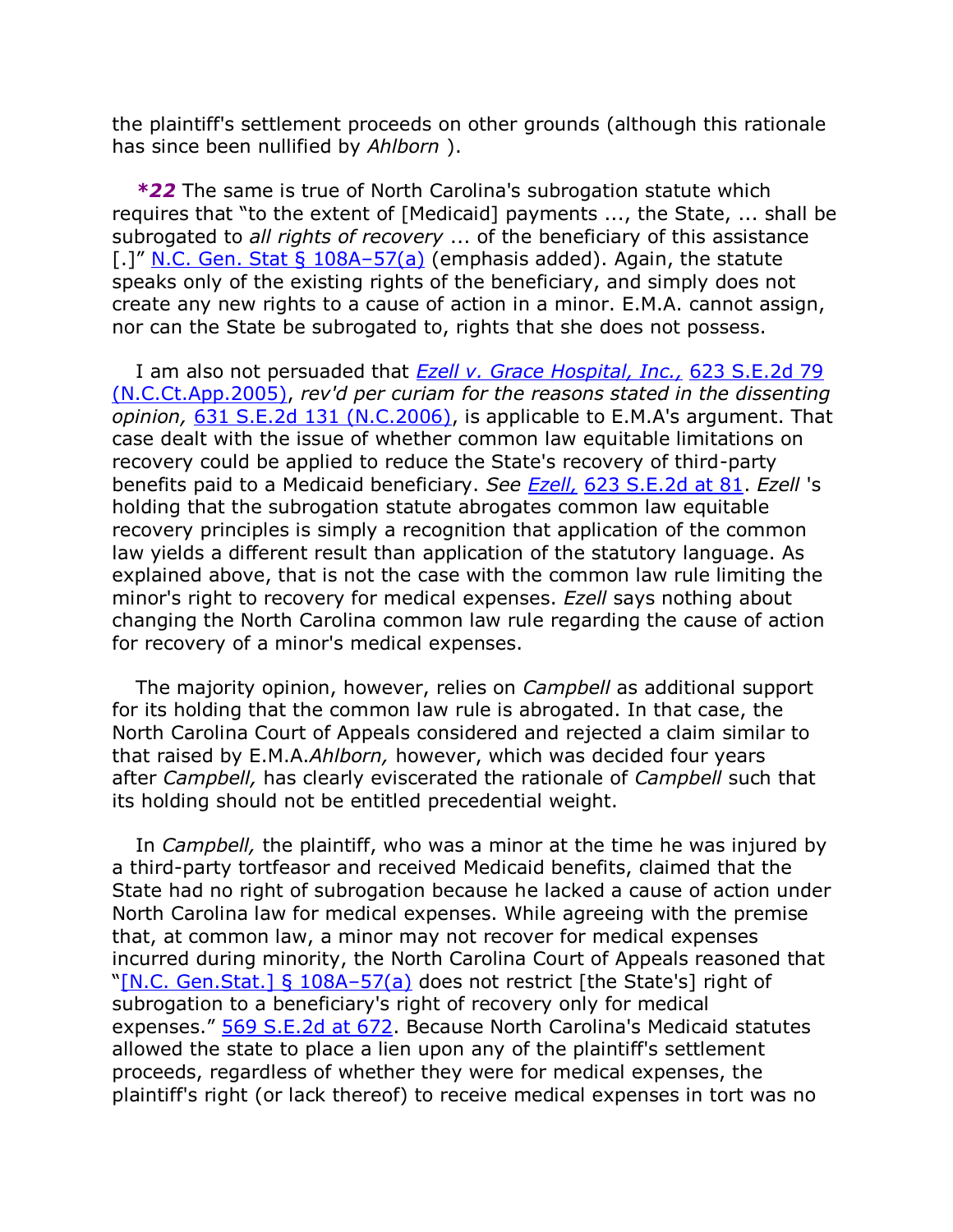the plaintiff's settlement proceeds on other grounds (although this rationale has since been nullified by *Ahlborn* ).

*\*22* The same is true of North Carolina's subrogation statute which requires that "to the extent of [Medicaid] payments ..., the State, ... shall be subrogated to *all rights of recovery* ... of the beneficiary of this assistance  $[.]$ " [N.C. Gen. Stat § 108A](http://web2.westlaw.com/find/default.wl?mt=Westlaw&db=1000037&docname=NCSTS108A-57&rp=%2ffind%2fdefault.wl&findtype=L&ordoc=2027358976&tc=-1&vr=2.0&fn=_top&sv=Split&tf=-1&referencepositiontype=T&pbc=DC601CB0&referenceposition=SP%3b8b3b0000958a4&rs=WLW12.01)–57(a) (emphasis added). Again, the statute speaks only of the existing rights of the beneficiary, and simply does not create any new rights to a cause of action in a minor. E.M.A. cannot assign, nor can the State be subrogated to, rights that she does not possess.

I am also not persuaded that *[Ezell v. Grace Hospital, Inc.,](http://web2.westlaw.com/find/default.wl?mt=Westlaw&db=711&tc=-1&rp=%2ffind%2fdefault.wl&findtype=Y&ordoc=2027358976&serialnum=2007916546&vr=2.0&fn=_top&sv=Split&tf=-1&pbc=DC601CB0&rs=WLW12.01)* 623 S.E.2d 79 [\(N.C.Ct.App.2005\),](http://web2.westlaw.com/find/default.wl?mt=Westlaw&db=711&tc=-1&rp=%2ffind%2fdefault.wl&findtype=Y&ordoc=2027358976&serialnum=2007916546&vr=2.0&fn=_top&sv=Split&tf=-1&pbc=DC601CB0&rs=WLW12.01) *rev'd per curiam for the reasons stated in the dissenting opinion,* [631 S.E.2d 131 \(N.C.2006\),](http://web2.westlaw.com/find/default.wl?mt=Westlaw&db=711&tc=-1&rp=%2ffind%2fdefault.wl&findtype=Y&ordoc=2027358976&serialnum=2009470338&vr=2.0&fn=_top&sv=Split&tf=-1&pbc=DC601CB0&rs=WLW12.01) is applicable to E.M.A's argument. That case dealt with the issue of whether common law equitable limitations on recovery could be applied to reduce the State's recovery of third-party benefits paid to a Medicaid beneficiary. *See Ezell,* [623 S.E.2d at 81.](http://web2.westlaw.com/find/default.wl?mt=Westlaw&db=711&tc=-1&rp=%2ffind%2fdefault.wl&findtype=Y&ordoc=2027358976&serialnum=2007916546&vr=2.0&fn=_top&sv=Split&tf=-1&referencepositiontype=S&pbc=DC601CB0&referenceposition=81&rs=WLW12.01) *Ezell* 's holding that the subrogation statute abrogates common law equitable recovery principles is simply a recognition that application of the common law yields a different result than application of the statutory language. As explained above, that is not the case with the common law rule limiting the minor's right to recovery for medical expenses. *Ezell* says nothing about changing the North Carolina common law rule regarding the cause of action for recovery of a minor's medical expenses.

The majority opinion, however, relies on *Campbell* as additional support for its holding that the common law rule is abrogated. In that case, the North Carolina Court of Appeals considered and rejected a claim similar to that raised by E.M.A.*Ahlborn,* however, which was decided four years after *Campbell,* has clearly eviscerated the rationale of *Campbell* such that its holding should not be entitled precedential weight.

In *Campbell,* the plaintiff, who was a minor at the time he was injured by a third-party tortfeasor and received Medicaid benefits, claimed that the State had no right of subrogation because he lacked a cause of action under North Carolina law for medical expenses. While agreeing with the premise that, at common law, a minor may not recover for medical expenses incurred during minority, the North Carolina Court of Appeals reasoned that "[N.C. Gen. Stat.] § 108A-57(a) does not restrict [the State's] right of subrogation to a beneficiary's right of recovery only for medical expenses." [569 S.E.2d at 672.](http://web2.westlaw.com/find/default.wl?mt=Westlaw&db=711&tc=-1&rp=%2ffind%2fdefault.wl&findtype=Y&ordoc=2027358976&serialnum=2002616580&vr=2.0&fn=_top&sv=Split&tf=-1&referencepositiontype=S&pbc=DC601CB0&referenceposition=672&rs=WLW12.01) Because North Carolina's Medicaid statutes allowed the state to place a lien upon any of the plaintiff's settlement proceeds, regardless of whether they were for medical expenses, the plaintiff's right (or lack thereof) to receive medical expenses in tort was no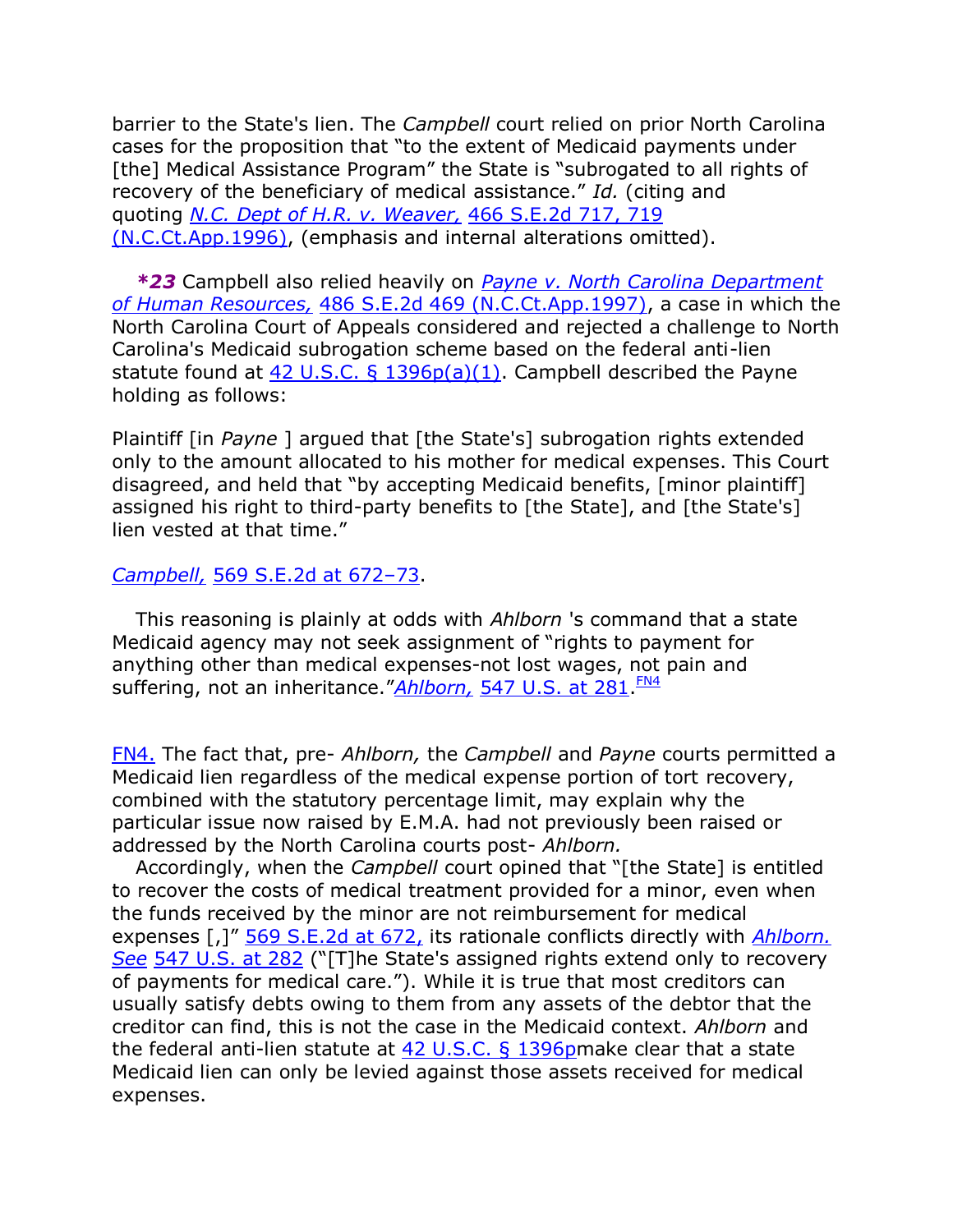barrier to the State's lien. The *Campbell* court relied on prior North Carolina cases for the proposition that "to the extent of Medicaid payments under [the] Medical Assistance Program" the State is "subrogated to all rights of recovery of the beneficiary of medical assistance." Id. (citing and quoting *[N.C. Dept of H.R. v. Weaver,](http://web2.westlaw.com/find/default.wl?mt=Westlaw&db=711&tc=-1&rp=%2ffind%2fdefault.wl&findtype=Y&ordoc=2027358976&serialnum=1996047565&vr=2.0&fn=_top&sv=Split&tf=-1&referencepositiontype=S&pbc=DC601CB0&referenceposition=719&rs=WLW12.01)* 466 S.E.2d 717, 719 [\(N.C.Ct.App.1996\),](http://web2.westlaw.com/find/default.wl?mt=Westlaw&db=711&tc=-1&rp=%2ffind%2fdefault.wl&findtype=Y&ordoc=2027358976&serialnum=1996047565&vr=2.0&fn=_top&sv=Split&tf=-1&referencepositiontype=S&pbc=DC601CB0&referenceposition=719&rs=WLW12.01) (emphasis and internal alterations omitted).

*\*23* Campbell also relied heavily on *[Payne v. North Carolina Department](http://web2.westlaw.com/find/default.wl?mt=Westlaw&db=711&tc=-1&rp=%2ffind%2fdefault.wl&findtype=Y&ordoc=2027358976&serialnum=1997139746&vr=2.0&fn=_top&sv=Split&tf=-1&pbc=DC601CB0&rs=WLW12.01)  of Human Resources,* [486 S.E.2d 469 \(N.C.Ct.App.1997\),](http://web2.westlaw.com/find/default.wl?mt=Westlaw&db=711&tc=-1&rp=%2ffind%2fdefault.wl&findtype=Y&ordoc=2027358976&serialnum=1997139746&vr=2.0&fn=_top&sv=Split&tf=-1&pbc=DC601CB0&rs=WLW12.01) a case in which the North Carolina Court of Appeals considered and rejected a challenge to North Carolina's Medicaid subrogation scheme based on the federal anti-lien statute found at 42 U.S.C.  $\S$  1396p(a)(1). Campbell described the Payne holding as follows:

Plaintiff [in *Payne* ] argued that [the State's] subrogation rights extended only to the amount allocated to his mother for medical expenses. This Court disagreed, and held that "by accepting Medicaid benefits, [minor plaintiff] assigned his right to third-party benefits to [the State], and [the State's] lien vested at that time."

## *Campbell,* [569 S.E.2d at 672](http://web2.westlaw.com/find/default.wl?mt=Westlaw&db=711&tc=-1&rp=%2ffind%2fdefault.wl&findtype=Y&ordoc=2027358976&serialnum=2002616580&vr=2.0&fn=_top&sv=Split&tf=-1&referencepositiontype=S&pbc=DC601CB0&referenceposition=672&rs=WLW12.01)–73.

This reasoning is plainly at odds with *Ahlborn* 's command that a state Medicaid agency may not seek assignment of "rights to payment for anything other than medical expenses-not lost wages, not pain and suffering, not an inheritance." Ahlborn, [547 U.S. at 281.](http://web2.westlaw.com/find/default.wl?mt=Westlaw&db=780&tc=-1&rp=%2ffind%2fdefault.wl&findtype=Y&ordoc=2027358976&serialnum=2009061885&vr=2.0&fn=_top&sv=Split&tf=-1&referencepositiontype=S&pbc=DC601CB0&referenceposition=281&rs=WLW12.01) [FN4](http://web2.westlaw.com/result/documenttext.aspx?rs=WLW12.01&scxt=WL&rlti=1&rp=%2fFind%2fdefault.wl&rlt=CLID_FQRLT113840157233&service=Find&sv=Split&ss=CNT&cite=2012+WL+956187&n=1&fn=_top&mt=Westlaw&vr=2.0&cnt=DOC&cxt=DC#B01842027358976)

[FN4.](http://web2.westlaw.com/result/documenttext.aspx?rs=WLW12.01&scxt=WL&rlti=1&rp=%2fFind%2fdefault.wl&rlt=CLID_FQRLT113840157233&service=Find&sv=Split&ss=CNT&cite=2012+WL+956187&n=1&fn=_top&mt=Westlaw&vr=2.0&cnt=DOC&cxt=DC#F01842027358976) The fact that, pre- *Ahlborn,* the *Campbell* and *Payne* courts permitted a Medicaid lien regardless of the medical expense portion of tort recovery, combined with the statutory percentage limit, may explain why the particular issue now raised by E.M.A. had not previously been raised or addressed by the North Carolina courts post- *Ahlborn.*

Accordingly, when the *Campbell* court opined that "[the State] is entitled to recover the costs of medical treatment provided for a minor, even when the funds received by the minor are not reimbursement for medical expenses [,]<sup>"</sup> [569 S.E.2d at 672,](http://web2.westlaw.com/find/default.wl?mt=Westlaw&db=711&tc=-1&rp=%2ffind%2fdefault.wl&findtype=Y&ordoc=2027358976&serialnum=2002616580&vr=2.0&fn=_top&sv=Split&tf=-1&referencepositiontype=S&pbc=DC601CB0&referenceposition=672&rs=WLW12.01) its rationale conflicts directly with *Ahlborn*. *See* [547 U.S. at 282](http://web2.westlaw.com/find/default.wl?mt=Westlaw&db=780&tc=-1&rp=%2ffind%2fdefault.wl&findtype=Y&ordoc=2027358976&serialnum=2009061885&vr=2.0&fn=_top&sv=Split&tf=-1&referencepositiontype=S&pbc=DC601CB0&referenceposition=282&rs=WLW12.01) ("[T]he State's assigned rights extend only to recovery of payments for medical care."). While it is true that most creditors can usually satisfy debts owing to them from any assets of the debtor that the creditor can find, this is not the case in the Medicaid context. *Ahlborn* and the federal anti-lien statute at  $42$  U.S.C. § 1396pmake clear that a state Medicaid lien can only be levied against those assets received for medical expenses.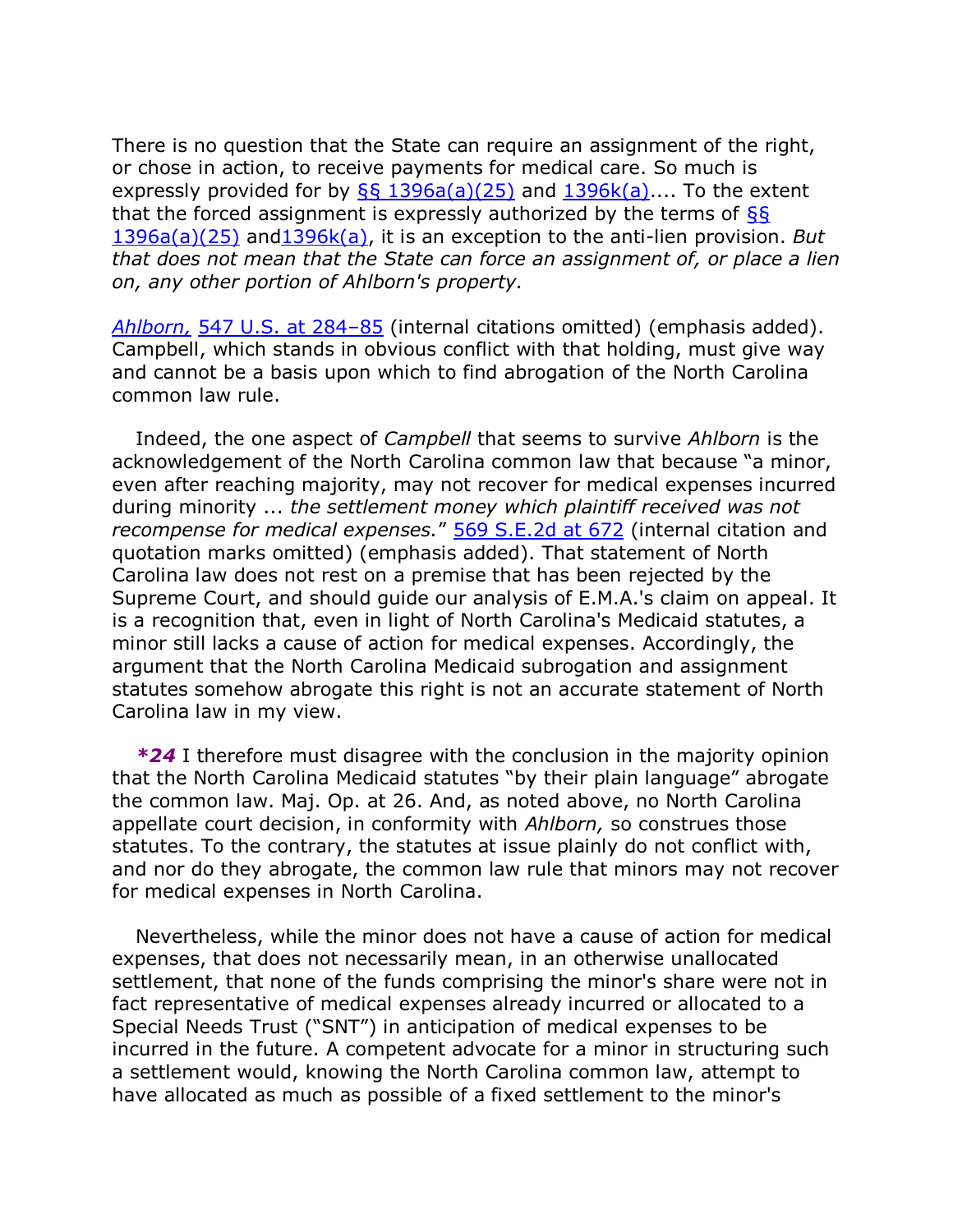There is no question that the State can require an assignment of the right, or chose in action, to receive payments for medical care. So much is expressly provided for by  $\S$ § 1396a(a)(25) and [1396k\(a\).](http://web2.westlaw.com/find/default.wl?mt=Westlaw&db=1000546&docname=42USCAS1396K&rp=%2ffind%2fdefault.wl&findtype=L&ordoc=2027358976&tc=-1&vr=2.0&fn=_top&sv=Split&tf=-1&referencepositiontype=T&pbc=DC601CB0&referenceposition=SP%3b8b3b0000958a4&rs=WLW12.01)... To the extent that the forced assignment is expressly authorized by the terms of  $\S$ [1396a\(a\)\(25\)](http://web2.westlaw.com/find/default.wl?mt=Westlaw&db=1000546&docname=42USCAS1396A&rp=%2ffind%2fdefault.wl&findtype=L&ordoc=2027358976&tc=-1&vr=2.0&fn=_top&sv=Split&tf=-1&referencepositiontype=T&pbc=DC601CB0&referenceposition=SP%3bfd76000067cd6&rs=WLW12.01) an[d1396k\(a\),](http://web2.westlaw.com/find/default.wl?mt=Westlaw&db=1000546&docname=42USCAS1396K&rp=%2ffind%2fdefault.wl&findtype=L&ordoc=2027358976&tc=-1&vr=2.0&fn=_top&sv=Split&tf=-1&referencepositiontype=T&pbc=DC601CB0&referenceposition=SP%3b8b3b0000958a4&rs=WLW12.01) it is an exception to the anti-lien provision. *But that does not mean that the State can force an assignment of, or place a lien on, any other portion of Ahlborn's property.*

*Ahlborn,* [547 U.S. at 284](http://web2.westlaw.com/find/default.wl?mt=Westlaw&db=780&tc=-1&rp=%2ffind%2fdefault.wl&findtype=Y&ordoc=2027358976&serialnum=2009061885&vr=2.0&fn=_top&sv=Split&tf=-1&referencepositiontype=S&pbc=DC601CB0&referenceposition=284&rs=WLW12.01)–85 (internal citations omitted) (emphasis added). Campbell, which stands in obvious conflict with that holding, must give way and cannot be a basis upon which to find abrogation of the North Carolina common law rule.

Indeed, the one aspect of *Campbell* that seems to survive *Ahlborn* is the acknowledgement of the North Carolina common law that because "a minor, even after reaching majority, may not recover for medical expenses incurred during minority ... *the settlement money which plaintiff received was not recompense for medical expenses.*‖ [569 S.E.2d at 672](http://web2.westlaw.com/find/default.wl?mt=Westlaw&db=711&tc=-1&rp=%2ffind%2fdefault.wl&findtype=Y&ordoc=2027358976&serialnum=2002616580&vr=2.0&fn=_top&sv=Split&tf=-1&referencepositiontype=S&pbc=DC601CB0&referenceposition=672&rs=WLW12.01) (internal citation and quotation marks omitted) (emphasis added). That statement of North Carolina law does not rest on a premise that has been rejected by the Supreme Court, and should guide our analysis of E.M.A.'s claim on appeal. It is a recognition that, even in light of North Carolina's Medicaid statutes, a minor still lacks a cause of action for medical expenses. Accordingly, the argument that the North Carolina Medicaid subrogation and assignment statutes somehow abrogate this right is not an accurate statement of North Carolina law in my view.

*\*24* I therefore must disagree with the conclusion in the majority opinion that the North Carolina Medicaid statutes "by their plain language" abrogate the common law. Maj. Op. at 26. And, as noted above, no North Carolina appellate court decision, in conformity with *Ahlborn,* so construes those statutes. To the contrary, the statutes at issue plainly do not conflict with, and nor do they abrogate, the common law rule that minors may not recover for medical expenses in North Carolina.

Nevertheless, while the minor does not have a cause of action for medical expenses, that does not necessarily mean, in an otherwise unallocated settlement, that none of the funds comprising the minor's share were not in fact representative of medical expenses already incurred or allocated to a Special Needs Trust ("SNT") in anticipation of medical expenses to be incurred in the future. A competent advocate for a minor in structuring such a settlement would, knowing the North Carolina common law, attempt to have allocated as much as possible of a fixed settlement to the minor's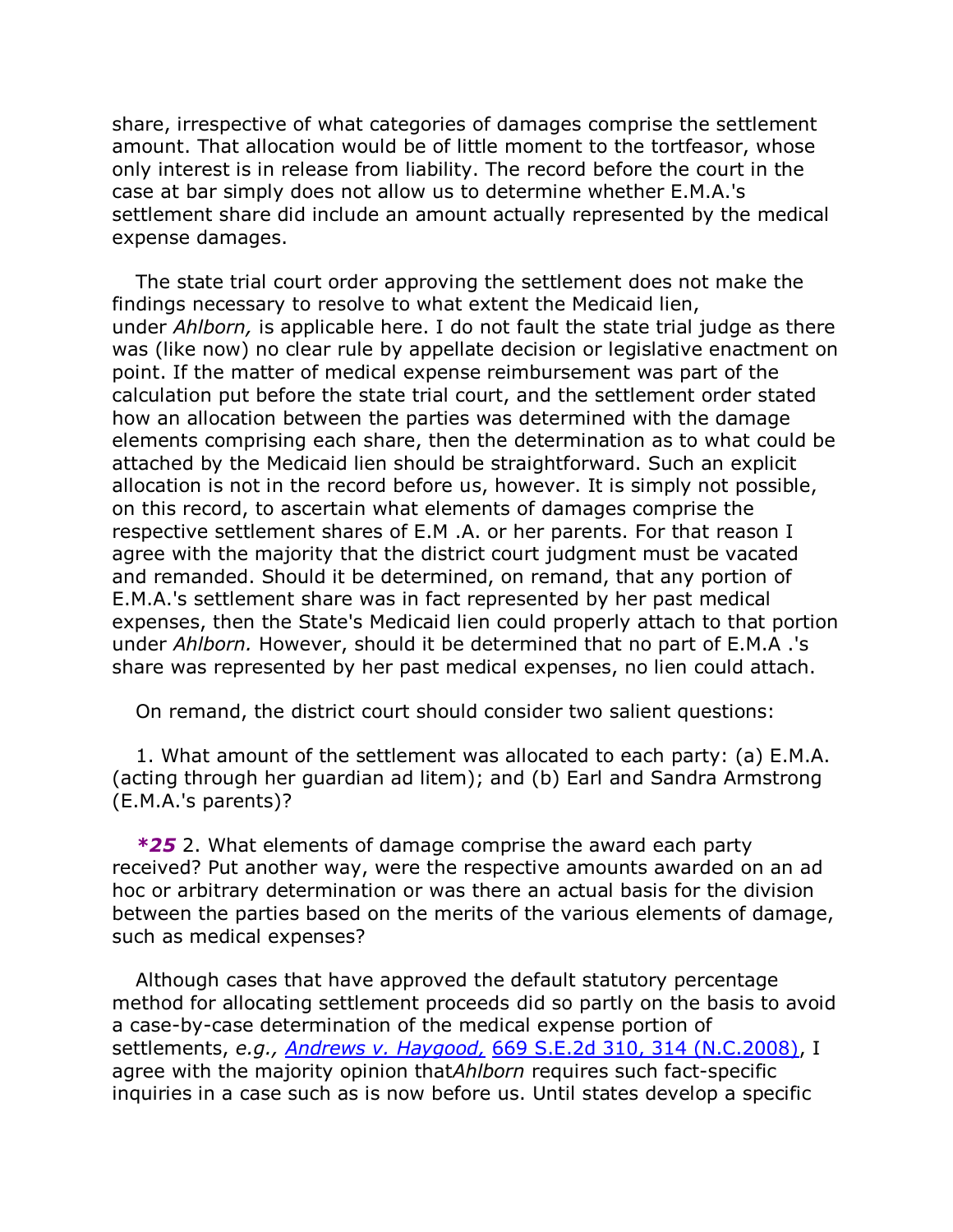share, irrespective of what categories of damages comprise the settlement amount. That allocation would be of little moment to the tortfeasor, whose only interest is in release from liability. The record before the court in the case at bar simply does not allow us to determine whether E.M.A.'s settlement share did include an amount actually represented by the medical expense damages.

The state trial court order approving the settlement does not make the findings necessary to resolve to what extent the Medicaid lien, under *Ahlborn,* is applicable here. I do not fault the state trial judge as there was (like now) no clear rule by appellate decision or legislative enactment on point. If the matter of medical expense reimbursement was part of the calculation put before the state trial court, and the settlement order stated how an allocation between the parties was determined with the damage elements comprising each share, then the determination as to what could be attached by the Medicaid lien should be straightforward. Such an explicit allocation is not in the record before us, however. It is simply not possible, on this record, to ascertain what elements of damages comprise the respective settlement shares of E.M .A. or her parents. For that reason I agree with the majority that the district court judgment must be vacated and remanded. Should it be determined, on remand, that any portion of E.M.A.'s settlement share was in fact represented by her past medical expenses, then the State's Medicaid lien could properly attach to that portion under *Ahlborn.* However, should it be determined that no part of E.M.A .'s share was represented by her past medical expenses, no lien could attach.

On remand, the district court should consider two salient questions:

1. What amount of the settlement was allocated to each party: (a) E.M.A. (acting through her guardian ad litem); and (b) Earl and Sandra Armstrong (E.M.A.'s parents)?

*\*25* 2. What elements of damage comprise the award each party received? Put another way, were the respective amounts awarded on an ad hoc or arbitrary determination or was there an actual basis for the division between the parties based on the merits of the various elements of damage, such as medical expenses?

Although cases that have approved the default statutory percentage method for allocating settlement proceeds did so partly on the basis to avoid a case-by-case determination of the medical expense portion of settlements, *e.g., Andrews v. Haygood,* [669 S.E.2d 310, 314 \(N.C.2008\),](http://web2.westlaw.com/find/default.wl?mt=Westlaw&db=711&tc=-1&rp=%2ffind%2fdefault.wl&findtype=Y&ordoc=2027358976&serialnum=2017647831&vr=2.0&fn=_top&sv=Split&tf=-1&referencepositiontype=S&pbc=DC601CB0&referenceposition=314&rs=WLW12.01) I agree with the majority opinion that*Ahlborn* requires such fact-specific inquiries in a case such as is now before us. Until states develop a specific